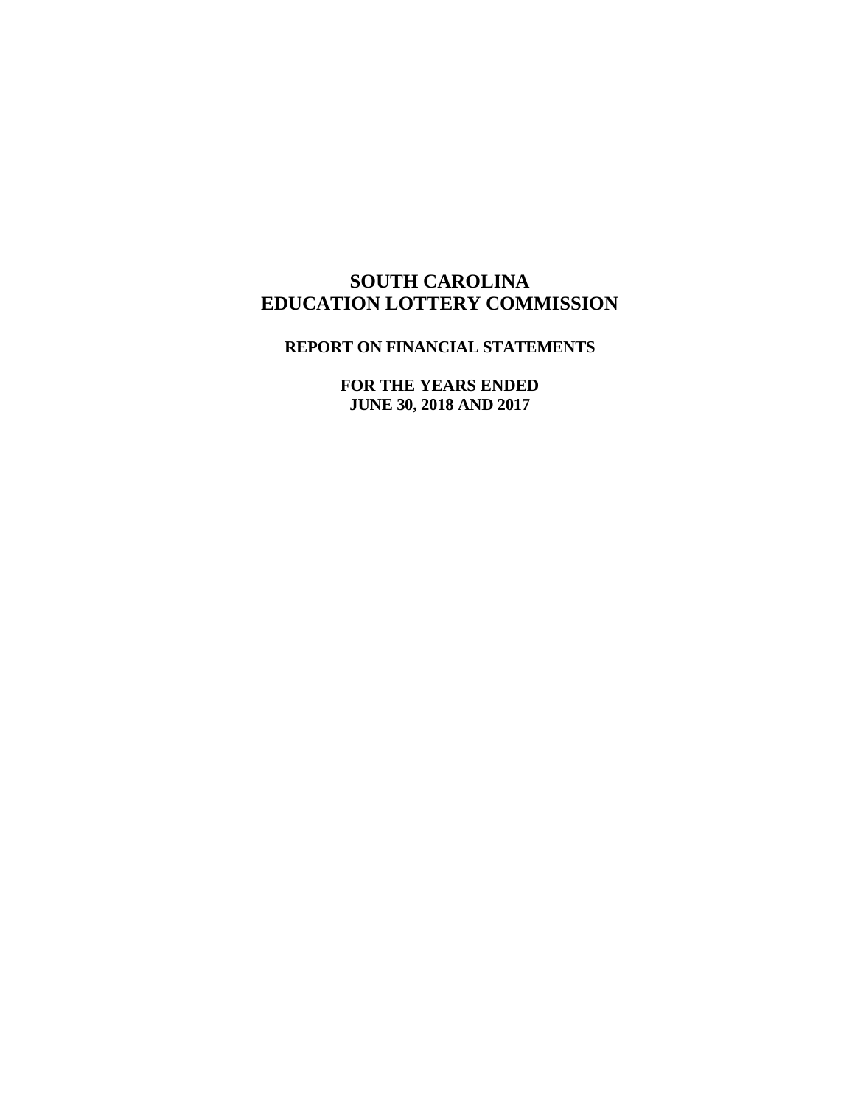# **SOUTH CAROLINA EDUCATION LOTTERY COMMISSION**

## **REPORT ON FINANCIAL STATEMENTS**

**FOR THE YEARS ENDED JUNE 30, 2018 AND 2017**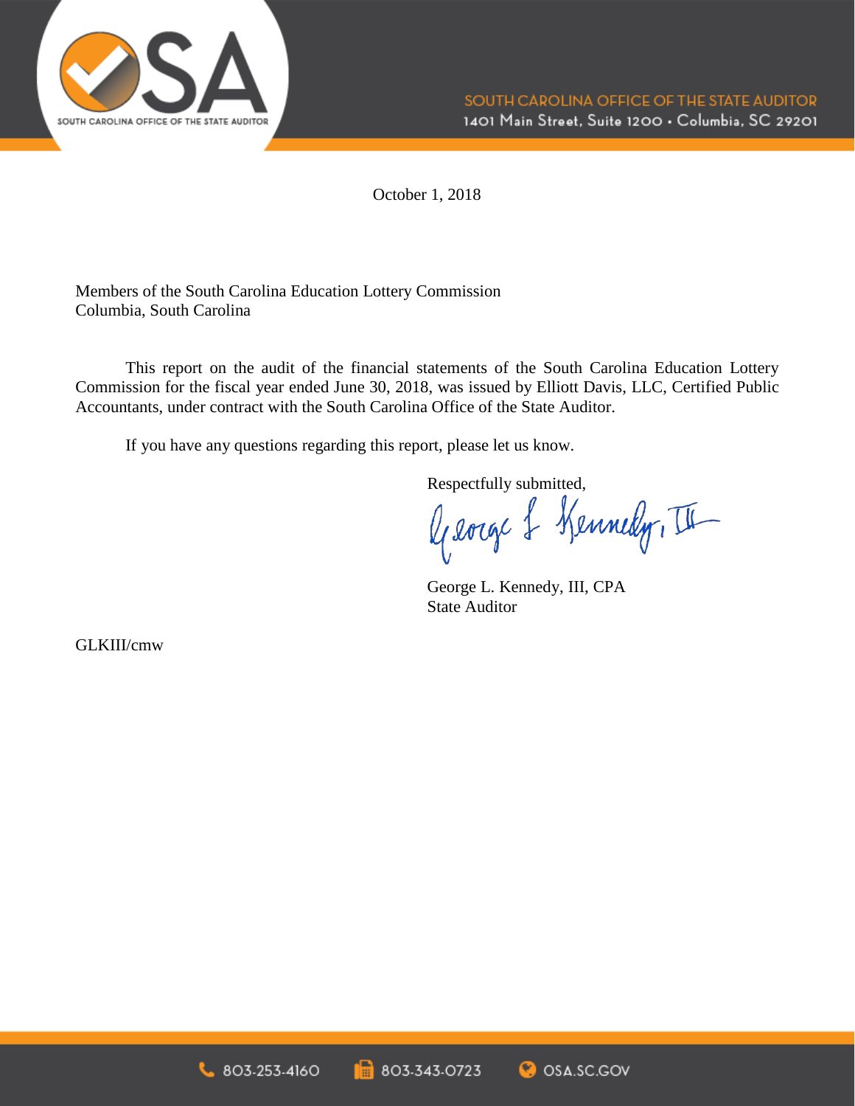

October 1, 2018

Members of the South Carolina Education Lottery Commission Columbia, South Carolina

This report on the audit of the financial statements of the South Carolina Education Lottery Commission for the fiscal year ended June 30, 2018, was issued by Elliott Davis, LLC, Certified Public Accountants, under contract with the South Carolina Office of the State Auditor.

If you have any questions regarding this report, please let us know.

Respectfully submitted,<br>George & Kennedy, II

George L. Kennedy, III, CPA State Auditor

GLKIII/cmw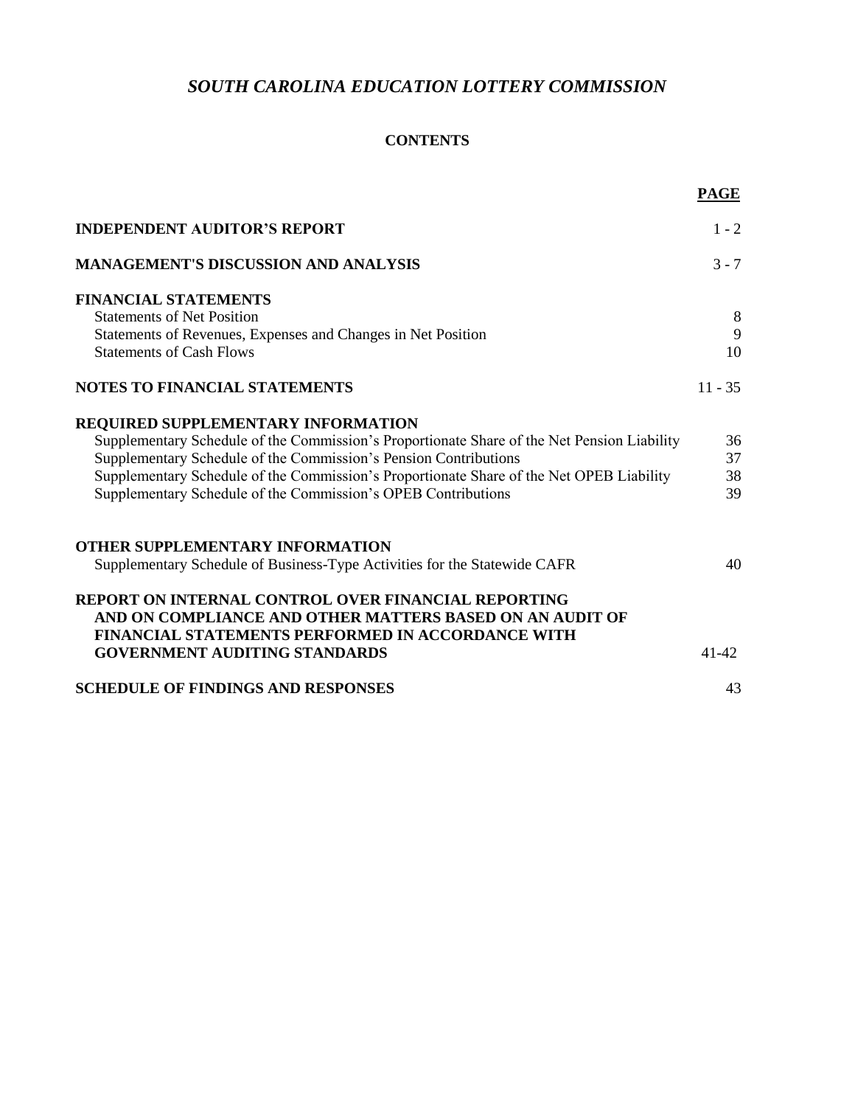# *SOUTH CAROLINA EDUCATION LOTTERY COMMISSION*

## **CONTENTS**

|                                                                                             | <b>PAGE</b> |
|---------------------------------------------------------------------------------------------|-------------|
| <b>INDEPENDENT AUDITOR'S REPORT</b>                                                         | $1 - 2$     |
| <b>MANAGEMENT'S DISCUSSION AND ANALYSIS</b>                                                 | $3 - 7$     |
| <b>FINANCIAL STATEMENTS</b>                                                                 |             |
| <b>Statements of Net Position</b>                                                           | 8           |
| Statements of Revenues, Expenses and Changes in Net Position                                | 9           |
| <b>Statements of Cash Flows</b>                                                             | 10          |
| <b>NOTES TO FINANCIAL STATEMENTS</b>                                                        | $11 - 35$   |
| REQUIRED SUPPLEMENTARY INFORMATION                                                          |             |
| Supplementary Schedule of the Commission's Proportionate Share of the Net Pension Liability | 36          |
| Supplementary Schedule of the Commission's Pension Contributions                            | 37          |
| Supplementary Schedule of the Commission's Proportionate Share of the Net OPEB Liability    | 38          |
| Supplementary Schedule of the Commission's OPEB Contributions                               | 39          |
|                                                                                             |             |
| <b>OTHER SUPPLEMENTARY INFORMATION</b>                                                      | 40          |
| Supplementary Schedule of Business-Type Activities for the Statewide CAFR                   |             |
| <b>REPORT ON INTERNAL CONTROL OVER FINANCIAL REPORTING</b>                                  |             |
| AND ON COMPLIANCE AND OTHER MATTERS BASED ON AN AUDIT OF                                    |             |
| <b>FINANCIAL STATEMENTS PERFORMED IN ACCORDANCE WITH</b>                                    |             |
| <b>GOVERNMENT AUDITING STANDARDS</b>                                                        | $41-42$     |
| <b>SCHEDULE OF FINDINGS AND RESPONSES</b>                                                   | 43          |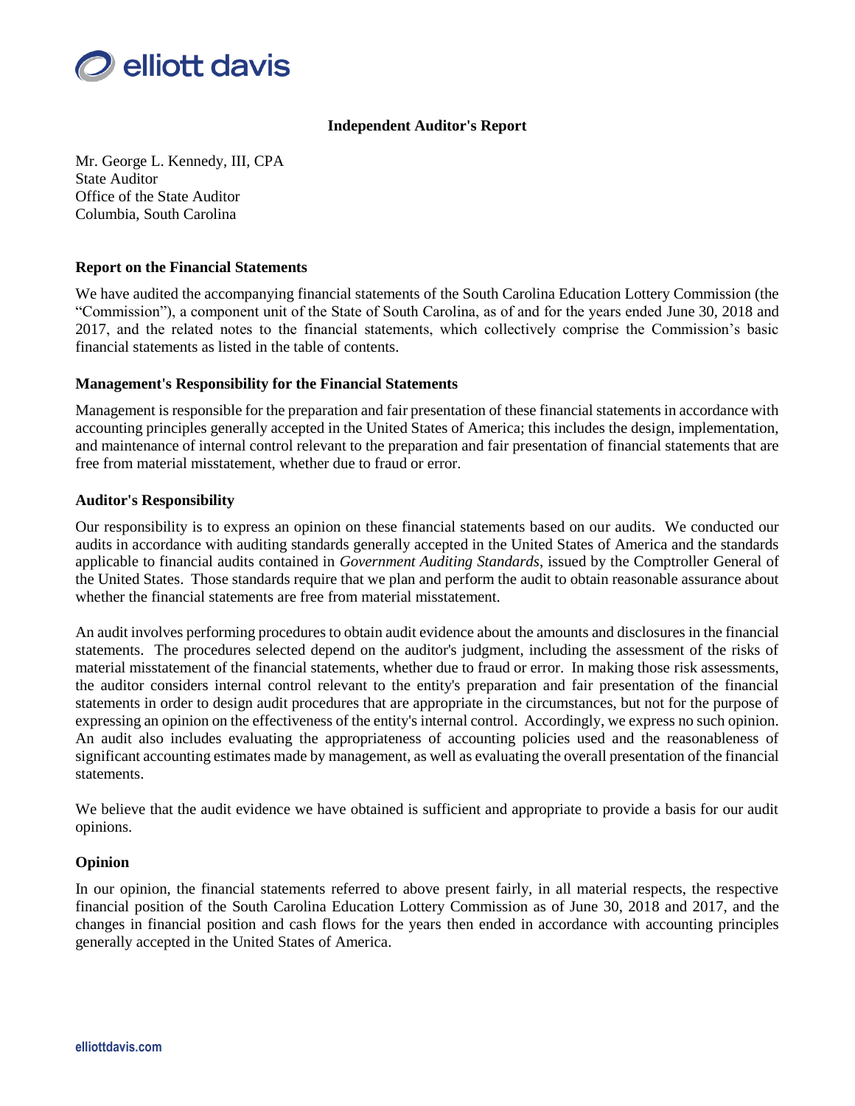

#### **Independent Auditor's Report**

Mr. George L. Kennedy, III, CPA State Auditor Office of the State Auditor Columbia, South Carolina

#### **Report on the Financial Statements**

We have audited the accompanying financial statements of the South Carolina Education Lottery Commission (the "Commission"), a component unit of the State of South Carolina, as of and for the years ended June 30, 2018 and 2017, and the related notes to the financial statements, which collectively comprise the Commission's basic financial statements as listed in the table of contents.

#### **Management's Responsibility for the Financial Statements**

Management is responsible for the preparation and fair presentation of these financial statements in accordance with accounting principles generally accepted in the United States of America; this includes the design, implementation, and maintenance of internal control relevant to the preparation and fair presentation of financial statements that are free from material misstatement, whether due to fraud or error.

#### **Auditor's Responsibility**

Our responsibility is to express an opinion on these financial statements based on our audits. We conducted our audits in accordance with auditing standards generally accepted in the United States of America and the standards applicable to financial audits contained in *Government Auditing Standards*, issued by the Comptroller General of the United States. Those standards require that we plan and perform the audit to obtain reasonable assurance about whether the financial statements are free from material misstatement.

An audit involves performing procedures to obtain audit evidence about the amounts and disclosures in the financial statements. The procedures selected depend on the auditor's judgment, including the assessment of the risks of material misstatement of the financial statements, whether due to fraud or error. In making those risk assessments, the auditor considers internal control relevant to the entity's preparation and fair presentation of the financial statements in order to design audit procedures that are appropriate in the circumstances, but not for the purpose of expressing an opinion on the effectiveness of the entity's internal control. Accordingly, we express no such opinion. An audit also includes evaluating the appropriateness of accounting policies used and the reasonableness of significant accounting estimates made by management, as well as evaluating the overall presentation of the financial statements.

We believe that the audit evidence we have obtained is sufficient and appropriate to provide a basis for our audit opinions.

#### **Opinion**

In our opinion, the financial statements referred to above present fairly, in all material respects, the respective financial position of the South Carolina Education Lottery Commission as of June 30, 2018 and 2017, and the changes in financial position and cash flows for the years then ended in accordance with accounting principles generally accepted in the United States of America.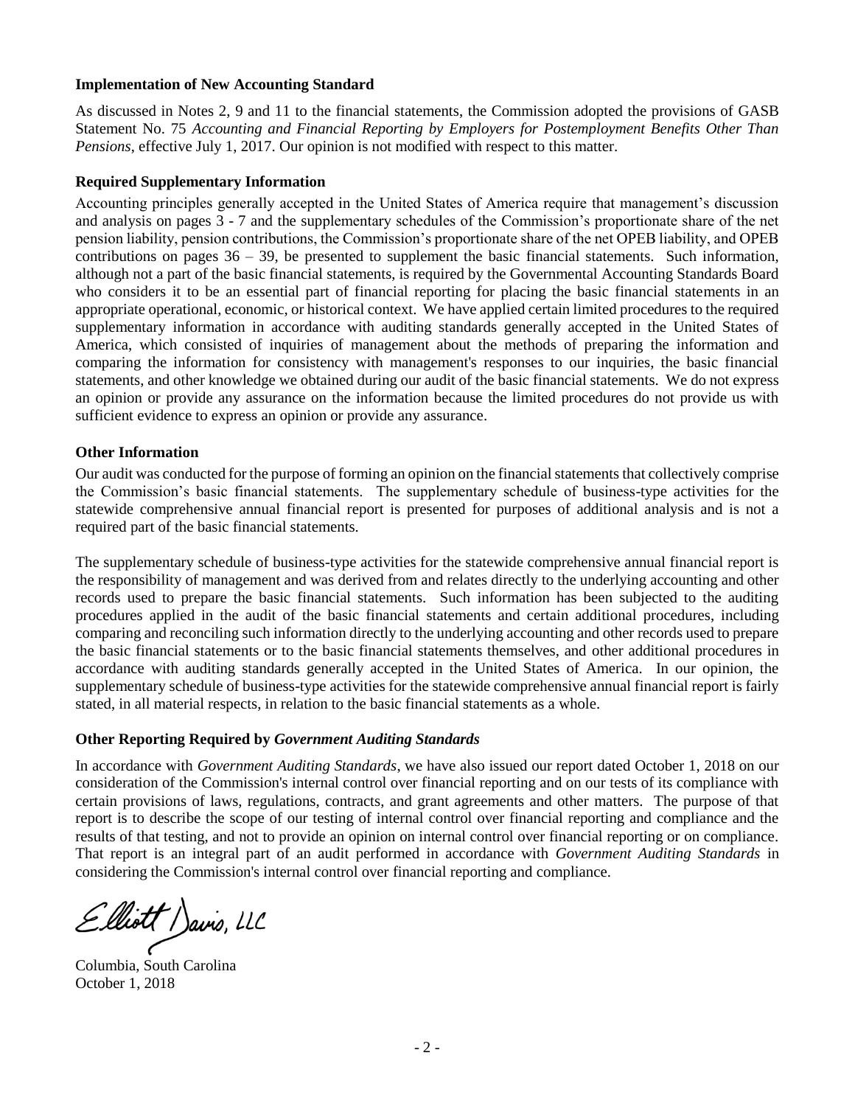## **Implementation of New Accounting Standard**

As discussed in Notes 2, 9 and 11 to the financial statements, the Commission adopted the provisions of GASB Statement No. 75 *Accounting and Financial Reporting by Employers for Postemployment Benefits Other Than Pensions*, effective July 1, 2017. Our opinion is not modified with respect to this matter.

## **Required Supplementary Information**

Accounting principles generally accepted in the United States of America require that management's discussion and analysis on pages 3 - 7 and the supplementary schedules of the Commission's proportionate share of the net pension liability, pension contributions, the Commission's proportionate share of the net OPEB liability, and OPEB contributions on pages  $36 - 39$ , be presented to supplement the basic financial statements. Such information, although not a part of the basic financial statements, is required by the Governmental Accounting Standards Board who considers it to be an essential part of financial reporting for placing the basic financial statements in an appropriate operational, economic, or historical context. We have applied certain limited procedures to the required supplementary information in accordance with auditing standards generally accepted in the United States of America, which consisted of inquiries of management about the methods of preparing the information and comparing the information for consistency with management's responses to our inquiries, the basic financial statements, and other knowledge we obtained during our audit of the basic financial statements. We do not express an opinion or provide any assurance on the information because the limited procedures do not provide us with sufficient evidence to express an opinion or provide any assurance.

#### **Other Information**

Our audit was conducted for the purpose of forming an opinion on the financial statements that collectively comprise the Commission's basic financial statements. The supplementary schedule of business-type activities for the statewide comprehensive annual financial report is presented for purposes of additional analysis and is not a required part of the basic financial statements.

The supplementary schedule of business-type activities for the statewide comprehensive annual financial report is the responsibility of management and was derived from and relates directly to the underlying accounting and other records used to prepare the basic financial statements. Such information has been subjected to the auditing procedures applied in the audit of the basic financial statements and certain additional procedures, including comparing and reconciling such information directly to the underlying accounting and other records used to prepare the basic financial statements or to the basic financial statements themselves, and other additional procedures in accordance with auditing standards generally accepted in the United States of America. In our opinion, the supplementary schedule of business-type activities for the statewide comprehensive annual financial report is fairly stated, in all material respects, in relation to the basic financial statements as a whole.

## **Other Reporting Required by** *Government Auditing Standards*

In accordance with *Government Auditing Standards*, we have also issued our report dated October 1, 2018 on our consideration of the Commission's internal control over financial reporting and on our tests of its compliance with certain provisions of laws, regulations, contracts, and grant agreements and other matters. The purpose of that report is to describe the scope of our testing of internal control over financial reporting and compliance and the results of that testing, and not to provide an opinion on internal control over financial reporting or on compliance. That report is an integral part of an audit performed in accordance with *Government Auditing Standards* in considering the Commission's internal control over financial reporting and compliance.

Elliott Davis, LLC

Columbia, South Carolina October 1, 2018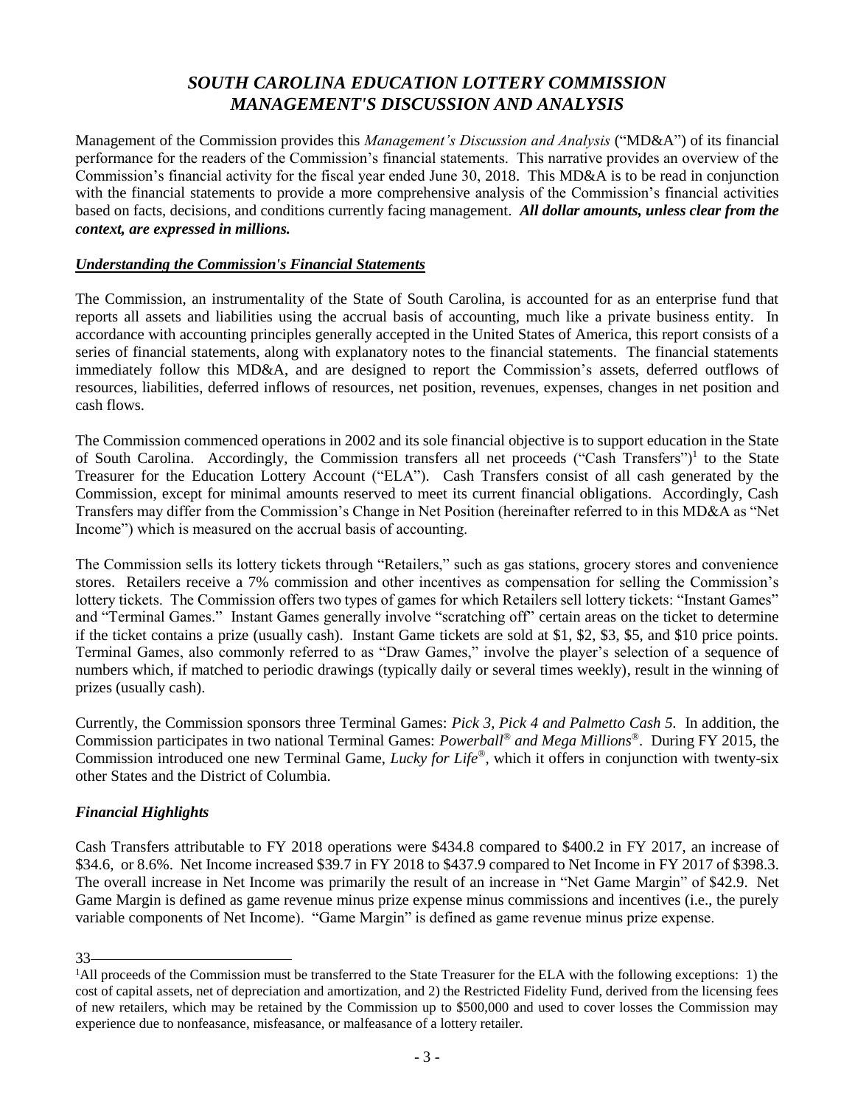## *SOUTH CAROLINA EDUCATION LOTTERY COMMISSION MANAGEMENT'S DISCUSSION AND ANALYSIS*

Management of the Commission provides this *Management's Discussion and Analysis* ("MD&A") of its financial performance for the readers of the Commission's financial statements. This narrative provides an overview of the Commission's financial activity for the fiscal year ended June 30, 2018. This MD&A is to be read in conjunction with the financial statements to provide a more comprehensive analysis of the Commission's financial activities based on facts, decisions, and conditions currently facing management. *All dollar amounts, unless clear from the context, are expressed in millions.* 

## *Understanding the Commission's Financial Statements*

The Commission, an instrumentality of the State of South Carolina, is accounted for as an enterprise fund that reports all assets and liabilities using the accrual basis of accounting, much like a private business entity. In accordance with accounting principles generally accepted in the United States of America, this report consists of a series of financial statements, along with explanatory notes to the financial statements. The financial statements immediately follow this MD&A, and are designed to report the Commission's assets, deferred outflows of resources, liabilities, deferred inflows of resources, net position, revenues, expenses, changes in net position and cash flows.

The Commission commenced operations in 2002 and its sole financial objective is to support education in the State of South Carolina. Accordingly, the Commission transfers all net proceeds ("Cash Transfers")<sup>1</sup> to the State Treasurer for the Education Lottery Account ("ELA"). Cash Transfers consist of all cash generated by the Commission, except for minimal amounts reserved to meet its current financial obligations. Accordingly, Cash Transfers may differ from the Commission's Change in Net Position (hereinafter referred to in this MD&A as "Net Income") which is measured on the accrual basis of accounting.

The Commission sells its lottery tickets through "Retailers," such as gas stations, grocery stores and convenience stores. Retailers receive a 7% commission and other incentives as compensation for selling the Commission's lottery tickets. The Commission offers two types of games for which Retailers sell lottery tickets: "Instant Games" and "Terminal Games." Instant Games generally involve "scratching off" certain areas on the ticket to determine if the ticket contains a prize (usually cash). Instant Game tickets are sold at \$1, \$2, \$3, \$5, and \$10 price points. Terminal Games, also commonly referred to as "Draw Games," involve the player's selection of a sequence of numbers which, if matched to periodic drawings (typically daily or several times weekly), result in the winning of prizes (usually cash).

Currently, the Commission sponsors three Terminal Games: *Pick 3, Pick 4 and Palmetto Cash 5.* In addition, the Commission participates in two national Terminal Games: *Powerball® and Mega Millions®* . During FY 2015, the Commission introduced one new Terminal Game, *Lucky for Life®* , which it offers in conjunction with twenty-six other States and the District of Columbia.

## *Financial Highlights*

Cash Transfers attributable to FY 2018 operations were \$434.8 compared to \$400.2 in FY 2017, an increase of \$34.6, or 8.6%. Net Income increased \$39.7 in FY 2018 to \$437.9 compared to Net Income in FY 2017 of \$398.3. The overall increase in Net Income was primarily the result of an increase in "Net Game Margin" of \$42.9. Net Game Margin is defined as game revenue minus prize expense minus commissions and incentives (i.e., the purely variable components of Net Income). "Game Margin" is defined as game revenue minus prize expense.

33

<sup>&</sup>lt;sup>1</sup>All proceeds of the Commission must be transferred to the State Treasurer for the ELA with the following exceptions: 1) the cost of capital assets, net of depreciation and amortization, and 2) the Restricted Fidelity Fund, derived from the licensing fees of new retailers, which may be retained by the Commission up to \$500,000 and used to cover losses the Commission may experience due to nonfeasance, misfeasance, or malfeasance of a lottery retailer.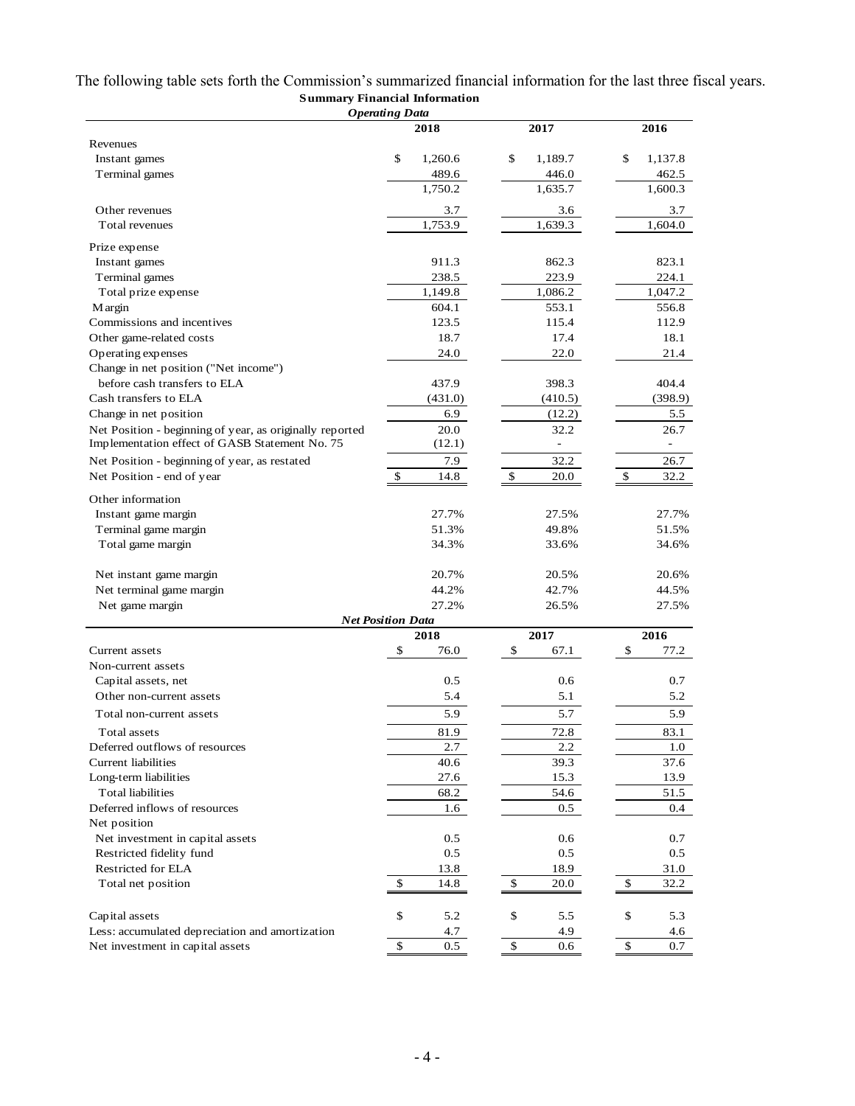|                                                          | <b>Operating Data</b>    |                          |               |
|----------------------------------------------------------|--------------------------|--------------------------|---------------|
|                                                          | 2018                     | 2017                     | 2016          |
| Revenues                                                 |                          |                          |               |
| Instant games                                            | \$<br>1,260.6            | \$<br>1,189.7            | \$<br>1,137.8 |
| Terminal games                                           | 489.6                    | 446.0                    | 462.5         |
|                                                          | 1,750.2                  | 1,635.7                  | 1,600.3       |
| Other revenues                                           | 3.7                      | 3.6                      | 3.7           |
| Total revenues                                           | 1,753.9                  | 1,639.3                  | 1,604.0       |
| Prize expense                                            |                          |                          |               |
| Instant games                                            | 911.3                    | 862.3                    | 823.1         |
| Terminal games                                           | 238.5                    | 223.9                    | 224.1         |
| Total prize expense                                      | 1,149.8                  | 1,086.2                  | 1,047.2       |
| <b>M</b> argin                                           | 604.1                    | 553.1                    | 556.8         |
| Commissions and incentives                               | 123.5                    | 115.4                    | 112.9         |
| Other game-related costs                                 | 18.7                     | 17.4                     | 18.1          |
| Operating expenses                                       | 24.0                     | 22.0                     | 21.4          |
| Change in net position ("Net income")                    |                          |                          |               |
| before cash transfers to ELA                             | 437.9                    | 398.3                    | 404.4         |
| Cash transfers to ELA                                    | (431.0)                  | (410.5)                  | (398.9)       |
| Change in net position                                   | 6.9                      | (12.2)                   | 5.5           |
| Net Position - beginning of year, as originally reported | 20.0                     | 32.2                     | 26.7          |
| Implementation effect of GASB Statement No. 75           | (12.1)                   | $\overline{\phantom{0}}$ | -             |
| Net Position - beginning of year, as restated            | 7.9                      | 32.2                     | 26.7          |
| Net Position - end of year                               | \$<br>14.8               | \$<br>20.0               | \$<br>32.2    |
|                                                          |                          |                          |               |
| Other information                                        |                          |                          |               |
| Instant game margin                                      | 27.7%                    | 27.5%                    | 27.7%         |
| Terminal game margin                                     | 51.3%                    | 49.8%                    | 51.5%         |
| Total game margin                                        | 34.3%                    | 33.6%                    | 34.6%         |
| Net instant game margin                                  | 20.7%                    | 20.5%                    | 20.6%         |
| Net terminal game margin                                 | 44.2%                    | 42.7%                    | 44.5%         |
| Net game margin                                          | 27.2%                    | 26.5%                    | 27.5%         |
|                                                          | <b>Net Position Data</b> |                          |               |
|                                                          | 2018                     | 2017                     | 2016          |
| Current assets                                           | \$<br>76.0               | \$<br>67.1               | \$<br>77.2    |
| Non-current assets                                       | 0.5                      | 0.6                      |               |
| Capital assets, net<br>Other non-current assets          | 5.4                      | 5.1                      | 0.7<br>5.2    |
|                                                          |                          |                          |               |
| Total non-current assets                                 | 5.9                      | 5.7                      | 5.9           |
| Total assets                                             | 81.9                     | 72.8                     | 83.1          |
| Deferred outflows of resources                           | 2.7                      | 2.2                      | 1.0           |
| Current liabilities                                      | 40.6                     | 39.3                     | 37.6          |
| Long-term liabilities                                    | 27.6                     | 15.3                     | 13.9          |
| <b>Total liabilities</b>                                 | 68.2                     | 54.6                     | 51.5          |
| Deferred inflows of resources                            | 1.6                      | 0.5                      | 0.4           |
| Net position                                             |                          |                          |               |
| Net investment in capital assets                         | 0.5                      | 0.6                      | 0.7           |
| Restricted fidelity fund                                 | 0.5                      | 0.5                      | 0.5           |
| Restricted for ELA                                       | 13.8                     | 18.9                     | 31.0          |
| Total net position                                       | $\frac{1}{2}$<br>14.8    | \$<br>20.0               | \$<br>32.2    |
| Capital assets                                           | \$<br>5.2                | \$<br>5.5                | \$<br>5.3     |
| Less: accumulated depreciation and amortization          | 4.7                      | 4.9                      | 4.6           |
| Net investment in capital assets                         | \$<br>0.5                | \$<br>0.6                | \$<br>0.7     |

#### The following table sets forth the Commission's summarized financial information for the last three fiscal years. **Summary Financial Information**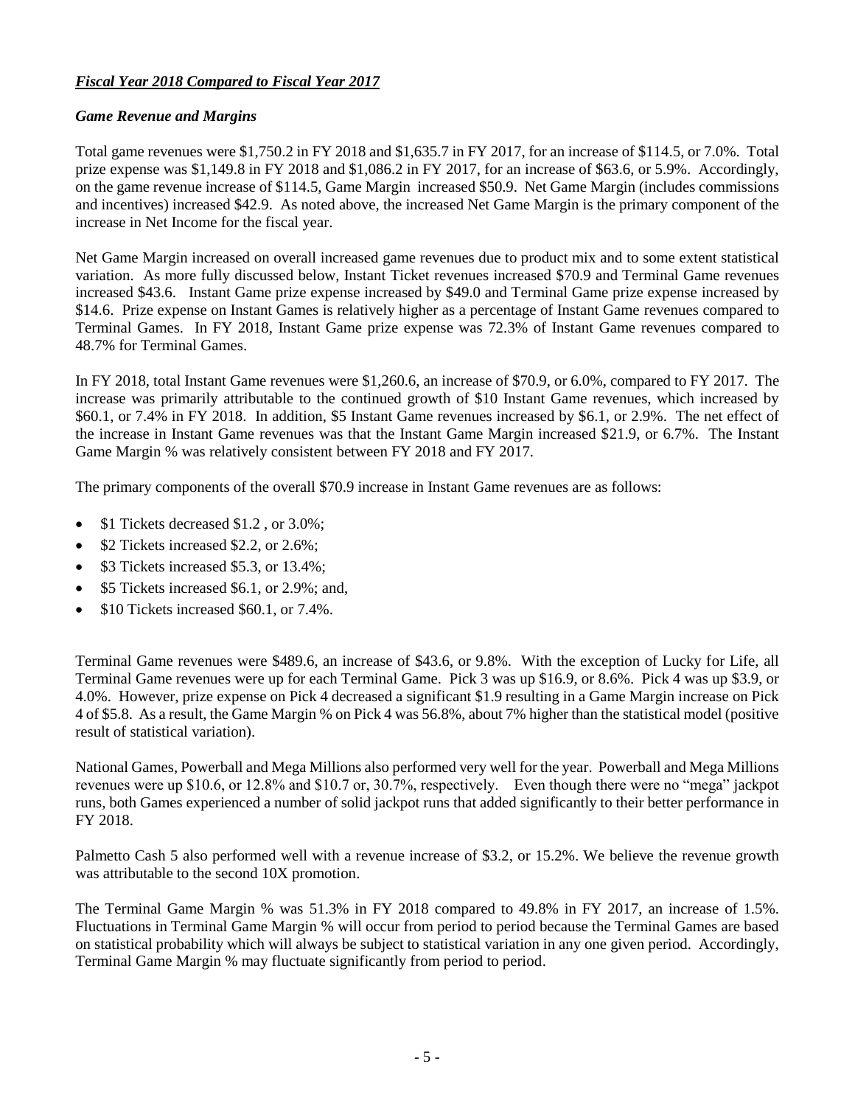## *Fiscal Year 2018 Compared to Fiscal Year 2017*

## *Game Revenue and Margins*

Total game revenues were \$1,750.2 in FY 2018 and \$1,635.7 in FY 2017, for an increase of \$114.5, or 7.0%. Total prize expense was \$1,149.8 in FY 2018 and \$1,086.2 in FY 2017, for an increase of \$63.6, or 5.9%. Accordingly, on the game revenue increase of \$114.5, Game Margin increased \$50.9. Net Game Margin (includes commissions and incentives) increased \$42.9. As noted above, the increased Net Game Margin is the primary component of the increase in Net Income for the fiscal year.

Net Game Margin increased on overall increased game revenues due to product mix and to some extent statistical variation. As more fully discussed below, Instant Ticket revenues increased \$70.9 and Terminal Game revenues increased \$43.6. Instant Game prize expense increased by \$49.0 and Terminal Game prize expense increased by \$14.6. Prize expense on Instant Games is relatively higher as a percentage of Instant Game revenues compared to Terminal Games. In FY 2018, Instant Game prize expense was 72.3% of Instant Game revenues compared to 48.7% for Terminal Games.

In FY 2018, total Instant Game revenues were \$1,260.6, an increase of \$70.9, or 6.0%, compared to FY 2017. The increase was primarily attributable to the continued growth of \$10 Instant Game revenues, which increased by \$60.1, or 7.4% in FY 2018. In addition, \$5 Instant Game revenues increased by \$6.1, or 2.9%. The net effect of the increase in Instant Game revenues was that the Instant Game Margin increased \$21.9, or 6.7%. The Instant Game Margin % was relatively consistent between FY 2018 and FY 2017.

The primary components of the overall \$70.9 increase in Instant Game revenues are as follows:

- \$1 Tickets decreased \$1.2 , or 3.0%;
- \$2 Tickets increased \$2.2, or 2.6%;
- \$3 Tickets increased \$5.3, or 13.4%;
- \$5 Tickets increased \$6.1, or 2.9%; and,
- \$10 Tickets increased \$60.1, or 7.4%.

Terminal Game revenues were \$489.6, an increase of \$43.6, or 9.8%. With the exception of Lucky for Life, all Terminal Game revenues were up for each Terminal Game. Pick 3 was up \$16.9, or 8.6%. Pick 4 was up \$3.9, or 4.0%. However, prize expense on Pick 4 decreased a significant \$1.9 resulting in a Game Margin increase on Pick 4 of \$5.8. As a result, the Game Margin % on Pick 4 was 56.8%, about 7% higher than the statistical model (positive result of statistical variation).

National Games, Powerball and Mega Millions also performed very well for the year. Powerball and Mega Millions revenues were up \$10.6, or 12.8% and \$10.7 or, 30.7%, respectively. Even though there were no "mega" jackpot runs, both Games experienced a number of solid jackpot runs that added significantly to their better performance in FY 2018.

Palmetto Cash 5 also performed well with a revenue increase of \$3.2, or 15.2%. We believe the revenue growth was attributable to the second 10X promotion.

The Terminal Game Margin % was 51.3% in FY 2018 compared to 49.8% in FY 2017, an increase of 1.5%. Fluctuations in Terminal Game Margin % will occur from period to period because the Terminal Games are based on statistical probability which will always be subject to statistical variation in any one given period. Accordingly, Terminal Game Margin % may fluctuate significantly from period to period.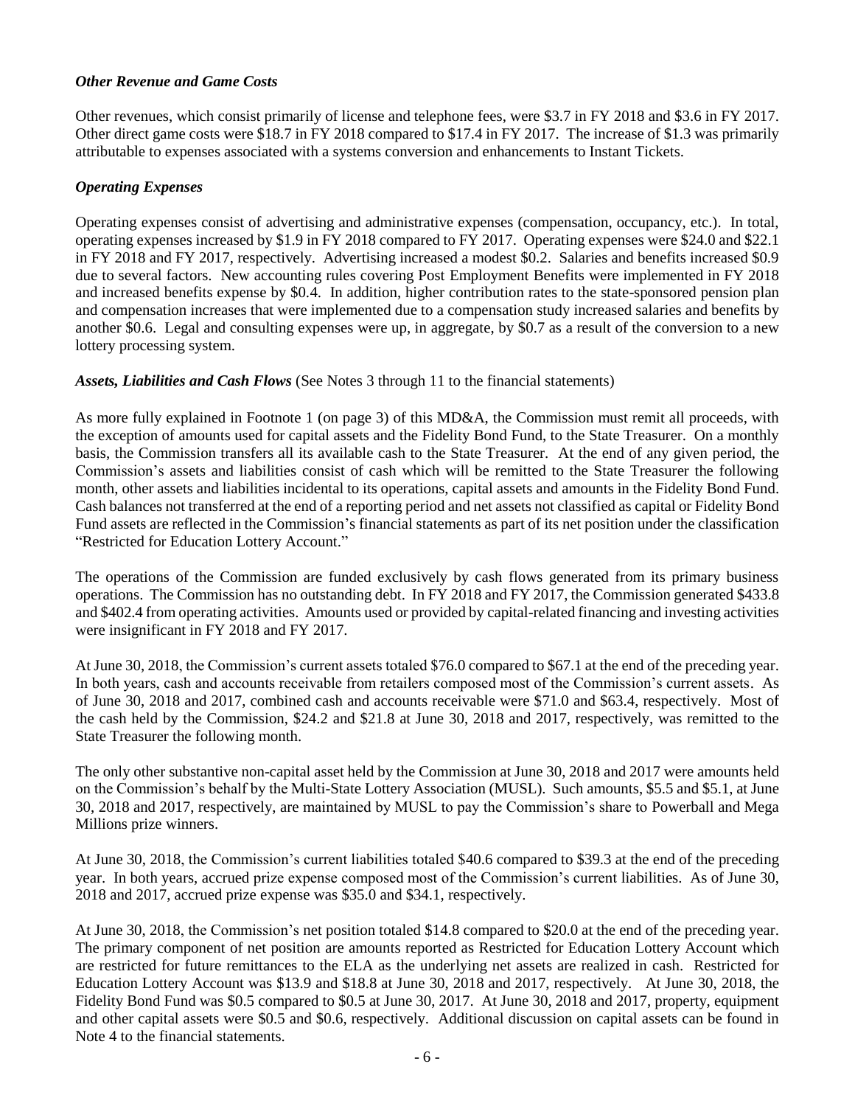## *Other Revenue and Game Costs*

Other revenues, which consist primarily of license and telephone fees, were \$3.7 in FY 2018 and \$3.6 in FY 2017. Other direct game costs were \$18.7 in FY 2018 compared to \$17.4 in FY 2017. The increase of \$1.3 was primarily attributable to expenses associated with a systems conversion and enhancements to Instant Tickets.

## *Operating Expenses*

Operating expenses consist of advertising and administrative expenses (compensation, occupancy, etc.). In total, operating expenses increased by \$1.9 in FY 2018 compared to FY 2017. Operating expenses were \$24.0 and \$22.1 in FY 2018 and FY 2017, respectively. Advertising increased a modest \$0.2. Salaries and benefits increased \$0.9 due to several factors. New accounting rules covering Post Employment Benefits were implemented in FY 2018 and increased benefits expense by \$0.4. In addition, higher contribution rates to the state-sponsored pension plan and compensation increases that were implemented due to a compensation study increased salaries and benefits by another \$0.6. Legal and consulting expenses were up, in aggregate, by \$0.7 as a result of the conversion to a new lottery processing system.

*Assets, Liabilities and Cash Flows* (See Notes 3 through 11 to the financial statements)

As more fully explained in Footnote 1 (on page 3) of this MD&A, the Commission must remit all proceeds, with the exception of amounts used for capital assets and the Fidelity Bond Fund, to the State Treasurer. On a monthly basis, the Commission transfers all its available cash to the State Treasurer. At the end of any given period, the Commission's assets and liabilities consist of cash which will be remitted to the State Treasurer the following month, other assets and liabilities incidental to its operations, capital assets and amounts in the Fidelity Bond Fund. Cash balances not transferred at the end of a reporting period and net assets not classified as capital or Fidelity Bond Fund assets are reflected in the Commission's financial statements as part of its net position under the classification "Restricted for Education Lottery Account."

The operations of the Commission are funded exclusively by cash flows generated from its primary business operations. The Commission has no outstanding debt. In FY 2018 and FY 2017, the Commission generated \$433.8 and \$402.4 from operating activities. Amounts used or provided by capital-related financing and investing activities were insignificant in FY 2018 and FY 2017.

At June 30, 2018, the Commission's current assets totaled \$76.0 compared to \$67.1 at the end of the preceding year. In both years, cash and accounts receivable from retailers composed most of the Commission's current assets. As of June 30, 2018 and 2017, combined cash and accounts receivable were \$71.0 and \$63.4, respectively. Most of the cash held by the Commission, \$24.2 and \$21.8 at June 30, 2018 and 2017, respectively, was remitted to the State Treasurer the following month.

The only other substantive non-capital asset held by the Commission at June 30, 2018 and 2017 were amounts held on the Commission's behalf by the Multi-State Lottery Association (MUSL). Such amounts, \$5.5 and \$5.1, at June 30, 2018 and 2017, respectively, are maintained by MUSL to pay the Commission's share to Powerball and Mega Millions prize winners.

At June 30, 2018, the Commission's current liabilities totaled \$40.6 compared to \$39.3 at the end of the preceding year. In both years, accrued prize expense composed most of the Commission's current liabilities. As of June 30, 2018 and 2017, accrued prize expense was \$35.0 and \$34.1, respectively.

At June 30, 2018, the Commission's net position totaled \$14.8 compared to \$20.0 at the end of the preceding year. The primary component of net position are amounts reported as Restricted for Education Lottery Account which are restricted for future remittances to the ELA as the underlying net assets are realized in cash. Restricted for Education Lottery Account was \$13.9 and \$18.8 at June 30, 2018 and 2017, respectively. At June 30, 2018, the Fidelity Bond Fund was \$0.5 compared to \$0.5 at June 30, 2017. At June 30, 2018 and 2017, property, equipment and other capital assets were \$0.5 and \$0.6, respectively. Additional discussion on capital assets can be found in Note 4 to the financial statements.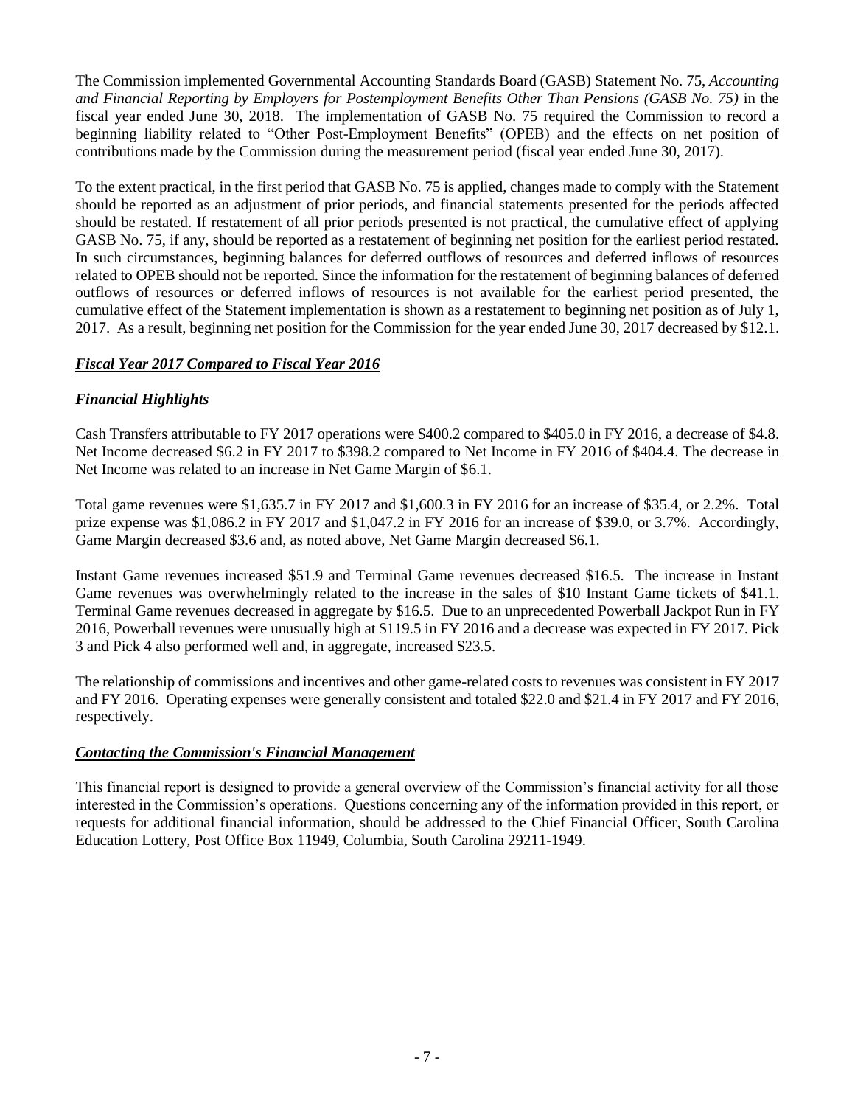The Commission implemented Governmental Accounting Standards Board (GASB) Statement No. 75, *Accounting and Financial Reporting by Employers for Postemployment Benefits Other Than Pensions (GASB No. 75)* in the fiscal year ended June 30, 2018. The implementation of GASB No. 75 required the Commission to record a beginning liability related to "Other Post-Employment Benefits" (OPEB) and the effects on net position of contributions made by the Commission during the measurement period (fiscal year ended June 30, 2017).

To the extent practical, in the first period that GASB No. 75 is applied, changes made to comply with the Statement should be reported as an adjustment of prior periods, and financial statements presented for the periods affected should be restated. If restatement of all prior periods presented is not practical, the cumulative effect of applying GASB No. 75, if any, should be reported as a restatement of beginning net position for the earliest period restated. In such circumstances, beginning balances for deferred outflows of resources and deferred inflows of resources related to OPEB should not be reported. Since the information for the restatement of beginning balances of deferred outflows of resources or deferred inflows of resources is not available for the earliest period presented, the cumulative effect of the Statement implementation is shown as a restatement to beginning net position as of July 1, 2017. As a result, beginning net position for the Commission for the year ended June 30, 2017 decreased by \$12.1.

## *Fiscal Year 2017 Compared to Fiscal Year 2016*

## *Financial Highlights*

Cash Transfers attributable to FY 2017 operations were \$400.2 compared to \$405.0 in FY 2016, a decrease of \$4.8. Net Income decreased \$6.2 in FY 2017 to \$398.2 compared to Net Income in FY 2016 of \$404.4. The decrease in Net Income was related to an increase in Net Game Margin of \$6.1.

Total game revenues were \$1,635.7 in FY 2017 and \$1,600.3 in FY 2016 for an increase of \$35.4, or 2.2%. Total prize expense was \$1,086.2 in FY 2017 and \$1,047.2 in FY 2016 for an increase of \$39.0, or 3.7%. Accordingly, Game Margin decreased \$3.6 and, as noted above, Net Game Margin decreased \$6.1.

Instant Game revenues increased \$51.9 and Terminal Game revenues decreased \$16.5. The increase in Instant Game revenues was overwhelmingly related to the increase in the sales of \$10 Instant Game tickets of \$41.1. Terminal Game revenues decreased in aggregate by \$16.5. Due to an unprecedented Powerball Jackpot Run in FY 2016, Powerball revenues were unusually high at \$119.5 in FY 2016 and a decrease was expected in FY 2017. Pick 3 and Pick 4 also performed well and, in aggregate, increased \$23.5.

The relationship of commissions and incentives and other game-related costs to revenues was consistent in FY 2017 and FY 2016. Operating expenses were generally consistent and totaled \$22.0 and \$21.4 in FY 2017 and FY 2016, respectively.

## *Contacting the Commission's Financial Management*

This financial report is designed to provide a general overview of the Commission's financial activity for all those interested in the Commission's operations. Questions concerning any of the information provided in this report, or requests for additional financial information, should be addressed to the Chief Financial Officer, South Carolina Education Lottery, Post Office Box 11949, Columbia, South Carolina 29211-1949.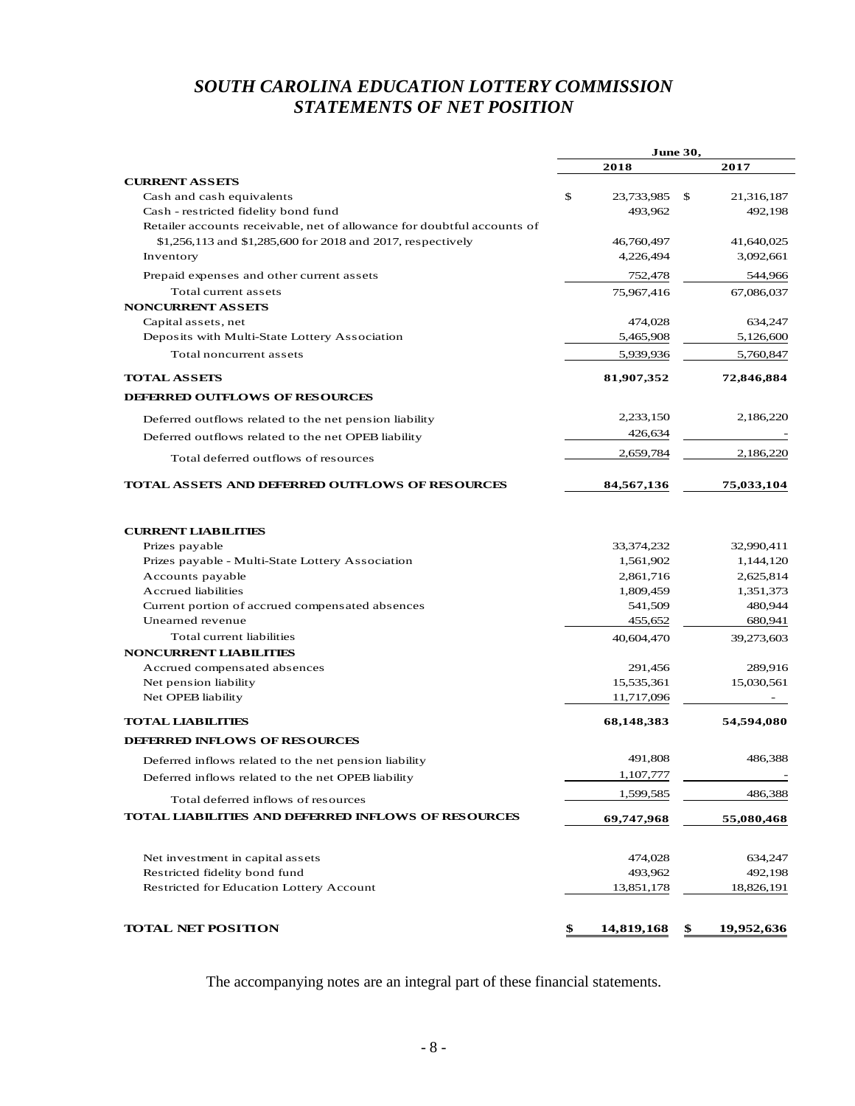# *SOUTH CAROLINA EDUCATION LOTTERY COMMISSION STATEMENTS OF NET POSITION*

|                                                                         | <b>June 30,</b> |            |     |            |
|-------------------------------------------------------------------------|-----------------|------------|-----|------------|
|                                                                         |                 | 2018       |     | 2017       |
| <b>CURRENT ASSETS</b>                                                   |                 |            |     |            |
| Cash and cash equivalents                                               | \$              | 23,733,985 | -\$ | 21,316,187 |
| Cash - restricted fidelity bond fund                                    |                 | 493,962    |     | 492,198    |
| Retailer accounts receivable, net of allowance for doubtful accounts of |                 |            |     |            |
| \$1,256,113 and \$1,285,600 for 2018 and 2017, respectively             |                 | 46,760,497 |     | 41,640,025 |
| Inventory                                                               |                 | 4,226,494  |     | 3,092,661  |
| Prepaid expenses and other current assets                               |                 | 752,478    |     | 544,966    |
| Total current assets                                                    |                 | 75,967,416 |     | 67,086,037 |
| <b>NONCURRENT ASSETS</b>                                                |                 |            |     |            |
| Capital assets, net                                                     |                 | 474,028    |     | 634,247    |
| Deposits with Multi-State Lottery Association                           |                 | 5,465,908  |     | 5,126,600  |
| Total noncurrent assets                                                 |                 | 5,939,936  |     | 5,760,847  |
| <b>TOTAL ASSETS</b>                                                     |                 | 81,907,352 |     | 72,846,884 |
| <b>DEFERRED OUTFLOWS OF RESOURCES</b>                                   |                 |            |     |            |
| Deferred outflows related to the net pension liability                  |                 | 2,233,150  |     | 2,186,220  |
| Deferred outflows related to the net OPEB liability                     |                 | 426,634    |     |            |
| Total deferred outflows of resources                                    |                 | 2,659,784  |     | 2,186,220  |
| <b>TOTAL ASSETS AND DEFERRED OUTFLOWS OF RESOURCES</b>                  |                 | 84,567,136 |     | 75,033,104 |
| <b>CURRENT LIABILITIES</b>                                              |                 |            |     |            |
| Prizes payable                                                          |                 | 33,374,232 |     | 32,990,411 |
| Prizes payable - Multi-State Lottery Association                        |                 | 1,561,902  |     | 1,144,120  |
| Accounts payable                                                        |                 | 2,861,716  |     | 2,625,814  |
| Accrued liabilities                                                     |                 | 1,809,459  |     | 1,351,373  |
| Current portion of accrued compensated absences                         |                 | 541,509    |     | 480,944    |
| Unearned revenue                                                        |                 | 455,652    |     | 680,941    |
| Total current liabilities                                               |                 | 40,604,470 |     | 39,273,603 |
| <b>NONCURRENT LIABILITIES</b>                                           |                 |            |     |            |
| Accrued compensated absences                                            |                 | 291,456    |     | 289,916    |
| Net pension liability                                                   |                 | 15,535,361 |     | 15,030,561 |
| Net OPEB liability                                                      |                 | 11,717,096 |     |            |
| <b>TOTAL LIABILITIES</b>                                                |                 | 68,148,383 |     | 54,594,080 |
| <b>DEFERRED INFLOWS OF RESOURCES</b>                                    |                 |            |     |            |
| Deferred inflows related to the net pension liability                   |                 | 491,808    |     | 486,388    |
| Deferred inflows related to the net OPEB liability                      |                 | 1,107,777  |     |            |
| Total deferred inflows of resources                                     |                 | 1,599,585  |     | 486,388    |
| <b>TOTAL LIABILITIES AND DEFERRED INFLOWS OF RESOURCES</b>              |                 | 69,747,968 |     | 55,080,468 |
| Net investment in capital assets                                        |                 | 474,028    |     | 634,247    |
| Restricted fidelity bond fund                                           |                 | 493,962    |     | 492,198    |
| Restricted for Education Lottery Account                                |                 | 13,851,178 |     | 18,826,191 |
|                                                                         |                 |            |     |            |
| <b>TOTAL NET POSITION</b>                                               | \$              | 14,819,168 | ъ   | 19,952,636 |

The accompanying notes are an integral part of these financial statements.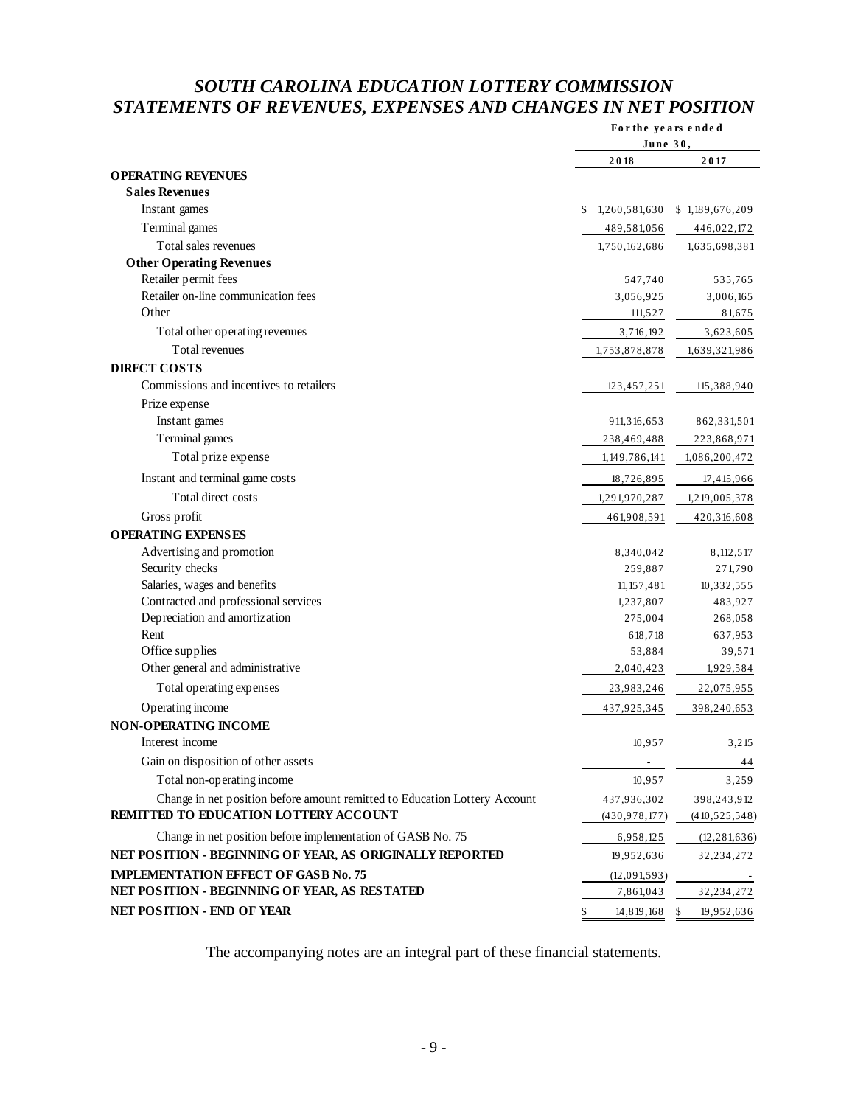# *SOUTH CAROLINA EDUCATION LOTTERY COMMISSION STATEMENTS OF REVENUES, EXPENSES AND CHANGES IN NET POSITION* **ISSION<br>N NET POSIT**<br>For the years ended<br>Inne 30

| STATEMENTS OF REVENUES, EXPENSES AND CHANGES IN NET POSITION               | For the years ended<br>June 30, |                 |  |
|----------------------------------------------------------------------------|---------------------------------|-----------------|--|
|                                                                            | 2018                            | 2017            |  |
| <b>OPERATING REVENUES</b>                                                  |                                 |                 |  |
| <b>Sales Revenues</b>                                                      |                                 |                 |  |
| Instant games                                                              | 1,260,581,630<br>\$             | \$1,189,676,209 |  |
| Terminal games                                                             | 489,581,056                     | 446,022,172     |  |
| Total sales revenues                                                       | 1,750,162,686                   | 1,635,698,381   |  |
| <b>Other Operating Revenues</b>                                            |                                 |                 |  |
| Retailer permit fees                                                       | 547,740                         | 535,765         |  |
| Retailer on-line communication fees                                        | 3,056,925                       | 3,006,165       |  |
| Other                                                                      | 111,527                         | 81,675          |  |
| Total other operating revenues                                             | 3,716,192                       | 3,623,605       |  |
| Total revenues                                                             | 1,753,878,878                   | 1,639,321,986   |  |
| <b>DIRECT COSTS</b>                                                        |                                 |                 |  |
| Commissions and incentives to retailers                                    | 123,457,251                     | 115,388,940     |  |
| Prize expense                                                              |                                 |                 |  |
| Instant games                                                              | 911,316,653                     | 862, 331, 501   |  |
| Terminal games                                                             | 238,469,488                     | 223,868,971     |  |
| Total prize expense                                                        | 1,149,786,141                   | 1,086,200,472   |  |
| Instant and terminal game costs                                            | 18,726,895                      | 17,415,966      |  |
| Total direct costs                                                         | 1,291,970,287                   | 1,219,005,378   |  |
| Gross profit                                                               | 461,908,591                     | 420,316,608     |  |
| <b>OPERATING EXPENSES</b>                                                  |                                 |                 |  |
| Advertising and promotion                                                  | 8,340,042                       | 8, 112, 517     |  |
| Security checks                                                            | 259,887                         | 271,790         |  |
| Salaries, wages and benefits                                               | 11, 157, 481                    | 10,332,555      |  |
| Contracted and professional services                                       | 1,237,807                       | 483,927         |  |
| Depreciation and amortization                                              | 275,004                         | 268,058         |  |
| Rent                                                                       | 618,718                         | 637,953         |  |
| Office supplies                                                            | 53,884                          | 39,571          |  |
| Other general and administrative                                           | 2,040,423                       | 1,929,584       |  |
| Total operating expenses                                                   | 23,983,246                      | 22,075,955      |  |
| Operating income                                                           | 437,925,345                     | 398,240,653     |  |
| <b>NON-OPERATING INCOME</b>                                                |                                 |                 |  |
| Interest income                                                            | 10,957                          | 3,215           |  |
| Gain on disposition of other assets                                        |                                 | 44              |  |
| Total non-operating income                                                 | 10,957                          | 3,259           |  |
| Change in net position before amount remitted to Education Lottery Account | 437,936,302                     | 398,243,912     |  |
| REMITTED TO EDUCATION LOTTERY ACCOUNT                                      | (430, 978, 177)                 | (410, 525, 548) |  |
| Change in net position before implementation of GASB No. 75                | 6,958,125                       | (12, 281, 636)  |  |
| NET POSITION - BEGINNING OF YEAR, AS ORIGINALLY REPORTED                   | 19,952,636                      | 32,234,272      |  |
| <b>IMPLEMENTATION EFFECT OF GASB No. 75</b>                                | (12,091,593)                    |                 |  |
| NET POSITION - BEGINNING OF YEAR, AS RESTATED                              | 7,861,043                       | 32,234,272      |  |
| NET POSITION - END OF YEAR                                                 | \$<br>14,819,168 \$             | 19,952,636      |  |

The accompanying notes are an integral part of these financial statements.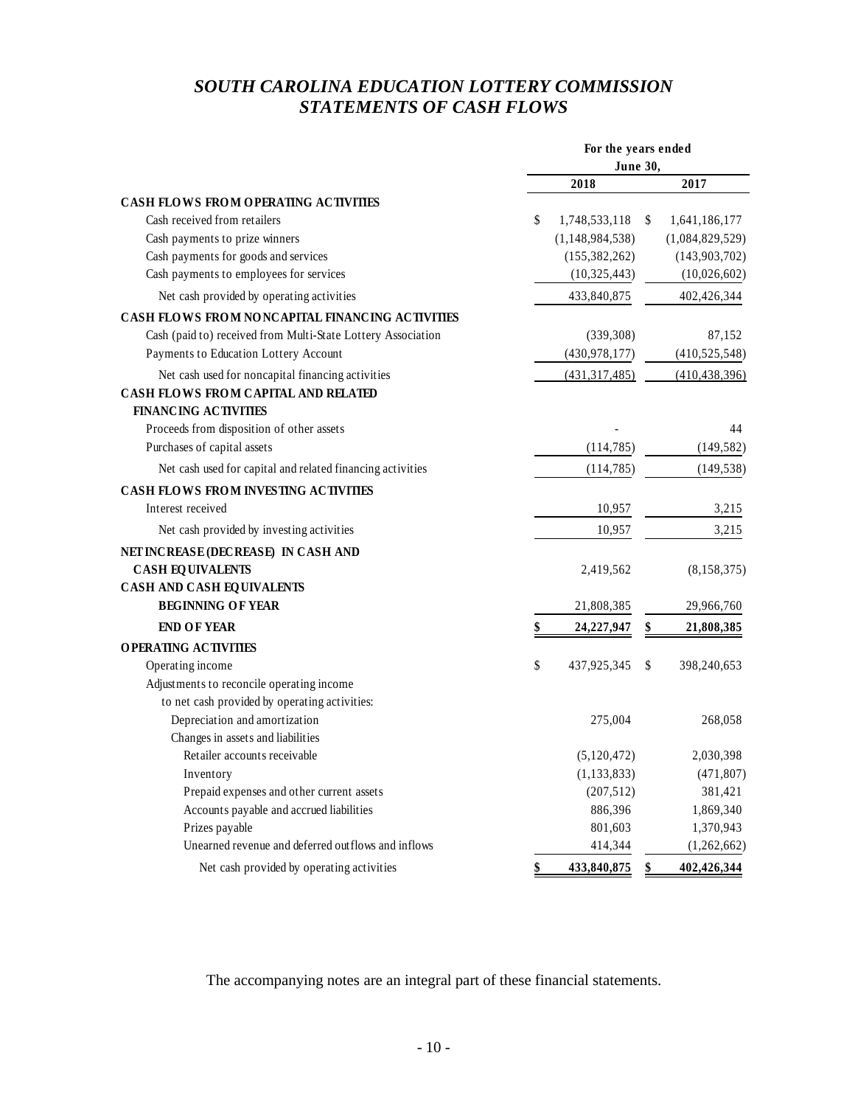# *SOUTH CAROLINA EDUCATION LOTTERY COMMISSION STATEMENTS OF CASH FLOWS*

|                                                              | For the years ended |                    |    |                 |  |
|--------------------------------------------------------------|---------------------|--------------------|----|-----------------|--|
|                                                              |                     | <b>June 30,</b>    |    |                 |  |
|                                                              |                     | 2018               |    | 2017            |  |
| <b>CASH FLOWS FROM OPERATING ACTIVITIES</b>                  |                     |                    |    |                 |  |
| Cash received from retailers                                 | \$                  | 1,748,533,118      | \$ | 1,641,186,177   |  |
| Cash payments to prize winners                               |                     | (1, 148, 984, 538) |    | (1,084,829,529) |  |
| Cash payments for goods and services                         |                     | (155, 382, 262)    |    | (143, 903, 702) |  |
| Cash payments to employees for services                      |                     | (10, 325, 443)     |    | (10,026,602)    |  |
| Net cash provided by operating activities                    |                     | 433,840,875        |    | 402,426,344     |  |
| CASH FLOWS FROM NONCAPITAL FINANCING ACTIVITIES              |                     |                    |    |                 |  |
| Cash (paid to) received from Multi-State Lottery Association |                     | (339,308)          |    | 87,152          |  |
| Payments to Education Lottery Account                        |                     | (430, 978, 177)    |    | (410, 525, 548) |  |
| Net cash used for noncapital financing activities            |                     | (431,317,485)      |    | (410, 438, 396) |  |
| CASH FLOWS FROM CAPITAL AND RELATED                          |                     |                    |    |                 |  |
| <b>FINANCING ACTIVITIES</b>                                  |                     |                    |    |                 |  |
| Proceeds from disposition of other assets                    |                     |                    |    | 44              |  |
| Purchases of capital assets                                  |                     | (114, 785)         |    | (149, 582)      |  |
| Net cash used for capital and related financing activities   |                     | (114, 785)         |    | (149, 538)      |  |
| CASH FLOWS FROM INVESTING ACTIVITIES                         |                     |                    |    |                 |  |
| Interest received                                            |                     | 10,957             |    | 3,215           |  |
| Net cash provided by investing activities                    |                     | 10,957             |    | 3,215           |  |
| NET INCREASE (DECREASE) IN CASH AND                          |                     |                    |    |                 |  |
| <b>CASH EQUIVALENTS</b>                                      |                     | 2,419,562          |    | (8, 158, 375)   |  |
| CASH AND CASH EQUIVALENTS                                    |                     |                    |    |                 |  |
| <b>BEGINNING OF YEAR</b>                                     |                     | 21,808,385         |    | 29,966,760      |  |
| <b>END OF YEAR</b>                                           | \$                  | 24,227,947         | \$ | 21,808,385      |  |
| <b>OPERATING ACTIVITIES</b>                                  |                     |                    |    |                 |  |
| Operating income                                             | \$                  | 437,925,345        | \$ | 398,240,653     |  |
| Adjustments to reconcile operating income                    |                     |                    |    |                 |  |
| to net cash provided by operating activities:                |                     |                    |    |                 |  |
| Depreciation and amortization                                |                     | 275,004            |    | 268,058         |  |
| Changes in assets and liabilities                            |                     |                    |    |                 |  |
| Retailer accounts receivable                                 |                     | (5, 120, 472)      |    | 2,030,398       |  |
| Inventory                                                    |                     | (1, 133, 833)      |    | (471, 807)      |  |
| Prepaid expenses and other current assets                    |                     | (207,512)          |    | 381,421         |  |
| Accounts payable and accrued liabilities                     |                     | 886,396            |    | 1,869,340       |  |
| Prizes payable                                               |                     | 801,603            |    | 1,370,943       |  |
| Unearned revenue and deferred outflows and inflows           |                     | 414,344            |    | (1,262,662)     |  |
| Net cash provided by operating activities                    | \$                  | 433,840,875        | \$ | 402,426,344     |  |

The accompanying notes are an integral part of these financial statements.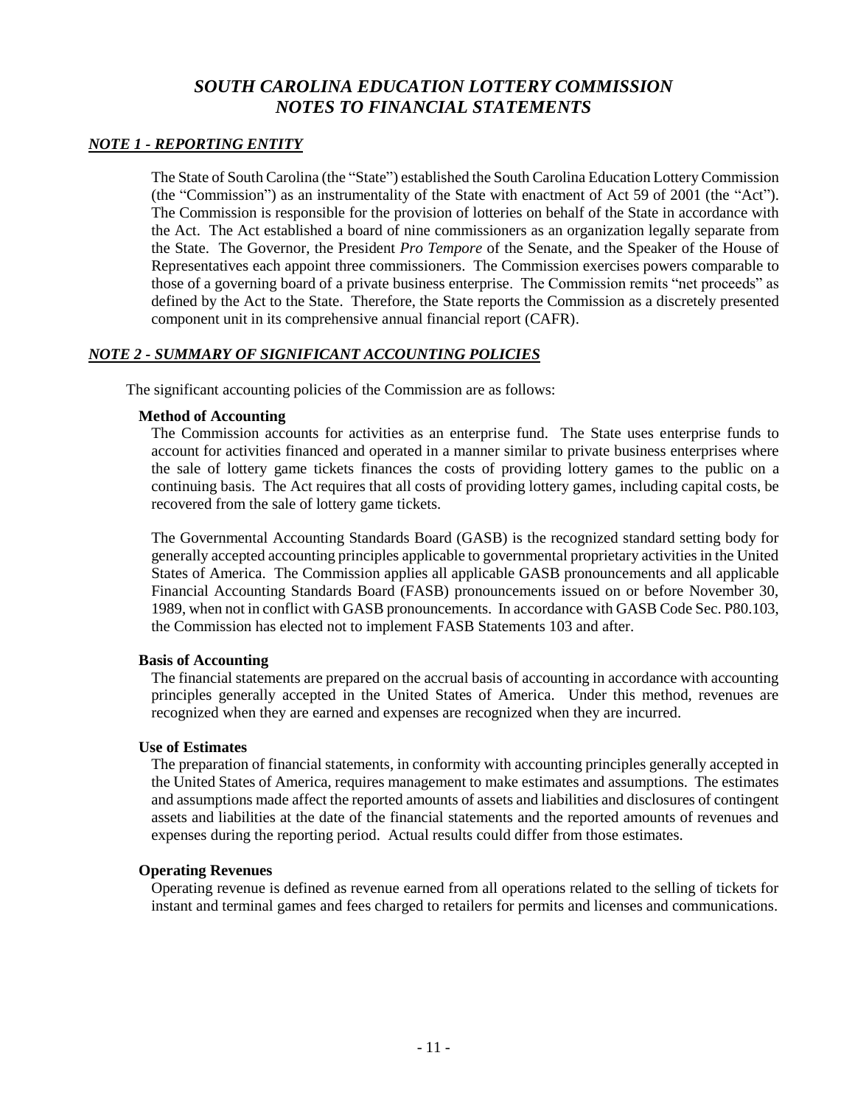# *SOUTH CAROLINA EDUCATION LOTTERY COMMISSION NOTES TO FINANCIAL STATEMENTS*

## *NOTE 1 - REPORTING ENTITY*

The State of South Carolina (the "State") established the South Carolina Education Lottery Commission (the "Commission") as an instrumentality of the State with enactment of Act 59 of 2001 (the "Act"). The Commission is responsible for the provision of lotteries on behalf of the State in accordance with the Act. The Act established a board of nine commissioners as an organization legally separate from the State. The Governor, the President *Pro Tempore* of the Senate, and the Speaker of the House of Representatives each appoint three commissioners. The Commission exercises powers comparable to those of a governing board of a private business enterprise. The Commission remits "net proceeds" as defined by the Act to the State. Therefore, the State reports the Commission as a discretely presented component unit in its comprehensive annual financial report (CAFR).

## *NOTE 2 - SUMMARY OF SIGNIFICANT ACCOUNTING POLICIES*

The significant accounting policies of the Commission are as follows:

## **Method of Accounting**

The Commission accounts for activities as an enterprise fund. The State uses enterprise funds to account for activities financed and operated in a manner similar to private business enterprises where the sale of lottery game tickets finances the costs of providing lottery games to the public on a continuing basis. The Act requires that all costs of providing lottery games, including capital costs, be recovered from the sale of lottery game tickets.

The Governmental Accounting Standards Board (GASB) is the recognized standard setting body for generally accepted accounting principles applicable to governmental proprietary activities in the United States of America. The Commission applies all applicable GASB pronouncements and all applicable Financial Accounting Standards Board (FASB) pronouncements issued on or before November 30, 1989, when not in conflict with GASB pronouncements. In accordance with GASB Code Sec. P80.103, the Commission has elected not to implement FASB Statements 103 and after.

## **Basis of Accounting**

The financial statements are prepared on the accrual basis of accounting in accordance with accounting principles generally accepted in the United States of America. Under this method, revenues are recognized when they are earned and expenses are recognized when they are incurred.

## **Use of Estimates**

The preparation of financial statements, in conformity with accounting principles generally accepted in the United States of America, requires management to make estimates and assumptions. The estimates and assumptions made affect the reported amounts of assets and liabilities and disclosures of contingent assets and liabilities at the date of the financial statements and the reported amounts of revenues and expenses during the reporting period. Actual results could differ from those estimates.

## **Operating Revenues**

Operating revenue is defined as revenue earned from all operations related to the selling of tickets for instant and terminal games and fees charged to retailers for permits and licenses and communications.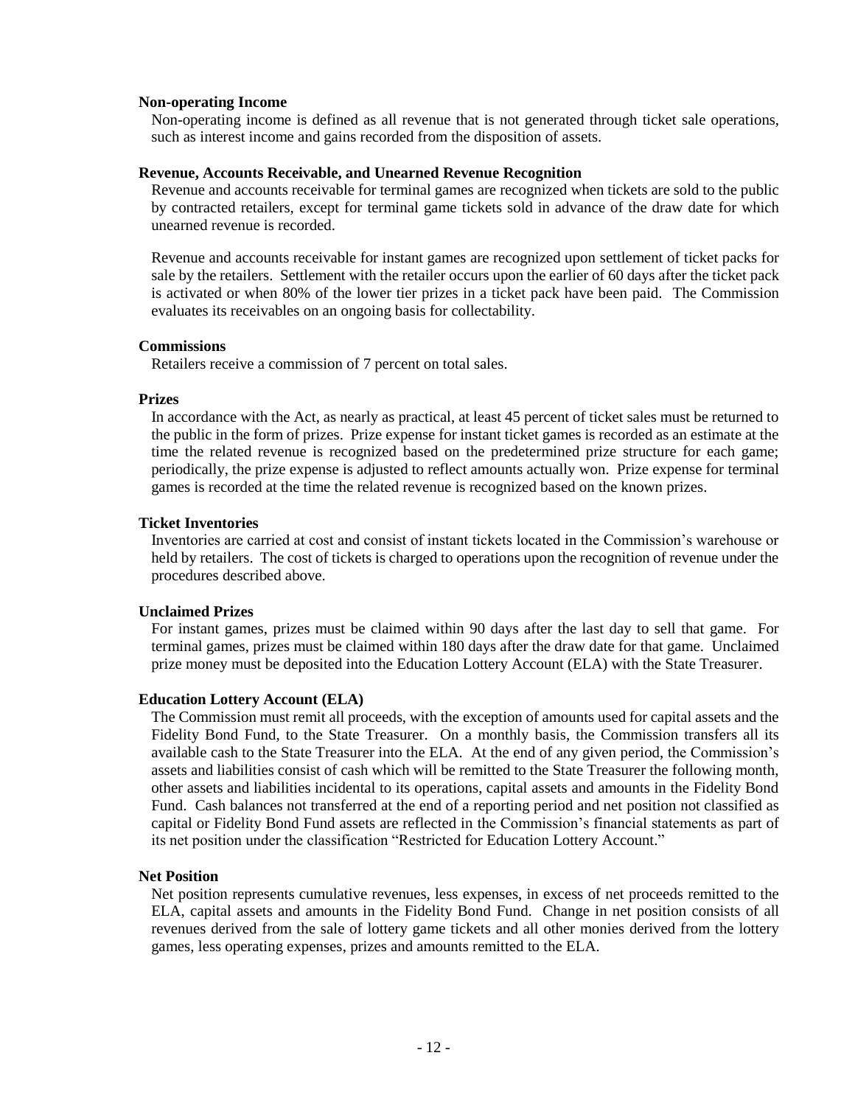#### **Non-operating Income**

Non-operating income is defined as all revenue that is not generated through ticket sale operations, such as interest income and gains recorded from the disposition of assets.

#### **Revenue, Accounts Receivable, and Unearned Revenue Recognition**

Revenue and accounts receivable for terminal games are recognized when tickets are sold to the public by contracted retailers, except for terminal game tickets sold in advance of the draw date for which unearned revenue is recorded.

Revenue and accounts receivable for instant games are recognized upon settlement of ticket packs for sale by the retailers. Settlement with the retailer occurs upon the earlier of 60 days after the ticket pack is activated or when 80% of the lower tier prizes in a ticket pack have been paid. The Commission evaluates its receivables on an ongoing basis for collectability.

#### **Commissions**

Retailers receive a commission of 7 percent on total sales.

#### **Prizes**

In accordance with the Act, as nearly as practical, at least 45 percent of ticket sales must be returned to the public in the form of prizes. Prize expense for instant ticket games is recorded as an estimate at the time the related revenue is recognized based on the predetermined prize structure for each game; periodically, the prize expense is adjusted to reflect amounts actually won. Prize expense for terminal games is recorded at the time the related revenue is recognized based on the known prizes.

#### **Ticket Inventories**

Inventories are carried at cost and consist of instant tickets located in the Commission's warehouse or held by retailers. The cost of tickets is charged to operations upon the recognition of revenue under the procedures described above.

#### **Unclaimed Prizes**

For instant games, prizes must be claimed within 90 days after the last day to sell that game. For terminal games, prizes must be claimed within 180 days after the draw date for that game. Unclaimed prize money must be deposited into the Education Lottery Account (ELA) with the State Treasurer.

#### **Education Lottery Account (ELA)**

The Commission must remit all proceeds, with the exception of amounts used for capital assets and the Fidelity Bond Fund, to the State Treasurer. On a monthly basis, the Commission transfers all its available cash to the State Treasurer into the ELA. At the end of any given period, the Commission's assets and liabilities consist of cash which will be remitted to the State Treasurer the following month, other assets and liabilities incidental to its operations, capital assets and amounts in the Fidelity Bond Fund. Cash balances not transferred at the end of a reporting period and net position not classified as capital or Fidelity Bond Fund assets are reflected in the Commission's financial statements as part of its net position under the classification "Restricted for Education Lottery Account."

#### **Net Position**

Net position represents cumulative revenues, less expenses, in excess of net proceeds remitted to the ELA, capital assets and amounts in the Fidelity Bond Fund.Change in net position consists of all revenues derived from the sale of lottery game tickets and all other monies derived from the lottery games, less operating expenses, prizes and amounts remitted to the ELA.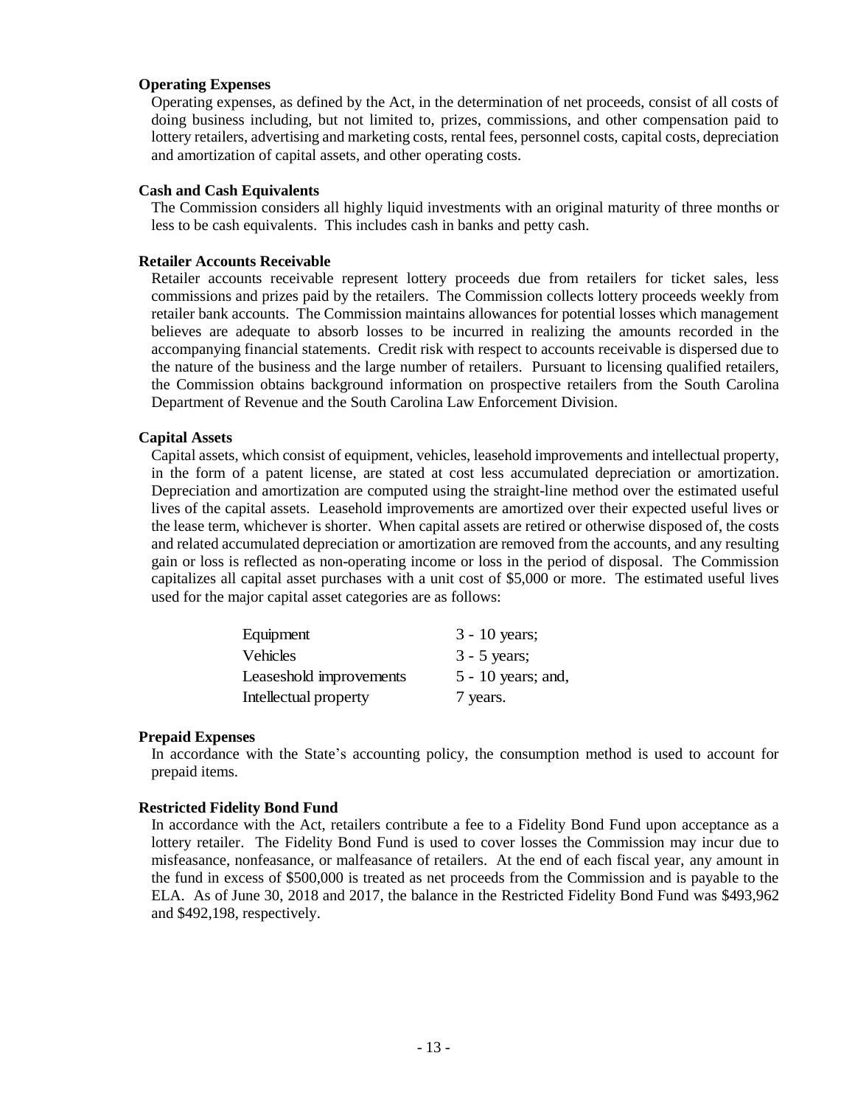## **Operating Expenses**

Operating expenses, as defined by the Act, in the determination of net proceeds, consist of all costs of doing business including, but not limited to, prizes, commissions, and other compensation paid to lottery retailers, advertising and marketing costs, rental fees, personnel costs, capital costs, depreciation and amortization of capital assets, and other operating costs.

#### **Cash and Cash Equivalents**

The Commission considers all highly liquid investments with an original maturity of three months or less to be cash equivalents. This includes cash in banks and petty cash.

## **Retailer Accounts Receivable**

Retailer accounts receivable represent lottery proceeds due from retailers for ticket sales, less commissions and prizes paid by the retailers. The Commission collects lottery proceeds weekly from retailer bank accounts. The Commission maintains allowances for potential losses which management believes are adequate to absorb losses to be incurred in realizing the amounts recorded in the accompanying financial statements. Credit risk with respect to accounts receivable is dispersed due to the nature of the business and the large number of retailers. Pursuant to licensing qualified retailers, the Commission obtains background information on prospective retailers from the South Carolina Department of Revenue and the South Carolina Law Enforcement Division.

## **Capital Assets**

Capital assets, which consist of equipment, vehicles, leasehold improvements and intellectual property, in the form of a patent license, are stated at cost less accumulated depreciation or amortization. Depreciation and amortization are computed using the straight-line method over the estimated useful lives of the capital assets. Leasehold improvements are amortized over their expected useful lives or the lease term, whichever is shorter. When capital assets are retired or otherwise disposed of, the costs and related accumulated depreciation or amortization are removed from the accounts, and any resulting gain or loss is reflected as non-operating income or loss in the period of disposal. The Commission capitalizes all capital asset purchases with a unit cost of \$5,000 or more. The estimated useful lives used for the major capital asset categories are as follows:

| Equipment               | $3 - 10$ years;    |
|-------------------------|--------------------|
| Vehicles                | $3 - 5$ years;     |
| Leaseshold improvements | 5 - 10 years; and, |
| Intellectual property   | 7 years.           |

#### **Prepaid Expenses**

In accordance with the State's accounting policy, the consumption method is used to account for prepaid items.

#### **Restricted Fidelity Bond Fund**

In accordance with the Act, retailers contribute a fee to a Fidelity Bond Fund upon acceptance as a lottery retailer. The Fidelity Bond Fund is used to cover losses the Commission may incur due to misfeasance, nonfeasance, or malfeasance of retailers. At the end of each fiscal year, any amount in the fund in excess of \$500,000 is treated as net proceeds from the Commission and is payable to the ELA. As of June 30, 2018 and 2017, the balance in the Restricted Fidelity Bond Fund was \$493,962 and \$492,198, respectively.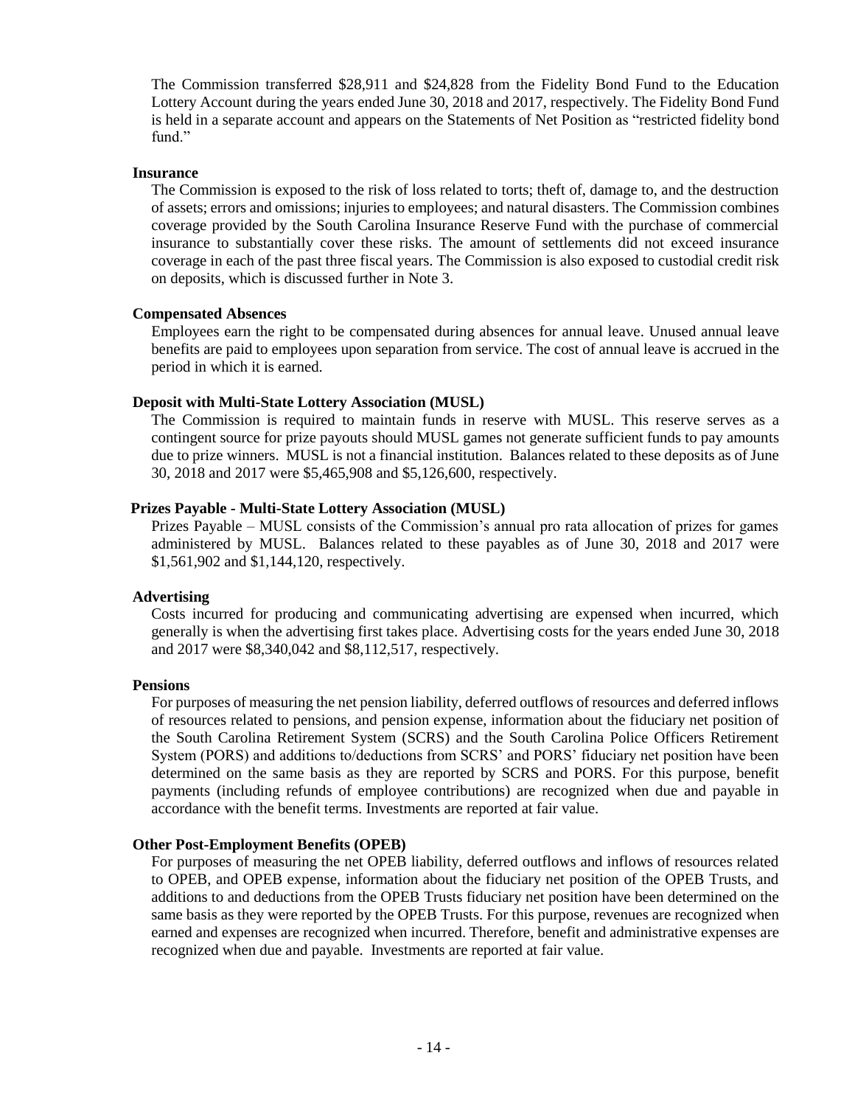The Commission transferred \$28,911 and \$24,828 from the Fidelity Bond Fund to the Education Lottery Account during the years ended June 30, 2018 and 2017, respectively. The Fidelity Bond Fund is held in a separate account and appears on the Statements of Net Position as "restricted fidelity bond fund."

#### **Insurance**

The Commission is exposed to the risk of loss related to torts; theft of, damage to, and the destruction of assets; errors and omissions; injuries to employees; and natural disasters. The Commission combines coverage provided by the South Carolina Insurance Reserve Fund with the purchase of commercial insurance to substantially cover these risks. The amount of settlements did not exceed insurance coverage in each of the past three fiscal years. The Commission is also exposed to custodial credit risk on deposits, which is discussed further in Note 3.

### **Compensated Absences**

Employees earn the right to be compensated during absences for annual leave. Unused annual leave benefits are paid to employees upon separation from service. The cost of annual leave is accrued in the period in which it is earned.

#### **Deposit with Multi-State Lottery Association (MUSL)**

The Commission is required to maintain funds in reserve with MUSL. This reserve serves as a contingent source for prize payouts should MUSL games not generate sufficient funds to pay amounts due to prize winners. MUSL is not a financial institution. Balances related to these deposits as of June 30, 2018 and 2017 were \$5,465,908 and \$5,126,600, respectively.

#### **Prizes Payable - Multi-State Lottery Association (MUSL)**

Prizes Payable – MUSL consists of the Commission's annual pro rata allocation of prizes for games administered by MUSL. Balances related to these payables as of June 30, 2018 and 2017 were \$1,561,902 and \$1,144,120, respectively.

#### **Advertising**

Costs incurred for producing and communicating advertising are expensed when incurred, which generally is when the advertising first takes place. Advertising costs for the years ended June 30, 2018 and 2017 were \$8,340,042 and \$8,112,517, respectively.

#### **Pensions**

For purposes of measuring the net pension liability, deferred outflows of resources and deferred inflows of resources related to pensions, and pension expense, information about the fiduciary net position of the South Carolina Retirement System (SCRS) and the South Carolina Police Officers Retirement System (PORS) and additions to/deductions from SCRS' and PORS' fiduciary net position have been determined on the same basis as they are reported by SCRS and PORS. For this purpose, benefit payments (including refunds of employee contributions) are recognized when due and payable in accordance with the benefit terms. Investments are reported at fair value.

## **Other Post-Employment Benefits (OPEB)**

For purposes of measuring the net OPEB liability, deferred outflows and inflows of resources related to OPEB, and OPEB expense, information about the fiduciary net position of the OPEB Trusts, and additions to and deductions from the OPEB Trusts fiduciary net position have been determined on the same basis as they were reported by the OPEB Trusts. For this purpose, revenues are recognized when earned and expenses are recognized when incurred. Therefore, benefit and administrative expenses are recognized when due and payable. Investments are reported at fair value.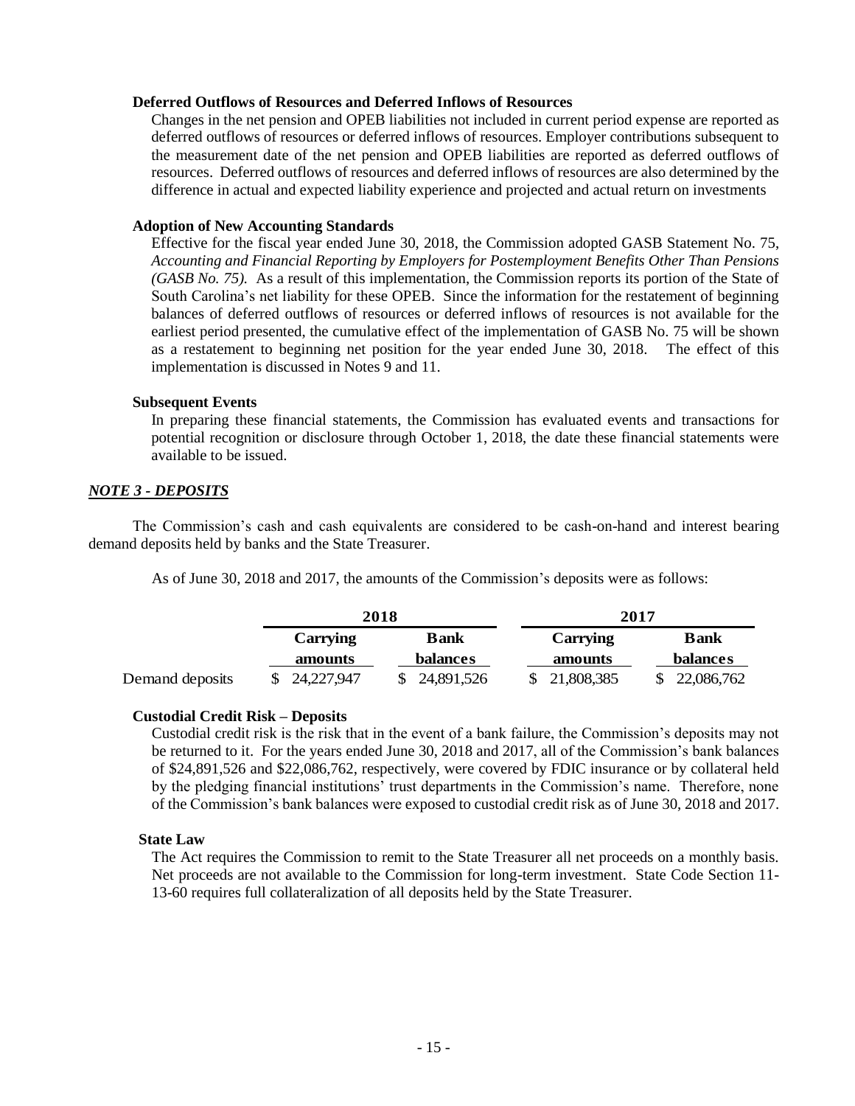## **Deferred Outflows of Resources and Deferred Inflows of Resources**

Changes in the net pension and OPEB liabilities not included in current period expense are reported as deferred outflows of resources or deferred inflows of resources. Employer contributions subsequent to the measurement date of the net pension and OPEB liabilities are reported as deferred outflows of resources. Deferred outflows of resources and deferred inflows of resources are also determined by the difference in actual and expected liability experience and projected and actual return on investments

#### **Adoption of New Accounting Standards**

Effective for the fiscal year ended June 30, 2018, the Commission adopted GASB Statement No. 75, *Accounting and Financial Reporting by Employers for Postemployment Benefits Other Than Pensions (GASB No. 75).* As a result of this implementation, the Commission reports its portion of the State of South Carolina's net liability for these OPEB. Since the information for the restatement of beginning balances of deferred outflows of resources or deferred inflows of resources is not available for the earliest period presented, the cumulative effect of the implementation of GASB No. 75 will be shown as a restatement to beginning net position for the year ended June 30, 2018. The effect of this implementation is discussed in Notes 9 and 11.

#### **Subsequent Events**

In preparing these financial statements, the Commission has evaluated events and transactions for potential recognition or disclosure through October 1, 2018, the date these financial statements were available to be issued.

### *NOTE 3 - DEPOSITS*

The Commission's cash and cash equivalents are considered to be cash-on-hand and interest bearing demand deposits held by banks and the State Treasurer.

As of June 30, 2018 and 2017, the amounts of the Commission's deposits were as follows:

|                 |                 | 2018       | 2017       |                 |
|-----------------|-----------------|------------|------------|-----------------|
|                 | <b>Carrying</b> | Bank       | Carrying   | <b>B</b> ank    |
|                 | amounts         | balances   | amounts    | <b>balances</b> |
| Demand deposits | 24,227,947      | 24,891,526 | 21,808,385 | 22,086,762      |

#### **Custodial Credit Risk – Deposits**

Custodial credit risk is the risk that in the event of a bank failure, the Commission's deposits may not be returned to it. For the years ended June 30, 2018 and 2017, all of the Commission's bank balances of \$24,891,526 and \$22,086,762, respectively, were covered by FDIC insurance or by collateral held by the pledging financial institutions' trust departments in the Commission's name. Therefore, none of the Commission's bank balances were exposed to custodial credit risk as of June 30, 2018 and 2017.

#### **State Law**

The Act requires the Commission to remit to the State Treasurer all net proceeds on a monthly basis. Net proceeds are not available to the Commission for long-term investment. State Code Section 11- 13-60 requires full collateralization of all deposits held by the State Treasurer.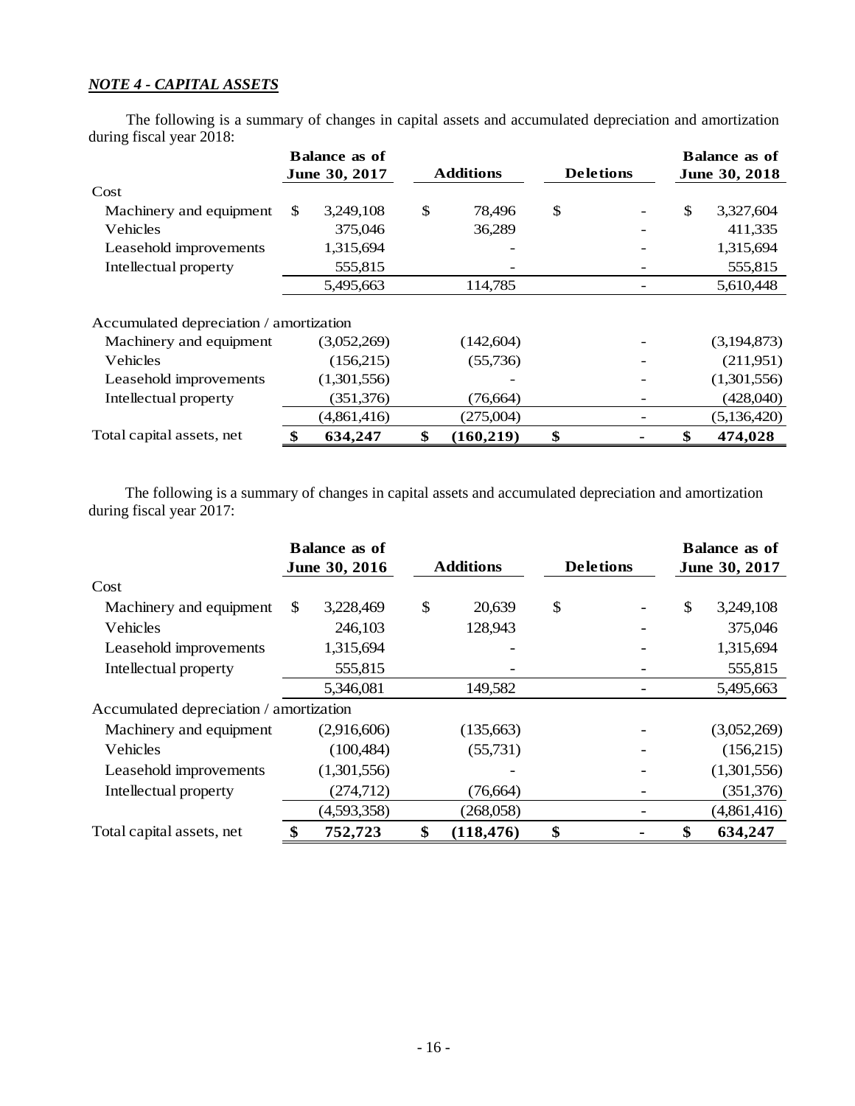## *NOTE 4 - CAPITAL ASSETS*

The following is a summary of changes in capital assets and accumulated depreciation and amortization during fiscal year 2018:

|                                         |               | <b>Balance as of</b> |                  |            |                  |  |               | <b>Balance as of</b> |
|-----------------------------------------|---------------|----------------------|------------------|------------|------------------|--|---------------|----------------------|
|                                         | June 30, 2017 |                      | <b>Additions</b> |            | <b>Deletions</b> |  | June 30, 2018 |                      |
| Cost                                    |               |                      |                  |            |                  |  |               |                      |
| Machinery and equipment                 | \$            | 3,249,108            | \$               | 78,496     | \$               |  | \$            | 3,327,604            |
| Vehicles                                |               | 375,046              |                  | 36,289     |                  |  |               | 411,335              |
| Leasehold improvements                  |               | 1,315,694            |                  |            |                  |  |               | 1,315,694            |
| Intellectual property                   |               | 555,815              |                  |            |                  |  |               | 555,815              |
|                                         |               | 5,495,663            |                  | 114,785    |                  |  |               | 5,610,448            |
|                                         |               |                      |                  |            |                  |  |               |                      |
| Accumulated depreciation / amortization |               |                      |                  |            |                  |  |               |                      |
| Machinery and equipment                 |               | (3,052,269)          |                  | (142,604)  |                  |  |               | (3,194,873)          |
| Vehicles                                |               | (156,215)            |                  | (55,736)   |                  |  |               | (211,951)            |
| Leasehold improvements                  |               | (1,301,556)          |                  |            |                  |  |               | (1,301,556)          |
| Intellectual property                   |               | (351,376)            |                  | (76,664)   |                  |  |               | (428,040)            |
|                                         |               | (4,861,416)          |                  | (275,004)  |                  |  |               | (5, 136, 420)        |
| Total capital assets, net               | \$            | 634,247              | \$               | (160, 219) | \$               |  | \$            | 474,028              |

 The following is a summary of changes in capital assets and accumulated depreciation and amortization during fiscal year 2017:

|                                         |               | <b>Balance as of</b> |                  |            |                  |               | <b>Balance as of</b> |
|-----------------------------------------|---------------|----------------------|------------------|------------|------------------|---------------|----------------------|
|                                         | June 30, 2016 |                      | <b>Additions</b> |            | <b>Deletions</b> | June 30, 2017 |                      |
| Cost                                    |               |                      |                  |            |                  |               |                      |
| Machinery and equipment                 | \$            | 3,228,469            | \$               | 20,639     | \$               | \$            | 3,249,108            |
| Vehicles                                |               | 246,103              |                  | 128,943    |                  |               | 375,046              |
| Leasehold improvements                  |               | 1,315,694            |                  |            |                  |               | 1,315,694            |
| Intellectual property                   |               | 555,815              |                  |            |                  |               | 555,815              |
|                                         |               | 5,346,081            |                  | 149,582    |                  |               | 5,495,663            |
| Accumulated depreciation / amortization |               |                      |                  |            |                  |               |                      |
| Machinery and equipment                 |               | (2,916,606)          |                  | (135,663)  |                  |               | (3,052,269)          |
| Vehicles                                |               | (100, 484)           |                  | (55,731)   |                  |               | (156,215)            |
| Leasehold improvements                  |               | (1,301,556)          |                  |            |                  |               | (1,301,556)          |
| Intellectual property                   |               | (274, 712)           |                  | (76, 664)  |                  |               | (351, 376)           |
|                                         |               | (4,593,358)          |                  | (268,058)  |                  |               | (4,861,416)          |
| Total capital assets, net               | \$            | 752,723              | \$               | (118, 476) | \$               | \$            | 634,247              |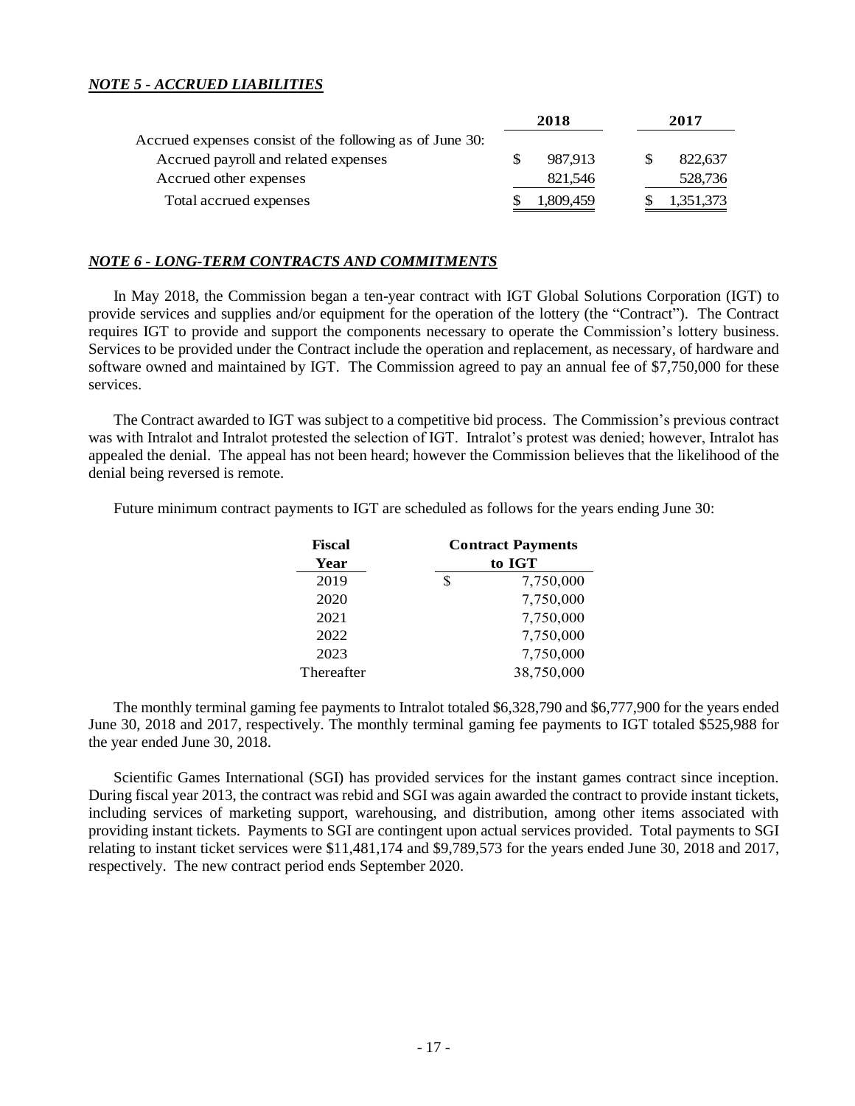## *NOTE 5 - ACCRUED LIABILITIES*

|                                                          | 2018      | 2017      |
|----------------------------------------------------------|-----------|-----------|
| Accrued expenses consist of the following as of June 30: |           |           |
| Accrued payroll and related expenses                     | 987.913   | 822.637   |
| Accrued other expenses                                   | 821,546   | 528,736   |
| Total accrued expenses                                   | 1,809,459 | 1,351,373 |

## *NOTE 6 - LONG-TERM CONTRACTS AND COMMITMENTS*

In May 2018, the Commission began a ten-year contract with IGT Global Solutions Corporation (IGT) to provide services and supplies and/or equipment for the operation of the lottery (the "Contract"). The Contract requires IGT to provide and support the components necessary to operate the Commission's lottery business. Services to be provided under the Contract include the operation and replacement, as necessary, of hardware and software owned and maintained by IGT. The Commission agreed to pay an annual fee of \$7,750,000 for these services.

The Contract awarded to IGT was subject to a competitive bid process. The Commission's previous contract was with Intralot and Intralot protested the selection of IGT. Intralot's protest was denied; however, Intralot has appealed the denial. The appeal has not been heard; however the Commission believes that the likelihood of the denial being reversed is remote.

| <b>Fiscal</b> | <b>Contract Payments</b> |            |  |  |  |  |  |  |
|---------------|--------------------------|------------|--|--|--|--|--|--|
| Year          |                          | to IGT     |  |  |  |  |  |  |
| 2019          | S                        | 7,750,000  |  |  |  |  |  |  |
| 2020          |                          | 7,750,000  |  |  |  |  |  |  |
| 2021          |                          | 7,750,000  |  |  |  |  |  |  |
| 2022          |                          | 7,750,000  |  |  |  |  |  |  |
| 2023          |                          | 7,750,000  |  |  |  |  |  |  |
| Thereafter    |                          | 38,750,000 |  |  |  |  |  |  |

Future minimum contract payments to IGT are scheduled as follows for the years ending June 30:

The monthly terminal gaming fee payments to Intralot totaled \$6,328,790 and \$6,777,900 for the years ended June 30, 2018 and 2017, respectively. The monthly terminal gaming fee payments to IGT totaled \$525,988 for the year ended June 30, 2018.

Scientific Games International (SGI) has provided services for the instant games contract since inception. During fiscal year 2013, the contract was rebid and SGI was again awarded the contract to provide instant tickets, including services of marketing support, warehousing, and distribution, among other items associated with providing instant tickets. Payments to SGI are contingent upon actual services provided. Total payments to SGI relating to instant ticket services were \$11,481,174 and \$9,789,573 for the years ended June 30, 2018 and 2017, respectively. The new contract period ends September 2020.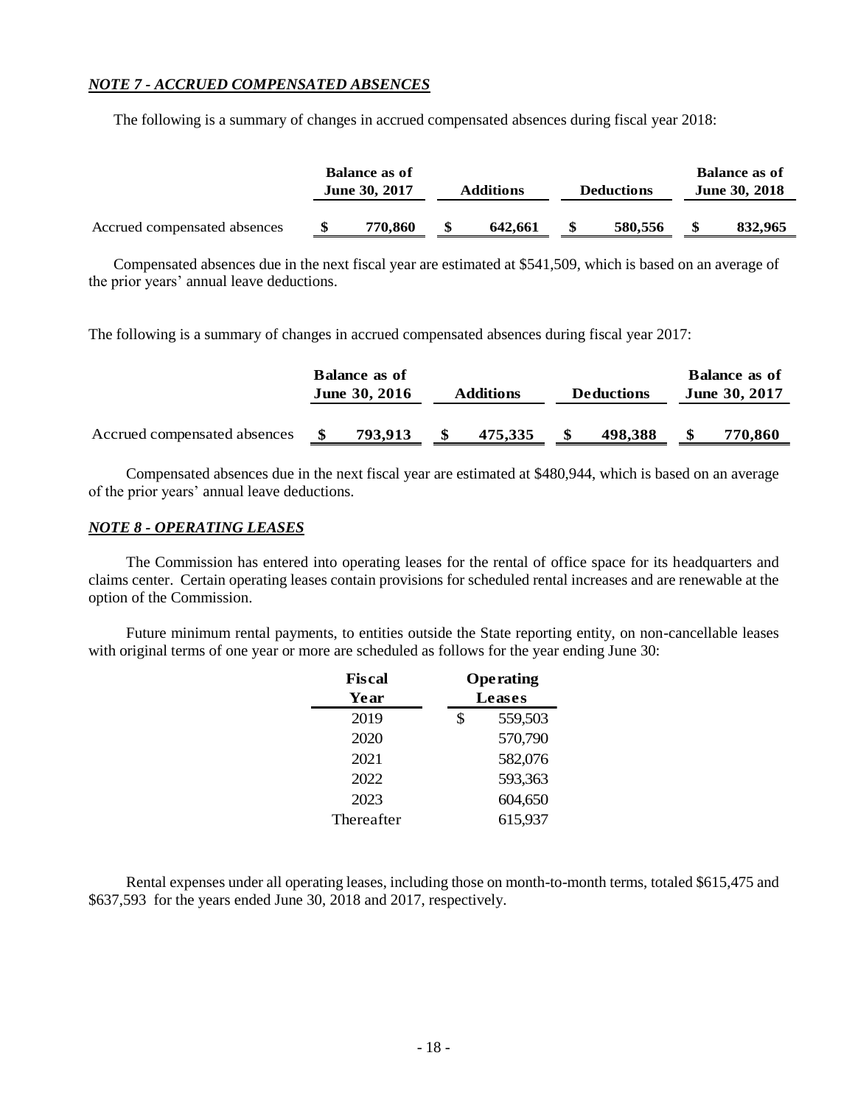## *NOTE 7 - ACCRUED COMPENSATED ABSENCES*

The following is a summary of changes in accrued compensated absences during fiscal year 2018:

|                              | <b>Balance as of</b><br><b>June 30, 2017</b> |  | <b>Additions</b> |  | <b>Deductions</b> |  | <b>Balance as of</b><br><b>June 30, 2018</b> |  |
|------------------------------|----------------------------------------------|--|------------------|--|-------------------|--|----------------------------------------------|--|
| Accrued compensated absences | 770.860                                      |  | 642.661          |  | 580,556           |  | 832,965                                      |  |

Compensated absences due in the next fiscal year are estimated at \$541,509, which is based on an average of the prior years' annual leave deductions.

The following is a summary of changes in accrued compensated absences during fiscal year 2017:

|                              | <b>Balance as of</b><br>June 30, 2016 |         | <b>Additions</b> |         | <b>Deductions</b> |         | <b>Balance as of</b><br>June 30, 2017 |         |
|------------------------------|---------------------------------------|---------|------------------|---------|-------------------|---------|---------------------------------------|---------|
| Accrued compensated absences |                                       | 793.913 |                  | 475.335 |                   | 498,388 |                                       | 770,860 |

Compensated absences due in the next fiscal year are estimated at \$480,944, which is based on an average of the prior years' annual leave deductions.

#### *NOTE 8 - OPERATING LEASES*

The Commission has entered into operating leases for the rental of office space for its headquarters and claims center. Certain operating leases contain provisions for scheduled rental increases and are renewable at the option of the Commission.

Future minimum rental payments, to entities outside the State reporting entity, on non-cancellable leases with original terms of one year or more are scheduled as follows for the year ending June 30:

| <b>Fiscal</b> | Operating     |
|---------------|---------------|
| Year          | Leases        |
| 2019          | \$<br>559,503 |
| 2020          | 570,790       |
| 2021          | 582,076       |
| 2022          | 593,363       |
| 2023          | 604,650       |
| Thereafter    | 615,937       |

Rental expenses under all operating leases, including those on month-to-month terms, totaled \$615,475 and \$637,593 for the years ended June 30, 2018 and 2017, respectively.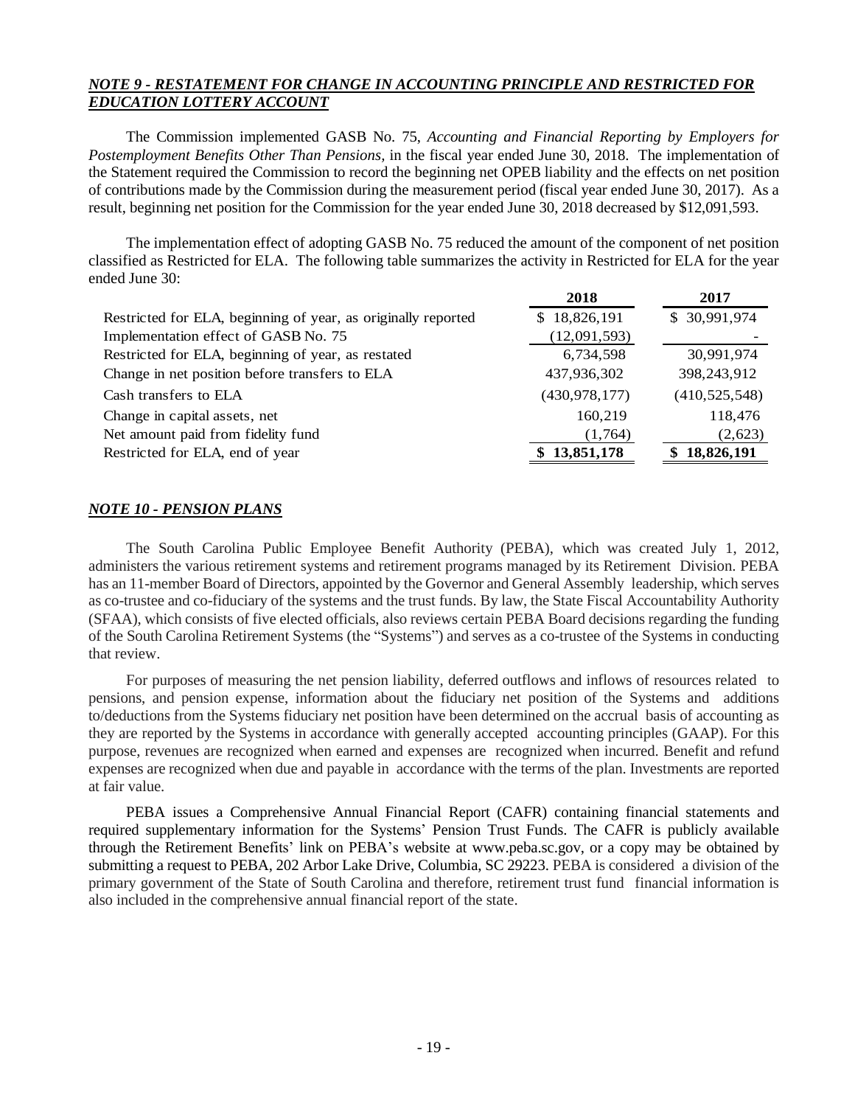## *NOTE 9 - RESTATEMENT FOR CHANGE IN ACCOUNTING PRINCIPLE AND RESTRICTED FOR EDUCATION LOTTERY ACCOUNT*

The Commission implemented GASB No. 75, *Accounting and Financial Reporting by Employers for Postemployment Benefits Other Than Pensions,* in the fiscal year ended June 30, 2018. The implementation of the Statement required the Commission to record the beginning net OPEB liability and the effects on net position of contributions made by the Commission during the measurement period (fiscal year ended June 30, 2017). As a result, beginning net position for the Commission for the year ended June 30, 2018 decreased by \$12,091,593.

The implementation effect of adopting GASB No. 75 reduced the amount of the component of net position classified as Restricted for ELA. The following table summarizes the activity in Restricted for ELA for the year ended June 30:

| 2018            | 2017            |
|-----------------|-----------------|
| \$18,826,191    | \$ 30,991,974   |
| (12,091,593)    |                 |
| 6,734,598       | 30,991,974      |
| 437,936,302     | 398,243,912     |
| (430, 978, 177) | (410, 525, 548) |
| 160,219         | 118,476         |
| (1,764)         | (2,623)         |
| \$13,851,178    | 18,826,191      |
|                 |                 |

## *NOTE 10 - PENSION PLANS*

The South Carolina Public Employee Benefit Authority (PEBA), which was created July 1, 2012, administers the various retirement systems and retirement programs managed by its Retirement Division. PEBA has an 11-member Board of Directors, appointed by the Governor and General Assembly leadership, which serves as co-trustee and co-fiduciary of the systems and the trust funds. By law, the State Fiscal Accountability Authority (SFAA), which consists of five elected officials, also reviews certain PEBA Board decisions regarding the funding of the South Carolina Retirement Systems (the "Systems") and serves as a co-trustee of the Systems in conducting that review.

For purposes of measuring the net pension liability, deferred outflows and inflows of resources related to pensions, and pension expense, information about the fiduciary net position of the Systems and additions to/deductions from the Systems fiduciary net position have been determined on the accrual basis of accounting as they are reported by the Systems in accordance with generally accepted accounting principles (GAAP). For this purpose, revenues are recognized when earned and expenses are recognized when incurred. Benefit and refund expenses are recognized when due and payable in accordance with the terms of the plan. Investments are reported at fair value.

PEBA issues a Comprehensive Annual Financial Report (CAFR) containing financial statements and required supplementary information for the Systems' Pension Trust Funds. The CAFR is publicly available through the Retirement Benefits' link on PEBA's website at www.peba.sc.gov, or a copy may be obtained by submitting a request to PEBA, 202 Arbor Lake Drive, Columbia, SC 29223. PEBA is considered a division of the primary government of the State of South Carolina and therefore, retirement trust fund financial information is also included in the comprehensive annual financial report of the state.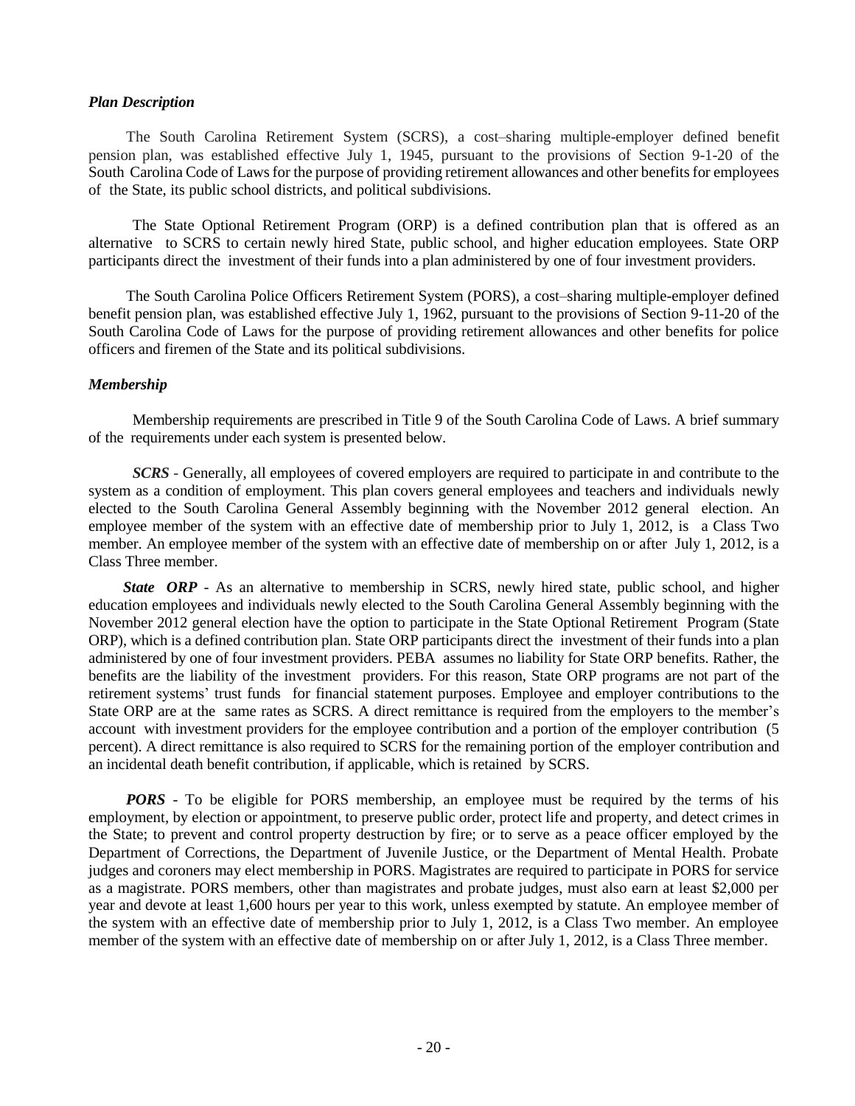#### *Plan Description*

The South Carolina Retirement System (SCRS), a cost–sharing multiple-employer defined benefit pension plan, was established effective July 1, 1945, pursuant to the provisions of Section 9-1-20 of the South Carolina Code of Laws for the purpose of providing retirement allowances and other benefits for employees of the State, its public school districts, and political subdivisions.

The State Optional Retirement Program (ORP) is a defined contribution plan that is offered as an alternative to SCRS to certain newly hired State, public school, and higher education employees. State ORP participants direct the investment of their funds into a plan administered by one of four investment providers.

The South Carolina Police Officers Retirement System (PORS), a cost–sharing multiple-employer defined benefit pension plan, was established effective July 1, 1962, pursuant to the provisions of Section 9-11-20 of the South Carolina Code of Laws for the purpose of providing retirement allowances and other benefits for police officers and firemen of the State and its political subdivisions.

#### *Membership*

Membership requirements are prescribed in Title 9 of the South Carolina Code of Laws. A brief summary of the requirements under each system is presented below.

*SCRS* - Generally, all employees of covered employers are required to participate in and contribute to the system as a condition of employment. This plan covers general employees and teachers and individuals newly elected to the South Carolina General Assembly beginning with the November 2012 general election. An employee member of the system with an effective date of membership prior to July 1, 2012, is a Class Two member. An employee member of the system with an effective date of membership on or after July 1, 2012, is a Class Three member.

*State* ORP - As an alternative to membership in SCRS, newly hired state, public school, and higher education employees and individuals newly elected to the South Carolina General Assembly beginning with the November 2012 general election have the option to participate in the State Optional Retirement Program (State ORP), which is a defined contribution plan. State ORP participants direct the investment of their funds into a plan administered by one of four investment providers. PEBA assumes no liability for State ORP benefits. Rather, the benefits are the liability of the investment providers. For this reason, State ORP programs are not part of the retirement systems' trust funds for financial statement purposes. Employee and employer contributions to the State ORP are at the same rates as SCRS. A direct remittance is required from the employers to the member's account with investment providers for the employee contribution and a portion of the employer contribution (5 percent). A direct remittance is also required to SCRS for the remaining portion of the employer contribution and an incidental death benefit contribution, if applicable, which is retained by SCRS.

*PORS* - To be eligible for PORS membership, an employee must be required by the terms of his employment, by election or appointment, to preserve public order, protect life and property, and detect crimes in the State; to prevent and control property destruction by fire; or to serve as a peace officer employed by the Department of Corrections, the Department of Juvenile Justice, or the Department of Mental Health. Probate judges and coroners may elect membership in PORS. Magistrates are required to participate in PORS for service as a magistrate. PORS members, other than magistrates and probate judges, must also earn at least \$2,000 per year and devote at least 1,600 hours per year to this work, unless exempted by statute. An employee member of the system with an effective date of membership prior to July 1, 2012, is a Class Two member. An employee member of the system with an effective date of membership on or after July 1, 2012, is a Class Three member.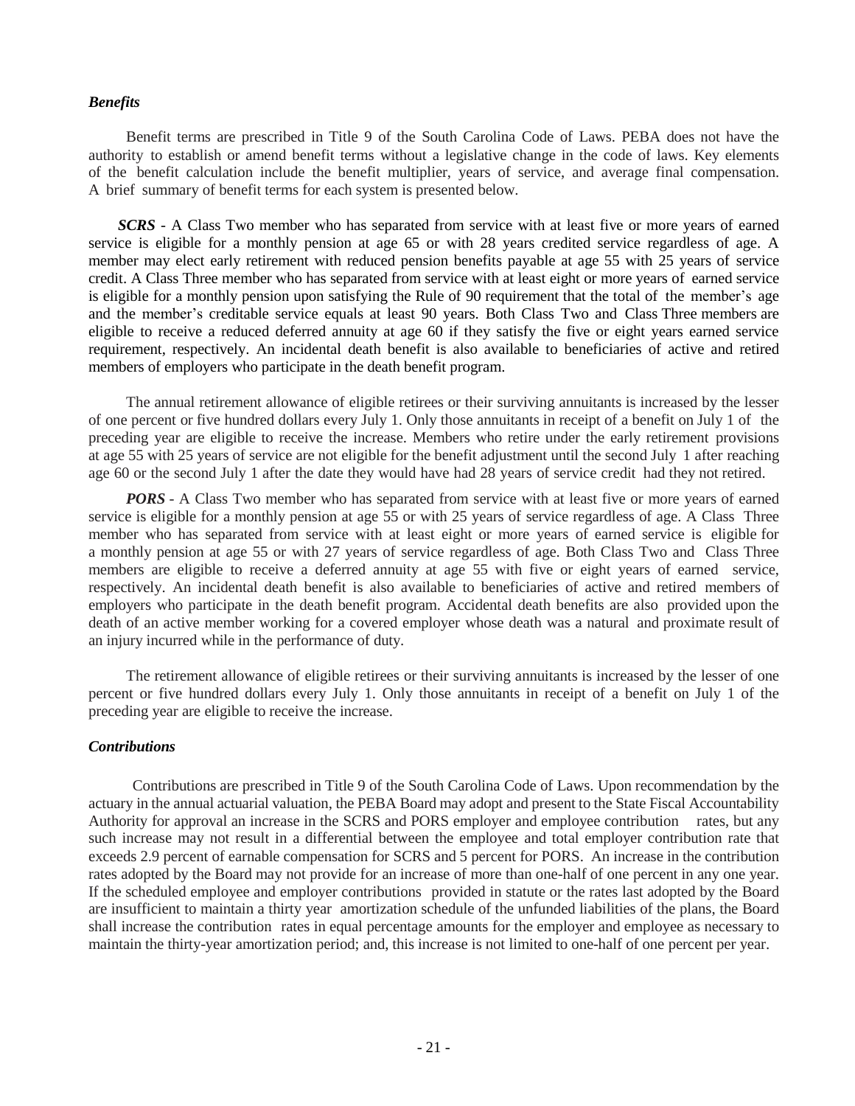#### *Benefits*

Benefit terms are prescribed in Title 9 of the South Carolina Code of Laws. PEBA does not have the authority to establish or amend benefit terms without a legislative change in the code of laws. Key elements of the benefit calculation include the benefit multiplier, years of service, and average final compensation. A brief summary of benefit terms for each system is presented below.

 *SCRS* - A Class Two member who has separated from service with at least five or more years of earned service is eligible for a monthly pension at age 65 or with 28 years credited service regardless of age. A member may elect early retirement with reduced pension benefits payable at age 55 with 25 years of service credit. A Class Three member who has separated from service with at least eight or more years of earned service is eligible for a monthly pension upon satisfying the Rule of 90 requirement that the total of the member's age and the member's creditable service equals at least 90 years. Both Class Two and Class Three members are eligible to receive a reduced deferred annuity at age 60 if they satisfy the five or eight years earned service requirement, respectively. An incidental death benefit is also available to beneficiaries of active and retired members of employers who participate in the death benefit program.

The annual retirement allowance of eligible retirees or their surviving annuitants is increased by the lesser of one percent or five hundred dollars every July 1. Only those annuitants in receipt of a benefit on July 1 of the preceding year are eligible to receive the increase. Members who retire under the early retirement provisions at age 55 with 25 years of service are not eligible for the benefit adjustment until the second July 1 after reaching age 60 or the second July 1 after the date they would have had 28 years of service credit had they not retired.

*PORS* - A Class Two member who has separated from service with at least five or more years of earned service is eligible for a monthly pension at age 55 or with 25 years of service regardless of age. A Class Three member who has separated from service with at least eight or more years of earned service is eligible for a monthly pension at age 55 or with 27 years of service regardless of age. Both Class Two and Class Three members are eligible to receive a deferred annuity at age 55 with five or eight years of earned service, respectively. An incidental death benefit is also available to beneficiaries of active and retired members of employers who participate in the death benefit program. Accidental death benefits are also provided upon the death of an active member working for a covered employer whose death was a natural and proximate result of an injury incurred while in the performance of duty.

The retirement allowance of eligible retirees or their surviving annuitants is increased by the lesser of one percent or five hundred dollars every July 1. Only those annuitants in receipt of a benefit on July 1 of the preceding year are eligible to receive the increase.

#### *Contributions*

Contributions are prescribed in Title 9 of the South Carolina Code of Laws. Upon recommendation by the actuary in the annual actuarial valuation, the PEBA Board may adopt and present to the State Fiscal Accountability Authority for approval an increase in the SCRS and PORS employer and employee contribution rates, but any such increase may not result in a differential between the employee and total employer contribution rate that exceeds 2.9 percent of earnable compensation for SCRS and 5 percent for PORS. An increase in the contribution rates adopted by the Board may not provide for an increase of more than one-half of one percent in any one year. If the scheduled employee and employer contributions provided in statute or the rates last adopted by the Board are insufficient to maintain a thirty year amortization schedule of the unfunded liabilities of the plans, the Board shall increase the contribution rates in equal percentage amounts for the employer and employee as necessary to maintain the thirty-year amortization period; and, this increase is not limited to one-half of one percent per year.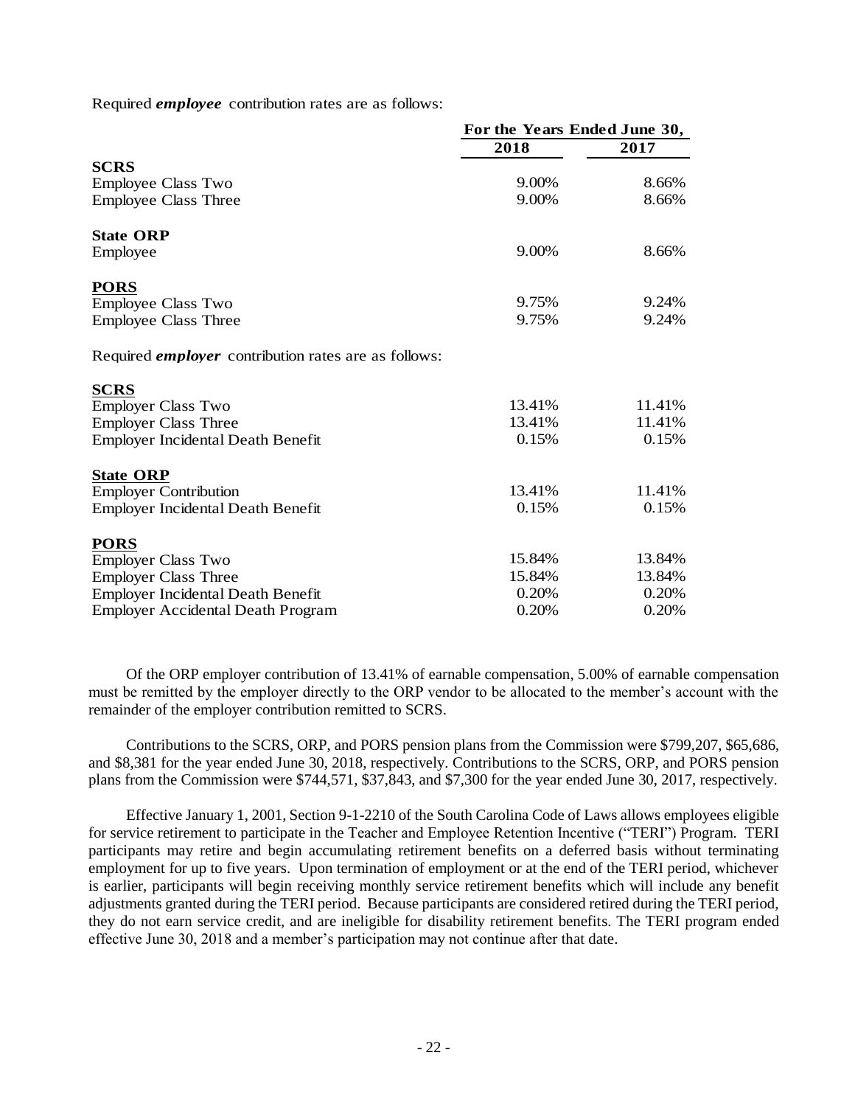Required *employee* contribution rates are as follows:

|                                                             | For the Years Ended June 30, |        |  |
|-------------------------------------------------------------|------------------------------|--------|--|
|                                                             | 2018                         | 2017   |  |
| <b>SCRS</b>                                                 |                              |        |  |
| Employee Class Two                                          | 9.00%                        | 8.66%  |  |
| <b>Employee Class Three</b>                                 | 9.00%                        | 8.66%  |  |
| <b>State ORP</b>                                            |                              |        |  |
| Employee                                                    | 9.00%                        | 8.66%  |  |
| <b>PORS</b>                                                 |                              |        |  |
| Employee Class Two                                          | 9.75%                        | 9.24%  |  |
| <b>Employee Class Three</b>                                 | 9.75%                        | 9.24%  |  |
| Required <i>employer</i> contribution rates are as follows: |                              |        |  |
| <b>SCRS</b>                                                 |                              |        |  |
| <b>Employer Class Two</b>                                   | 13.41%                       | 11.41% |  |
| <b>Employer Class Three</b>                                 | 13.41%                       | 11.41% |  |
| <b>Employer Incidental Death Benefit</b>                    | 0.15%                        | 0.15%  |  |
| <b>State ORP</b>                                            |                              |        |  |
| <b>Employer Contribution</b>                                | 13.41%                       | 11.41% |  |
| <b>Employer Incidental Death Benefit</b>                    | 0.15%                        | 0.15%  |  |
| <b>PORS</b>                                                 |                              |        |  |
| <b>Employer Class Two</b>                                   | 15.84%                       | 13.84% |  |
| <b>Employer Class Three</b>                                 | 15.84%                       | 13.84% |  |
| <b>Employer Incidental Death Benefit</b>                    | 0.20%                        | 0.20%  |  |
| <b>Employer Accidental Death Program</b>                    | 0.20%                        | 0.20%  |  |

Of the ORP employer contribution of 13.41% of earnable compensation, 5.00% of earnable compensation must be remitted by the employer directly to the ORP vendor to be allocated to the member's account with the remainder of the employer contribution remitted to SCRS.

Contributions to the SCRS, ORP, and PORS pension plans from the Commission were \$799,207, \$65,686, and \$8,381 for the year ended June 30, 2018, respectively. Contributions to the SCRS, ORP, and PORS pension plans from the Commission were \$744,571, \$37,843, and \$7,300 for the year ended June 30, 2017, respectively.

Effective January 1, 2001, Section 9-1-2210 of the South Carolina Code of Laws allows employees eligible for service retirement to participate in the Teacher and Employee Retention Incentive ("TERI") Program. TERI participants may retire and begin accumulating retirement benefits on a deferred basis without terminating employment for up to five years. Upon termination of employment or at the end of the TERI period, whichever is earlier, participants will begin receiving monthly service retirement benefits which will include any benefit adjustments granted during the TERI period. Because participants are considered retired during the TERI period, they do not earn service credit, and are ineligible for disability retirement benefits. The TERI program ended effective June 30, 2018 and a member's participation may not continue after that date.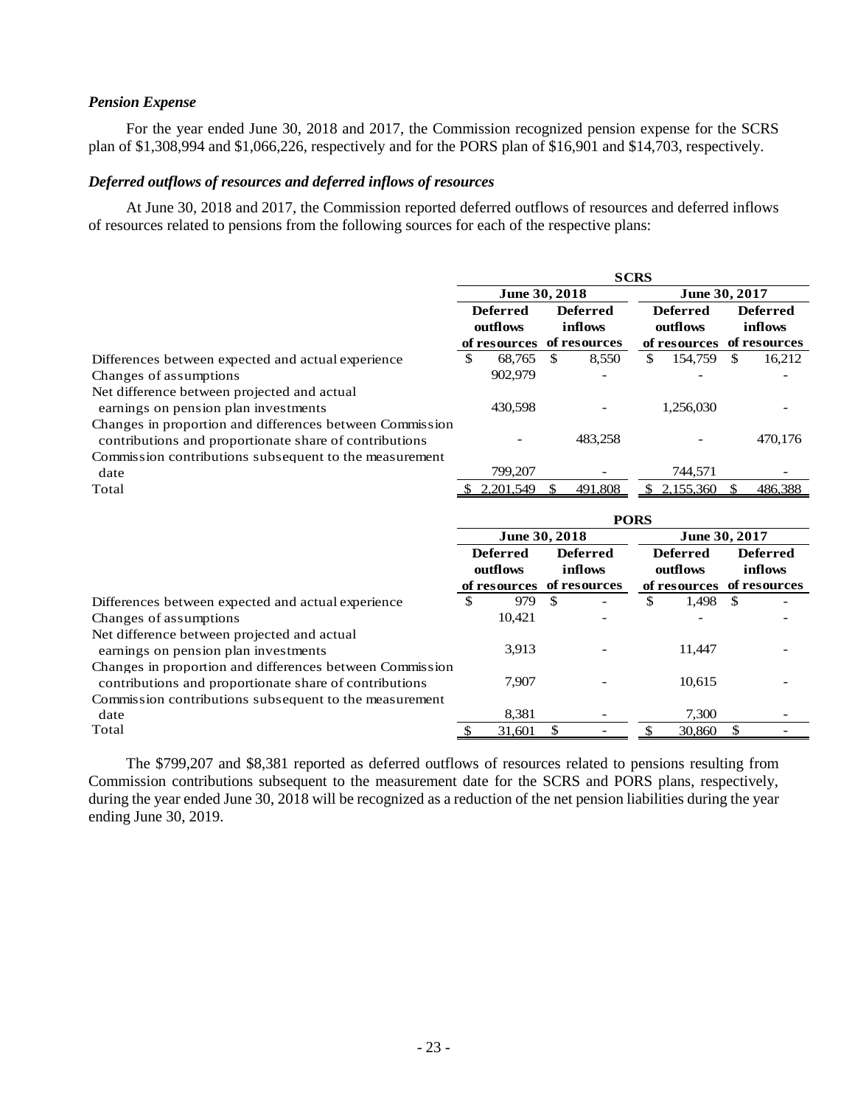### *Pension Expense*

For the year ended June 30, 2018 and 2017, the Commission recognized pension expense for the SCRS plan of \$1,308,994 and \$1,066,226, respectively and for the PORS plan of \$16,901 and \$14,703, respectively.

#### *Deferred outflows of resources and deferred inflows of resources*

At June 30, 2018 and 2017, the Commission reported deferred outflows of resources and deferred inflows of resources related to pensions from the following sources for each of the respective plans:

| June 30, 2018<br>June 30, 2017<br><b>Deferred</b><br><b>Deferred</b><br><b>Deferred</b><br><b>Deferred</b><br>inflows<br>outflows<br>inflows<br>outflows<br>of resources<br>of resources<br>of resources<br>of resources<br>68,765<br>\$<br>\$.<br>8,550<br>\$<br>154,759<br><sup>\$</sup><br>16,212<br>Differences between expected and actual experience<br>902,979<br>Changes of assumptions<br>Net difference between projected and actual<br>430,598<br>1,256,030<br>earnings on pension plan investments<br>Changes in proportion and differences between Commission<br>470,176<br>contributions and proportionate share of contributions<br>483,258<br>Commission contributions subsequent to the measurement<br>799,207<br>744,571<br>date<br>\$<br>491,808<br>\$<br>\$.<br>Total<br>2,201,549<br>2,155,360<br>486,388<br><b>PORS</b><br>June 30, 2018<br>June 30, 2017<br><b>Deferred</b><br><b>Deferred</b><br><b>Deferred</b><br><b>Deferred</b><br>outflows<br>inflows<br>outflows<br>inflows<br>of resources<br>of resources<br>of resources<br>of resources<br>\$<br>979<br>\$<br>\$<br>1,498<br>\$.<br>Differences between expected and actual experience<br>10,421<br>Changes of assumptions<br>Net difference between projected and actual<br>3,913<br>11,447<br>earnings on pension plan investments<br>Changes in proportion and differences between Commission<br>7,907<br>10,615<br>contributions and proportionate share of contributions<br>Commission contributions subsequent to the measurement<br>8,381<br>7,300<br>date<br>Total<br>\$<br>\$<br>31,601<br>\$<br>30,860<br>\$ | <b>SCRS</b> |  |  |  |  |  |  |
|----------------------------------------------------------------------------------------------------------------------------------------------------------------------------------------------------------------------------------------------------------------------------------------------------------------------------------------------------------------------------------------------------------------------------------------------------------------------------------------------------------------------------------------------------------------------------------------------------------------------------------------------------------------------------------------------------------------------------------------------------------------------------------------------------------------------------------------------------------------------------------------------------------------------------------------------------------------------------------------------------------------------------------------------------------------------------------------------------------------------------------------------------------------------------------------------------------------------------------------------------------------------------------------------------------------------------------------------------------------------------------------------------------------------------------------------------------------------------------------------------------------------------------------------------------------------------------------------------------|-------------|--|--|--|--|--|--|
|                                                                                                                                                                                                                                                                                                                                                                                                                                                                                                                                                                                                                                                                                                                                                                                                                                                                                                                                                                                                                                                                                                                                                                                                                                                                                                                                                                                                                                                                                                                                                                                                          |             |  |  |  |  |  |  |
|                                                                                                                                                                                                                                                                                                                                                                                                                                                                                                                                                                                                                                                                                                                                                                                                                                                                                                                                                                                                                                                                                                                                                                                                                                                                                                                                                                                                                                                                                                                                                                                                          |             |  |  |  |  |  |  |
|                                                                                                                                                                                                                                                                                                                                                                                                                                                                                                                                                                                                                                                                                                                                                                                                                                                                                                                                                                                                                                                                                                                                                                                                                                                                                                                                                                                                                                                                                                                                                                                                          |             |  |  |  |  |  |  |
|                                                                                                                                                                                                                                                                                                                                                                                                                                                                                                                                                                                                                                                                                                                                                                                                                                                                                                                                                                                                                                                                                                                                                                                                                                                                                                                                                                                                                                                                                                                                                                                                          |             |  |  |  |  |  |  |
|                                                                                                                                                                                                                                                                                                                                                                                                                                                                                                                                                                                                                                                                                                                                                                                                                                                                                                                                                                                                                                                                                                                                                                                                                                                                                                                                                                                                                                                                                                                                                                                                          |             |  |  |  |  |  |  |
|                                                                                                                                                                                                                                                                                                                                                                                                                                                                                                                                                                                                                                                                                                                                                                                                                                                                                                                                                                                                                                                                                                                                                                                                                                                                                                                                                                                                                                                                                                                                                                                                          |             |  |  |  |  |  |  |
|                                                                                                                                                                                                                                                                                                                                                                                                                                                                                                                                                                                                                                                                                                                                                                                                                                                                                                                                                                                                                                                                                                                                                                                                                                                                                                                                                                                                                                                                                                                                                                                                          |             |  |  |  |  |  |  |
|                                                                                                                                                                                                                                                                                                                                                                                                                                                                                                                                                                                                                                                                                                                                                                                                                                                                                                                                                                                                                                                                                                                                                                                                                                                                                                                                                                                                                                                                                                                                                                                                          |             |  |  |  |  |  |  |
|                                                                                                                                                                                                                                                                                                                                                                                                                                                                                                                                                                                                                                                                                                                                                                                                                                                                                                                                                                                                                                                                                                                                                                                                                                                                                                                                                                                                                                                                                                                                                                                                          |             |  |  |  |  |  |  |
|                                                                                                                                                                                                                                                                                                                                                                                                                                                                                                                                                                                                                                                                                                                                                                                                                                                                                                                                                                                                                                                                                                                                                                                                                                                                                                                                                                                                                                                                                                                                                                                                          |             |  |  |  |  |  |  |
|                                                                                                                                                                                                                                                                                                                                                                                                                                                                                                                                                                                                                                                                                                                                                                                                                                                                                                                                                                                                                                                                                                                                                                                                                                                                                                                                                                                                                                                                                                                                                                                                          |             |  |  |  |  |  |  |
|                                                                                                                                                                                                                                                                                                                                                                                                                                                                                                                                                                                                                                                                                                                                                                                                                                                                                                                                                                                                                                                                                                                                                                                                                                                                                                                                                                                                                                                                                                                                                                                                          |             |  |  |  |  |  |  |
|                                                                                                                                                                                                                                                                                                                                                                                                                                                                                                                                                                                                                                                                                                                                                                                                                                                                                                                                                                                                                                                                                                                                                                                                                                                                                                                                                                                                                                                                                                                                                                                                          |             |  |  |  |  |  |  |
|                                                                                                                                                                                                                                                                                                                                                                                                                                                                                                                                                                                                                                                                                                                                                                                                                                                                                                                                                                                                                                                                                                                                                                                                                                                                                                                                                                                                                                                                                                                                                                                                          |             |  |  |  |  |  |  |
|                                                                                                                                                                                                                                                                                                                                                                                                                                                                                                                                                                                                                                                                                                                                                                                                                                                                                                                                                                                                                                                                                                                                                                                                                                                                                                                                                                                                                                                                                                                                                                                                          |             |  |  |  |  |  |  |
|                                                                                                                                                                                                                                                                                                                                                                                                                                                                                                                                                                                                                                                                                                                                                                                                                                                                                                                                                                                                                                                                                                                                                                                                                                                                                                                                                                                                                                                                                                                                                                                                          |             |  |  |  |  |  |  |
|                                                                                                                                                                                                                                                                                                                                                                                                                                                                                                                                                                                                                                                                                                                                                                                                                                                                                                                                                                                                                                                                                                                                                                                                                                                                                                                                                                                                                                                                                                                                                                                                          |             |  |  |  |  |  |  |
|                                                                                                                                                                                                                                                                                                                                                                                                                                                                                                                                                                                                                                                                                                                                                                                                                                                                                                                                                                                                                                                                                                                                                                                                                                                                                                                                                                                                                                                                                                                                                                                                          |             |  |  |  |  |  |  |
|                                                                                                                                                                                                                                                                                                                                                                                                                                                                                                                                                                                                                                                                                                                                                                                                                                                                                                                                                                                                                                                                                                                                                                                                                                                                                                                                                                                                                                                                                                                                                                                                          |             |  |  |  |  |  |  |
|                                                                                                                                                                                                                                                                                                                                                                                                                                                                                                                                                                                                                                                                                                                                                                                                                                                                                                                                                                                                                                                                                                                                                                                                                                                                                                                                                                                                                                                                                                                                                                                                          |             |  |  |  |  |  |  |
|                                                                                                                                                                                                                                                                                                                                                                                                                                                                                                                                                                                                                                                                                                                                                                                                                                                                                                                                                                                                                                                                                                                                                                                                                                                                                                                                                                                                                                                                                                                                                                                                          |             |  |  |  |  |  |  |
|                                                                                                                                                                                                                                                                                                                                                                                                                                                                                                                                                                                                                                                                                                                                                                                                                                                                                                                                                                                                                                                                                                                                                                                                                                                                                                                                                                                                                                                                                                                                                                                                          |             |  |  |  |  |  |  |
|                                                                                                                                                                                                                                                                                                                                                                                                                                                                                                                                                                                                                                                                                                                                                                                                                                                                                                                                                                                                                                                                                                                                                                                                                                                                                                                                                                                                                                                                                                                                                                                                          |             |  |  |  |  |  |  |
|                                                                                                                                                                                                                                                                                                                                                                                                                                                                                                                                                                                                                                                                                                                                                                                                                                                                                                                                                                                                                                                                                                                                                                                                                                                                                                                                                                                                                                                                                                                                                                                                          |             |  |  |  |  |  |  |
|                                                                                                                                                                                                                                                                                                                                                                                                                                                                                                                                                                                                                                                                                                                                                                                                                                                                                                                                                                                                                                                                                                                                                                                                                                                                                                                                                                                                                                                                                                                                                                                                          |             |  |  |  |  |  |  |
|                                                                                                                                                                                                                                                                                                                                                                                                                                                                                                                                                                                                                                                                                                                                                                                                                                                                                                                                                                                                                                                                                                                                                                                                                                                                                                                                                                                                                                                                                                                                                                                                          |             |  |  |  |  |  |  |

The \$799,207 and \$8,381 reported as deferred outflows of resources related to pensions resulting from Commission contributions subsequent to the measurement date for the SCRS and PORS plans, respectively, during the year ended June 30, 2018 will be recognized as a reduction of the net pension liabilities during the year ending June 30, 2019.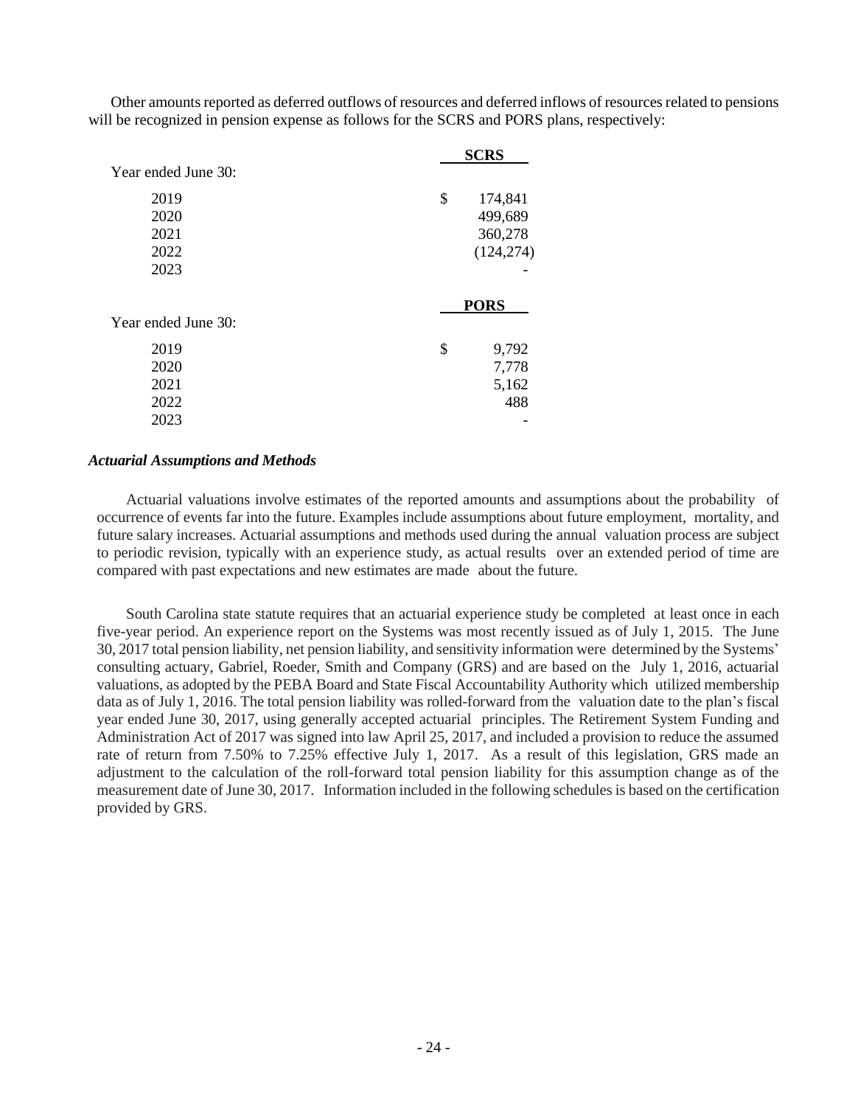Other amounts reported as deferred outflows of resources and deferred inflows of resources related to pensions will be recognized in pension expense as follows for the SCRS and PORS plans, respectively:

|                     | <b>SCRS</b>   |  |
|---------------------|---------------|--|
| Year ended June 30: |               |  |
| 2019                | \$<br>174,841 |  |
| 2020                | 499,689       |  |
| 2021                | 360,278       |  |
| 2022                | (124, 274)    |  |
| 2023                |               |  |
|                     |               |  |
| Year ended June 30: | <b>PORS</b>   |  |
| 2019                | \$<br>9,792   |  |
| 2020                | 7,778         |  |
| 2021                | 5,162         |  |
| 2022                | 488           |  |

#### *Actuarial Assumptions and Methods*

Actuarial valuations involve estimates of the reported amounts and assumptions about the probability of occurrence of events far into the future. Examples include assumptions about future employment, mortality, and future salary increases. Actuarial assumptions and methods used during the annual valuation process are subject to periodic revision, typically with an experience study, as actual results over an extended period of time are compared with past expectations and new estimates are made about the future.

South Carolina state statute requires that an actuarial experience study be completed at least once in each five-year period. An experience report on the Systems was most recently issued as of July 1, 2015. The June 30, 2017 total pension liability, net pension liability, and sensitivity information were determined by the Systems' consulting actuary, Gabriel, Roeder, Smith and Company (GRS) and are based on the July 1, 2016, actuarial valuations, as adopted by the PEBA Board and State Fiscal Accountability Authority which utilized membership data as of July 1, 2016. The total pension liability was rolled-forward from the valuation date to the plan's fiscal year ended June 30, 2017, using generally accepted actuarial principles. The Retirement System Funding and Administration Act of 2017 was signed into law April 25, 2017, and included a provision to reduce the assumed rate of return from 7.50% to 7.25% effective July 1, 2017. As a result of this legislation, GRS made an adjustment to the calculation of the roll-forward total pension liability for this assumption change as of the measurement date of June 30, 2017. Information included in the following schedulesis based on the certification provided by GRS.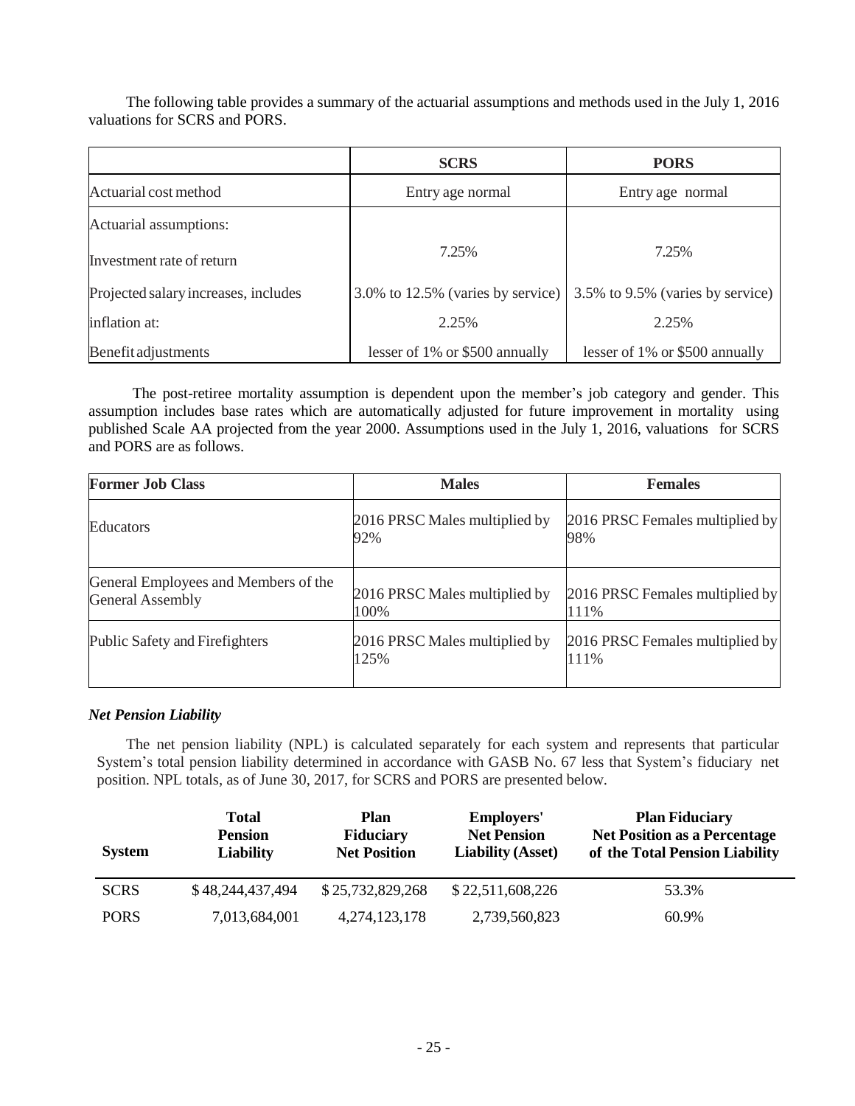The following table provides a summary of the actuarial assumptions and methods used in the July 1, 2016 valuations for SCRS and PORS.

|                                      | <b>SCRS</b>                       | <b>PORS</b>                      |
|--------------------------------------|-----------------------------------|----------------------------------|
| Actuarial cost method                | Entry age normal                  | Entry age normal                 |
| Actuarial assumptions:               |                                   |                                  |
| Investment rate of return            | 7.25%                             | 7.25%                            |
| Projected salary increases, includes | 3.0% to 12.5% (varies by service) | 3.5% to 9.5% (varies by service) |
| inflation at:                        | 2.25%                             | 2.25%                            |
| <b>Benefit adjustments</b>           | lesser of 1% or \$500 annually    | lesser of 1% or \$500 annually   |

The post-retiree mortality assumption is dependent upon the member's job category and gender. This assumption includes base rates which are automatically adjusted for future improvement in mortality using published Scale AA projected from the year 2000. Assumptions used in the July 1, 2016, valuations for SCRS and PORS are as follows.

| <b>Former Job Class</b>                                         | <b>Males</b>                          | <b>Females</b>                          |  |  |  |
|-----------------------------------------------------------------|---------------------------------------|-----------------------------------------|--|--|--|
| <b>Educators</b>                                                | 2016 PRSC Males multiplied by<br>92%  | 2016 PRSC Females multiplied by<br>98%  |  |  |  |
| General Employees and Members of the<br><b>General Assembly</b> | 2016 PRSC Males multiplied by<br>100% | 2016 PRSC Females multiplied by<br>111% |  |  |  |
| Public Safety and Firefighters                                  | 2016 PRSC Males multiplied by<br>125% | 2016 PRSC Females multiplied by<br>111% |  |  |  |

## *Net Pension Liability*

The net pension liability (NPL) is calculated separately for each system and represents that particular System's total pension liability determined in accordance with GASB No. 67 less that System's fiduciary net position. NPL totals, as of June 30, 2017, for SCRS and PORS are presented below.

| <b>System</b> | <b>Total</b><br><b>Pension</b><br><b>Liability</b> | Plan<br><b>Fiduciary</b><br><b>Net Position</b> | <b>Employers'</b><br><b>Net Pension</b><br><b>Liability (Asset)</b> | <b>Plan Fiduciary</b><br><b>Net Position as a Percentage</b><br>of the Total Pension Liability |
|---------------|----------------------------------------------------|-------------------------------------------------|---------------------------------------------------------------------|------------------------------------------------------------------------------------------------|
| <b>SCRS</b>   | \$48,244,437,494                                   | \$25,732,829,268                                | \$22,511,608,226                                                    | 53.3%                                                                                          |
| <b>PORS</b>   | 7,013,684,001                                      | 4,274,123,178                                   | 2,739,560,823                                                       | 60.9%                                                                                          |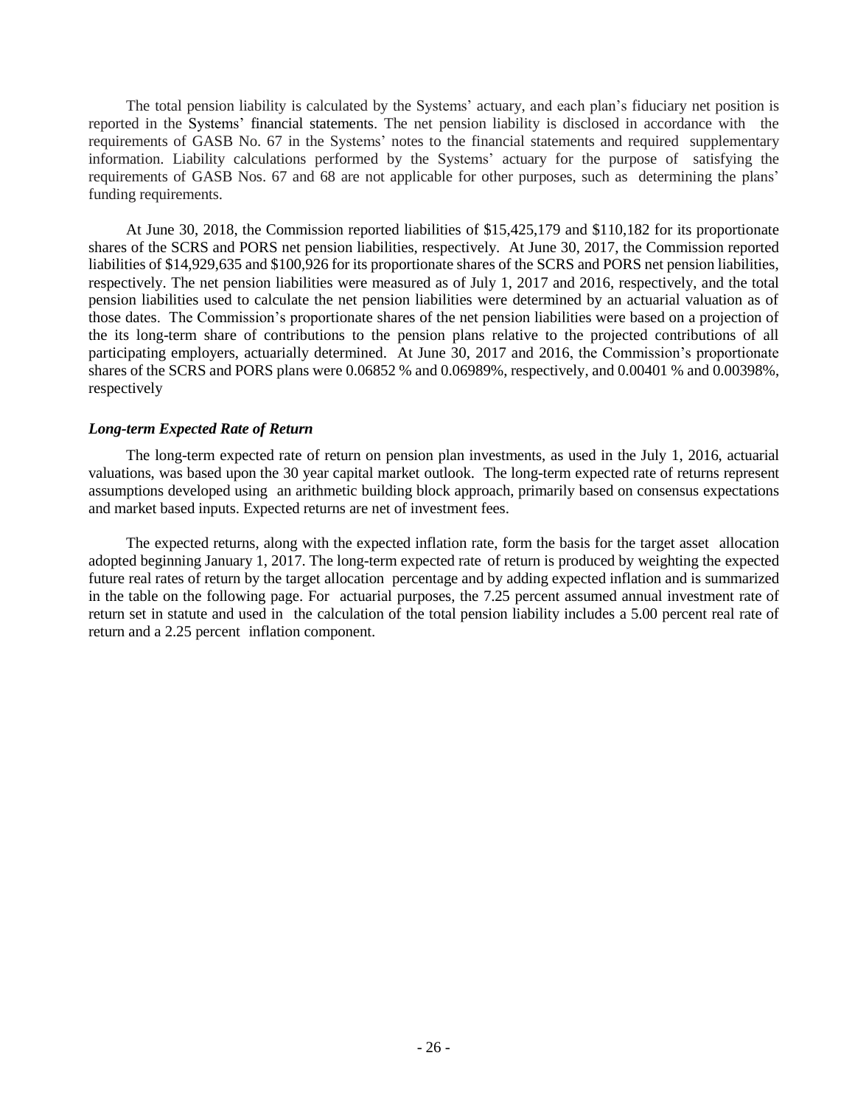The total pension liability is calculated by the Systems' actuary, and each plan's fiduciary net position is reported in the Systems' financial statements. The net pension liability is disclosed in accordance with the requirements of GASB No. 67 in the Systems' notes to the financial statements and required supplementary information. Liability calculations performed by the Systems' actuary for the purpose of satisfying the requirements of GASB Nos. 67 and 68 are not applicable for other purposes, such as determining the plans' funding requirements.

At June 30, 2018, the Commission reported liabilities of \$15,425,179 and \$110,182 for its proportionate shares of the SCRS and PORS net pension liabilities, respectively. At June 30, 2017, the Commission reported liabilities of \$14,929,635 and \$100,926 for its proportionate shares of the SCRS and PORS net pension liabilities, respectively. The net pension liabilities were measured as of July 1, 2017 and 2016, respectively, and the total pension liabilities used to calculate the net pension liabilities were determined by an actuarial valuation as of those dates. The Commission's proportionate shares of the net pension liabilities were based on a projection of the its long-term share of contributions to the pension plans relative to the projected contributions of all participating employers, actuarially determined. At June 30, 2017 and 2016, the Commission's proportionate shares of the SCRS and PORS plans were 0.06852 % and 0.06989%, respectively, and 0.00401 % and 0.00398%, respectively

#### *Long-term Expected Rate of Return*

The long-term expected rate of return on pension plan investments, as used in the July 1, 2016, actuarial valuations, was based upon the 30 year capital market outlook. The long-term expected rate of returns represent assumptions developed using an arithmetic building block approach, primarily based on consensus expectations and market based inputs. Expected returns are net of investment fees.

The expected returns, along with the expected inflation rate, form the basis for the target asset allocation adopted beginning January 1, 2017. The long-term expected rate of return is produced by weighting the expected future real rates of return by the target allocation percentage and by adding expected inflation and is summarized in the table on the following page. For actuarial purposes, the 7.25 percent assumed annual investment rate of return set in statute and used in the calculation of the total pension liability includes a 5.00 percent real rate of return and a 2.25 percent inflation component.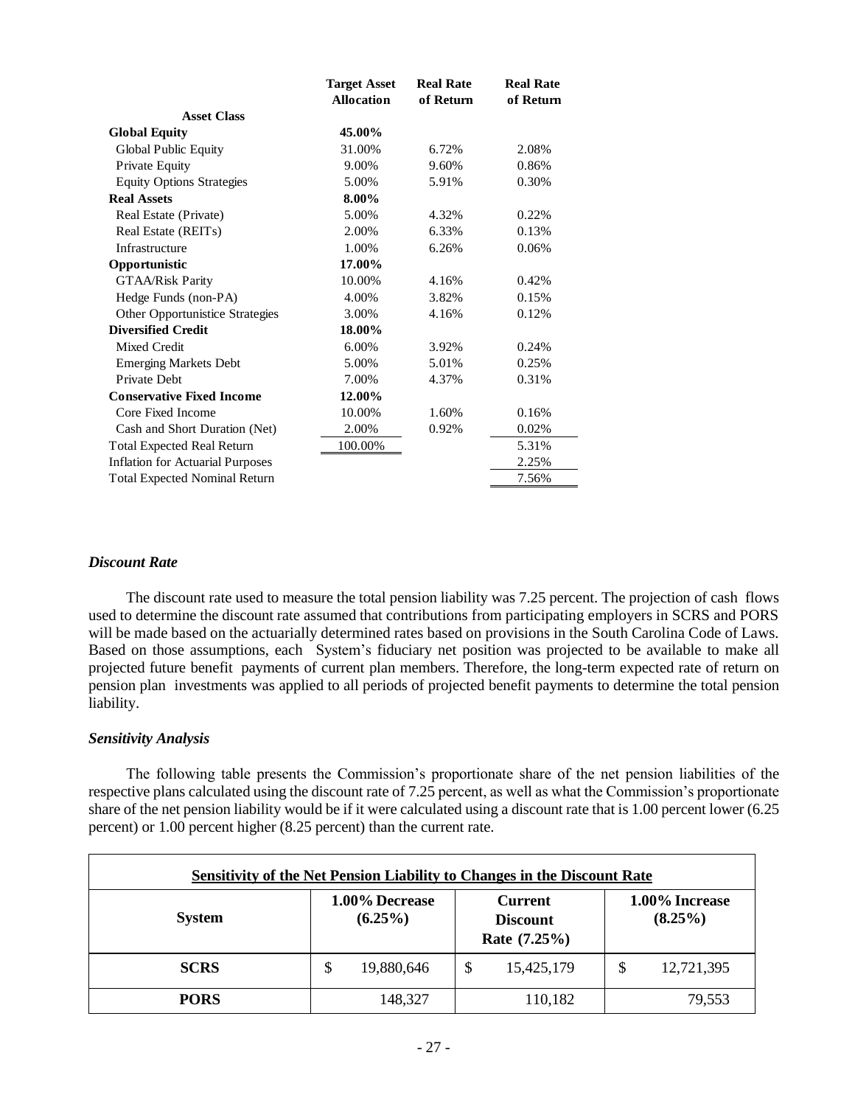|                                         | <b>Target Asset</b><br><b>Allocation</b> | <b>Real Rate</b><br>of Return | <b>Real Rate</b><br>of Return |
|-----------------------------------------|------------------------------------------|-------------------------------|-------------------------------|
| <b>Asset Class</b>                      |                                          |                               |                               |
| <b>Global Equity</b>                    | 45.00%                                   |                               |                               |
| Global Public Equity                    | 31.00%                                   | 6.72%                         | 2.08%                         |
| Private Equity                          | 9.00%                                    | 9.60%                         | 0.86%                         |
| <b>Equity Options Strategies</b>        | 5.00%                                    | 5.91%                         | 0.30%                         |
| <b>Real Assets</b>                      | 8.00%                                    |                               |                               |
| Real Estate (Private)                   | 5.00%                                    | 4.32%                         | 0.22%                         |
| Real Estate (REITs)                     | 2.00%                                    | 6.33%                         | 0.13%                         |
| Infrastructure                          | 1.00%                                    | 6.26%                         | 0.06%                         |
| Opportunistic                           | 17.00%                                   |                               |                               |
| <b>GTAA/Risk Parity</b>                 | 10.00%                                   | 4.16%                         | 0.42%                         |
| Hedge Funds (non-PA)                    | 4.00%                                    | 3.82%                         | 0.15%                         |
| Other Opportunistice Strategies         | 3.00%                                    | 4.16%                         | 0.12%                         |
| <b>Diversified Credit</b>               | 18.00%                                   |                               |                               |
| <b>Mixed Credit</b>                     | 6.00%                                    | 3.92%                         | 0.24%                         |
| <b>Emerging Markets Debt</b>            | 5.00%                                    | 5.01%                         | 0.25%                         |
| Private Debt                            | 7.00%                                    | 4.37%                         | 0.31%                         |
| <b>Conservative Fixed Income</b>        | 12.00%                                   |                               |                               |
| Core Fixed Income                       | 10.00%                                   | 1.60%                         | 0.16%                         |
| Cash and Short Duration (Net)           | 2.00%                                    | 0.92%                         | 0.02%                         |
| <b>Total Expected Real Return</b>       | 100.00%                                  |                               | 5.31%                         |
| <b>Inflation for Actuarial Purposes</b> |                                          |                               | 2.25%                         |
| <b>Total Expected Nominal Return</b>    |                                          |                               | 7.56%                         |

## *Discount Rate*

The discount rate used to measure the total pension liability was 7.25 percent. The projection of cash flows used to determine the discount rate assumed that contributions from participating employers in SCRS and PORS will be made based on the actuarially determined rates based on provisions in the South Carolina Code of Laws. Based on those assumptions, each System's fiduciary net position was projected to be available to make all projected future benefit payments of current plan members. Therefore, the long-term expected rate of return on pension plan investments was applied to all periods of projected benefit payments to determine the total pension liability.

## *Sensitivity Analysis*

The following table presents the Commission's proportionate share of the net pension liabilities of the respective plans calculated using the discount rate of 7.25 percent, as well as what the Commission's proportionate share of the net pension liability would be if it were calculated using a discount rate that is 1.00 percent lower (6.25 percent) or 1.00 percent higher (8.25 percent) than the current rate.

| Sensitivity of the Net Pension Liability to Changes in the Discount Rate |                                                                                   |                  |                              |  |  |  |
|--------------------------------------------------------------------------|-----------------------------------------------------------------------------------|------------------|------------------------------|--|--|--|
| <b>System</b>                                                            | 1.00% Decrease<br><b>Current</b><br>$(6.25\%)$<br><b>Discount</b><br>Rate (7.25%) |                  | 1.00% Increase<br>$(8.25\%)$ |  |  |  |
| <b>SCRS</b>                                                              | \$<br>19,880,646                                                                  | \$<br>15,425,179 | 12,721,395<br>S              |  |  |  |
| <b>PORS</b>                                                              | 148,327                                                                           | 110,182          | 79,553                       |  |  |  |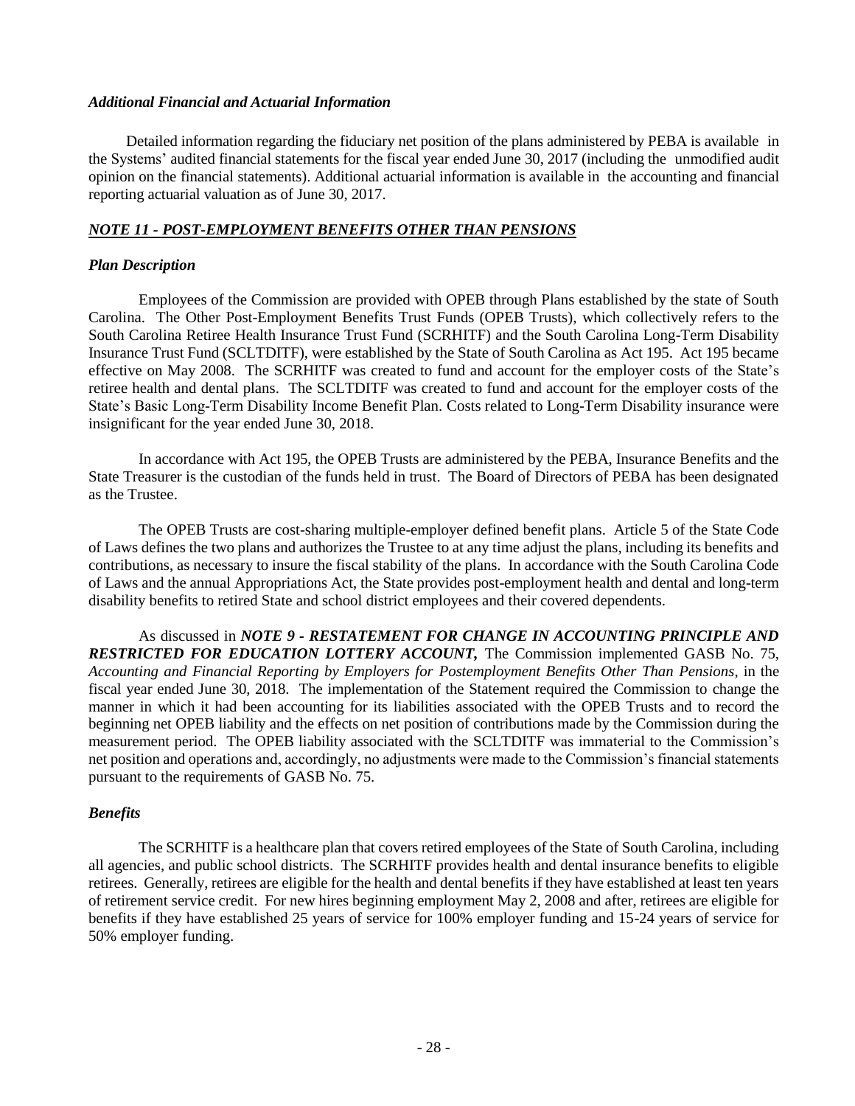#### *Additional Financial and Actuarial Information*

Detailed information regarding the fiduciary net position of the plans administered by PEBA is available in the Systems' audited financial [statements](http://www.peba.sc.gov/assets/financialsretirement.pdf) for the fiscal year ended June 30, 2017 (including the unmodified audit opinion on the financial statements). Additional actuarial information is available in the [accounting and financial](http://www.peba.sc.gov/assets/06.30.2015-gasb-68_report_final-protected.pdf) [reporting actuarial](http://www.peba.sc.gov/assets/06.30.2015-gasb-68_report_final-protected.pdf) valuation as of June 30, 2017.

## *NOTE 11 - POST-EMPLOYMENT BENEFITS OTHER THAN PENSIONS*

## *Plan Description*

Employees of the Commission are provided with OPEB through Plans established by the state of South Carolina. The Other Post-Employment Benefits Trust Funds (OPEB Trusts), which collectively refers to the South Carolina Retiree Health Insurance Trust Fund (SCRHITF) and the South Carolina Long-Term Disability Insurance Trust Fund (SCLTDITF), were established by the State of South Carolina as Act 195. Act 195 became effective on May 2008. The SCRHITF was created to fund and account for the employer costs of the State's retiree health and dental plans. The SCLTDITF was created to fund and account for the employer costs of the State's Basic Long-Term Disability Income Benefit Plan. Costs related to Long-Term Disability insurance were insignificant for the year ended June 30, 2018.

In accordance with Act 195, the OPEB Trusts are administered by the PEBA, Insurance Benefits and the State Treasurer is the custodian of the funds held in trust. The Board of Directors of PEBA has been designated as the Trustee.

The OPEB Trusts are cost-sharing multiple-employer defined benefit plans. Article 5 of the State Code of Laws defines the two plans and authorizes the Trustee to at any time adjust the plans, including its benefits and contributions, as necessary to insure the fiscal stability of the plans. In accordance with the South Carolina Code of Laws and the annual Appropriations Act, the State provides post-employment health and dental and long-term disability benefits to retired State and school district employees and their covered dependents.

As discussed in *NOTE 9 - RESTATEMENT FOR CHANGE IN ACCOUNTING PRINCIPLE AND RESTRICTED FOR EDUCATION LOTTERY ACCOUNT,* The Commission implemented GASB No. 75, *Accounting and Financial Reporting by Employers for Postemployment Benefits Other Than Pensions,* in the fiscal year ended June 30, 2018. The implementation of the Statement required the Commission to change the manner in which it had been accounting for its liabilities associated with the OPEB Trusts and to record the beginning net OPEB liability and the effects on net position of contributions made by the Commission during the measurement period. The OPEB liability associated with the SCLTDITF was immaterial to the Commission's net position and operations and, accordingly, no adjustments were made to the Commission's financial statements pursuant to the requirements of GASB No. 75.

## *Benefits*

The SCRHITF is a healthcare plan that covers retired employees of the State of South Carolina, including all agencies, and public school districts. The SCRHITF provides health and dental insurance benefits to eligible retirees. Generally, retirees are eligible for the health and dental benefits if they have established at least ten years of retirement service credit. For new hires beginning employment May 2, 2008 and after, retirees are eligible for benefits if they have established 25 years of service for 100% employer funding and 15-24 years of service for 50% employer funding.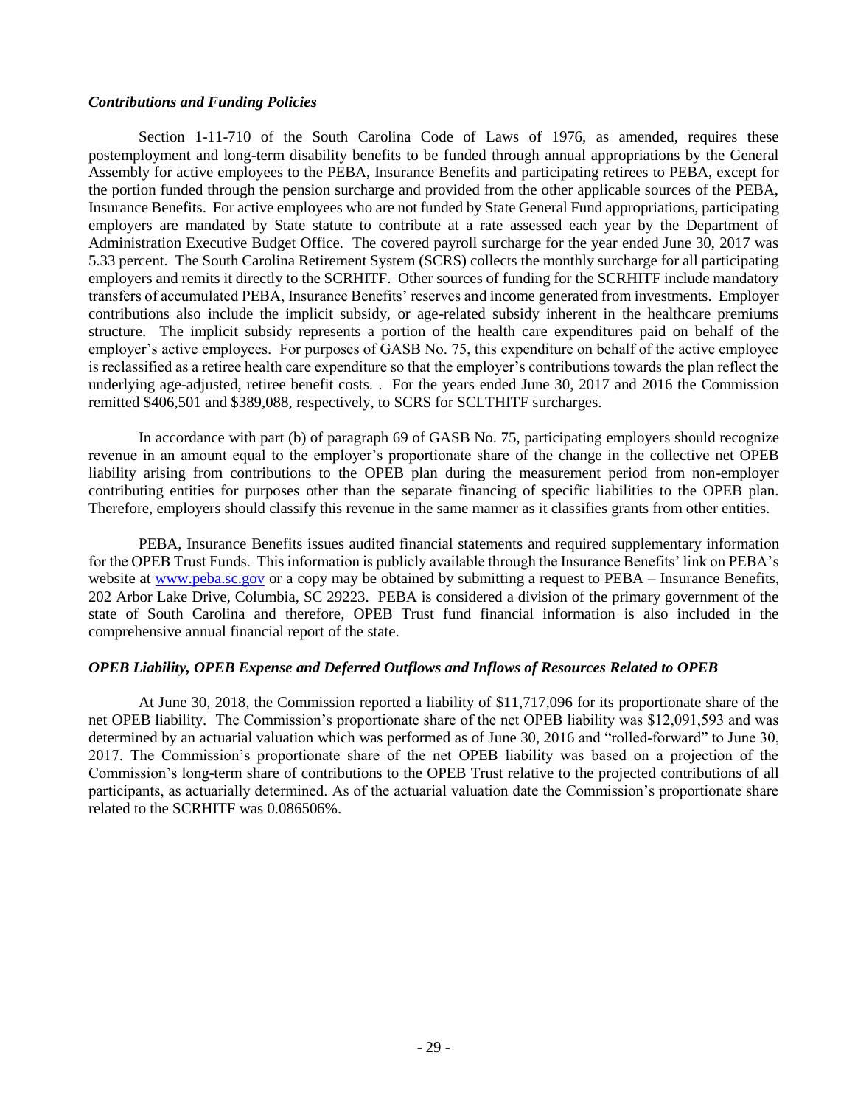#### *Contributions and Funding Policies*

Section 1-11-710 of the South Carolina Code of Laws of 1976, as amended, requires these postemployment and long-term disability benefits to be funded through annual appropriations by the General Assembly for active employees to the PEBA, Insurance Benefits and participating retirees to PEBA, except for the portion funded through the pension surcharge and provided from the other applicable sources of the PEBA, Insurance Benefits. For active employees who are not funded by State General Fund appropriations, participating employers are mandated by State statute to contribute at a rate assessed each year by the Department of Administration Executive Budget Office. The covered payroll surcharge for the year ended June 30, 2017 was 5.33 percent. The South Carolina Retirement System (SCRS) collects the monthly surcharge for all participating employers and remits it directly to the SCRHITF. Other sources of funding for the SCRHITF include mandatory transfers of accumulated PEBA, Insurance Benefits' reserves and income generated from investments. Employer contributions also include the implicit subsidy, or age-related subsidy inherent in the healthcare premiums structure. The implicit subsidy represents a portion of the health care expenditures paid on behalf of the employer's active employees. For purposes of GASB No. 75, this expenditure on behalf of the active employee is reclassified as a retiree health care expenditure so that the employer's contributions towards the plan reflect the underlying age-adjusted, retiree benefit costs. . For the years ended June 30, 2017 and 2016 the Commission remitted \$406,501 and \$389,088, respectively, to SCRS for SCLTHITF surcharges.

In accordance with part (b) of paragraph 69 of GASB No. 75, participating employers should recognize revenue in an amount equal to the employer's proportionate share of the change in the collective net OPEB liability arising from contributions to the OPEB plan during the measurement period from non-employer contributing entities for purposes other than the separate financing of specific liabilities to the OPEB plan. Therefore, employers should classify this revenue in the same manner as it classifies grants from other entities.

PEBA, Insurance Benefits issues audited financial statements and required supplementary information for the OPEB Trust Funds. This information is publicly available through the Insurance Benefits' link on PEBA's website at [www.peba.sc.gov](http://www.peba.sc.gov/) or a copy may be obtained by submitting a request to PEBA – Insurance Benefits, 202 Arbor Lake Drive, Columbia, SC 29223. PEBA is considered a division of the primary government of the state of South Carolina and therefore, OPEB Trust fund financial information is also included in the comprehensive annual financial report of the state.

## *OPEB Liability, OPEB Expense and Deferred Outflows and Inflows of Resources Related to OPEB*

At June 30, 2018, the Commission reported a liability of \$11,717,096 for its proportionate share of the net OPEB liability. The Commission's proportionate share of the net OPEB liability was \$12,091,593 and was determined by an actuarial valuation which was performed as of June 30, 2016 and "rolled-forward" to June 30, 2017. The Commission's proportionate share of the net OPEB liability was based on a projection of the Commission's long-term share of contributions to the OPEB Trust relative to the projected contributions of all participants, as actuarially determined. As of the actuarial valuation date the Commission's proportionate share related to the SCRHITF was 0.086506%.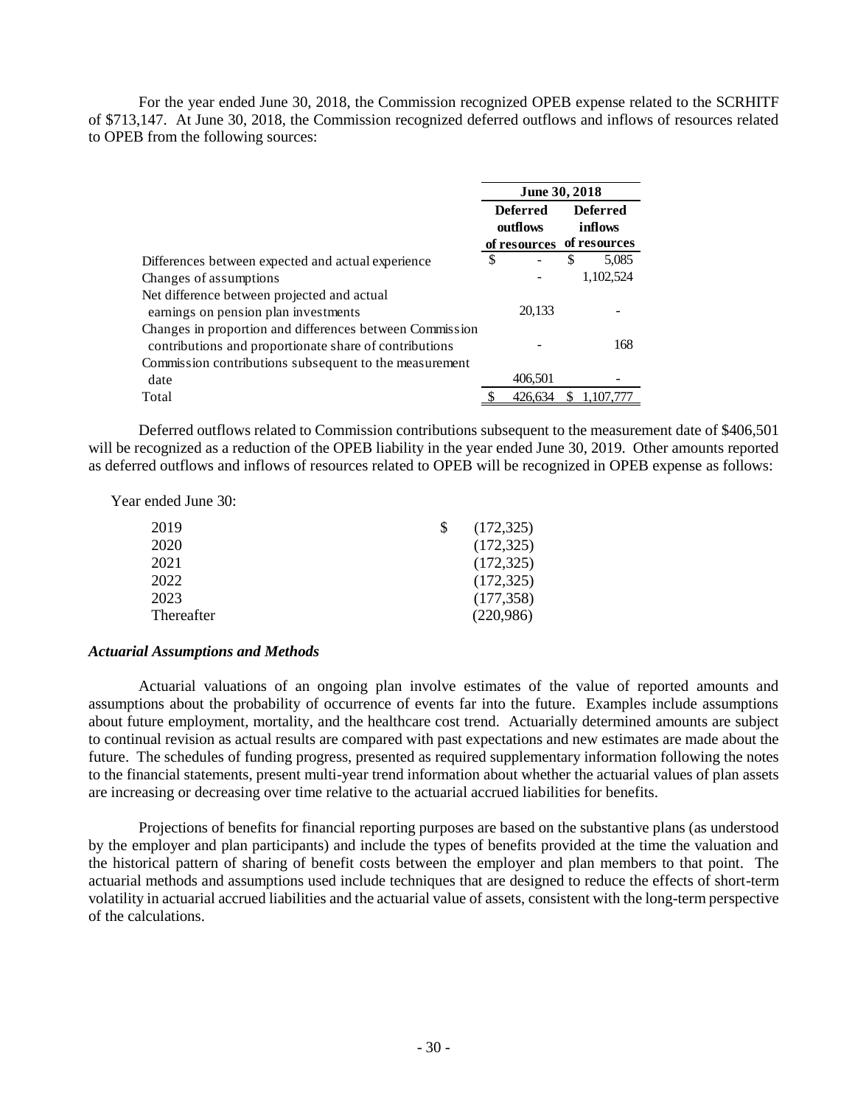For the year ended June 30, 2018, the Commission recognized OPEB expense related to the SCRHITF of \$713,147. At June 30, 2018, the Commission recognized deferred outflows and inflows of resources related to OPEB from the following sources:

|                                                          | June 30, 2018             |          |   |                 |
|----------------------------------------------------------|---------------------------|----------|---|-----------------|
|                                                          | <b>Deferred</b>           |          |   | <b>Deferred</b> |
|                                                          |                           | outflows |   | inflows         |
|                                                          | of resources of resources |          |   |                 |
| Differences between expected and actual experience       | \$                        |          | S | 5.085           |
| Changes of assumptions                                   |                           |          |   | 1,102,524       |
| Net difference between projected and actual              |                           |          |   |                 |
| earnings on pension plan investments                     |                           | 20,133   |   |                 |
| Changes in proportion and differences between Commission |                           |          |   |                 |
| contributions and proportionate share of contributions   |                           |          |   | 168             |
| Commission contributions subsequent to the measurement   |                           |          |   |                 |
| date                                                     |                           | 406,501  |   |                 |
| Total                                                    |                           | 426.634  |   |                 |

Deferred outflows related to Commission contributions subsequent to the measurement date of \$406,501 will be recognized as a reduction of the OPEB liability in the year ended June 30, 2019. Other amounts reported as deferred outflows and inflows of resources related to OPEB will be recognized in OPEB expense as follows:

Year ended June 30:

| (172, 325) |
|------------|
| (172, 325) |
| (172, 325) |
| (172, 325) |
| (177, 358) |
| (220,986)  |
|            |

#### *Actuarial Assumptions and Methods*

Actuarial valuations of an ongoing plan involve estimates of the value of reported amounts and assumptions about the probability of occurrence of events far into the future. Examples include assumptions about future employment, mortality, and the healthcare cost trend. Actuarially determined amounts are subject to continual revision as actual results are compared with past expectations and new estimates are made about the future. The schedules of funding progress, presented as required supplementary information following the notes to the financial statements, present multi-year trend information about whether the actuarial values of plan assets are increasing or decreasing over time relative to the actuarial accrued liabilities for benefits.

Projections of benefits for financial reporting purposes are based on the substantive plans (as understood by the employer and plan participants) and include the types of benefits provided at the time the valuation and the historical pattern of sharing of benefit costs between the employer and plan members to that point. The actuarial methods and assumptions used include techniques that are designed to reduce the effects of short-term volatility in actuarial accrued liabilities and the actuarial value of assets, consistent with the long-term perspective of the calculations.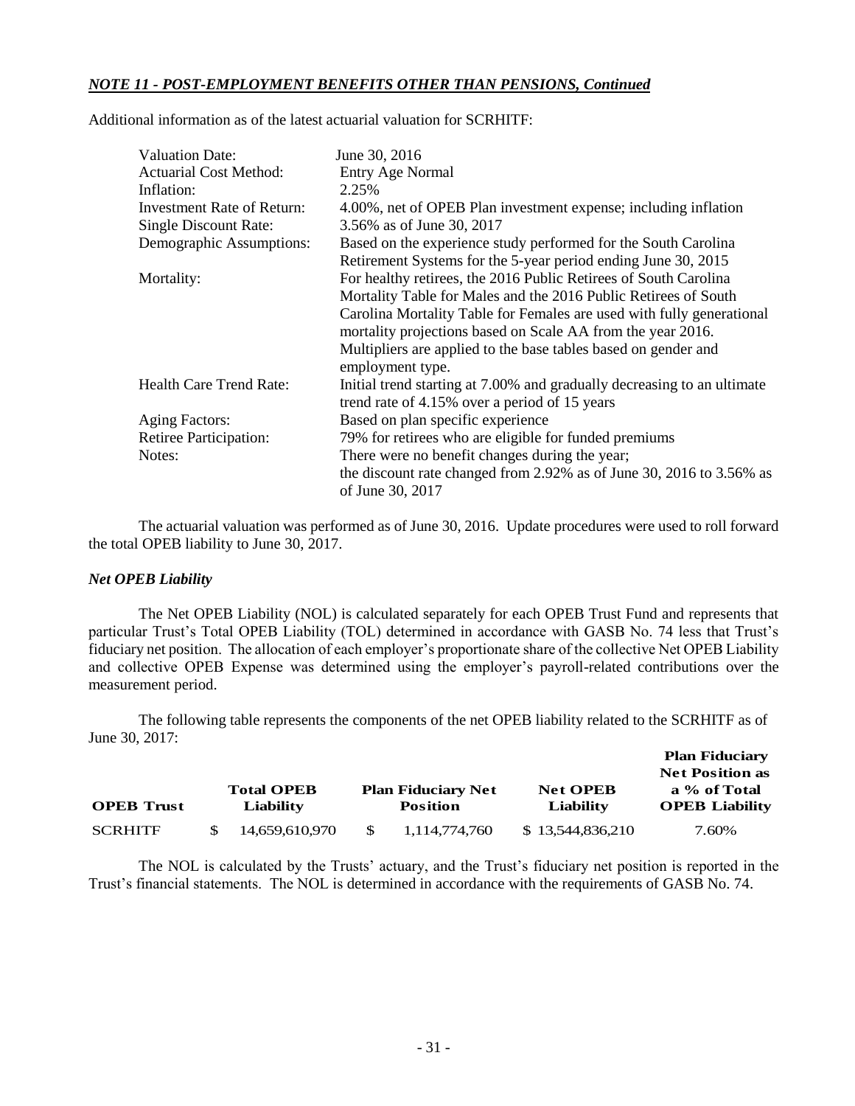## *NOTE 11 - POST-EMPLOYMENT BENEFITS OTHER THAN PENSIONS, Continued*

Additional information as of the latest actuarial valuation for SCRHITF:

| Valuation Date:                | June 30, 2016                                                                            |
|--------------------------------|------------------------------------------------------------------------------------------|
| <b>Actuarial Cost Method:</b>  | Entry Age Normal                                                                         |
| Inflation:                     | 2.25%                                                                                    |
| Investment Rate of Return:     | 4.00%, net of OPEB Plan investment expense; including inflation                          |
| Single Discount Rate:          | 3.56% as of June 30, 2017                                                                |
| Demographic Assumptions:       | Based on the experience study performed for the South Carolina                           |
|                                | Retirement Systems for the 5-year period ending June 30, 2015                            |
| Mortality:                     | For healthy retirees, the 2016 Public Retirees of South Carolina                         |
|                                | Mortality Table for Males and the 2016 Public Retirees of South                          |
|                                | Carolina Mortality Table for Females are used with fully generational                    |
|                                | mortality projections based on Scale AA from the year 2016.                              |
|                                | Multipliers are applied to the base tables based on gender and                           |
|                                | employment type.                                                                         |
| <b>Health Care Trend Rate:</b> | Initial trend starting at 7.00% and gradually decreasing to an ultimate                  |
|                                | trend rate of 4.15% over a period of 15 years                                            |
| <b>Aging Factors:</b>          | Based on plan specific experience                                                        |
| Retiree Participation:         | 79% for retirees who are eligible for funded premiums                                    |
| Notes:                         | There were no benefit changes during the year;                                           |
|                                | the discount rate changed from 2.92% as of June 30, 2016 to 3.56% as<br>of June 30, 2017 |

The actuarial valuation was performed as of June 30, 2016. Update procedures were used to roll forward the total OPEB liability to June 30, 2017.

#### *Net OPEB Liability*

The Net OPEB Liability (NOL) is calculated separately for each OPEB Trust Fund and represents that particular Trust's Total OPEB Liability (TOL) determined in accordance with GASB No. 74 less that Trust's fiduciary net position. The allocation of each employer's proportionate share of the collective Net OPEB Liability and collective OPEB Expense was determined using the employer's payroll-related contributions over the measurement period.

The following table represents the components of the net OPEB liability related to the SCRHITF as of June 30, 2017: **Plan Figure** 1

|                   |                                |      |                                              |                              | Plan Fiduciary                        |
|-------------------|--------------------------------|------|----------------------------------------------|------------------------------|---------------------------------------|
|                   |                                |      |                                              |                              | <b>Net Position as</b>                |
| <b>OPEB</b> Trust | <b>Total OPEB</b><br>Liability |      | <b>Plan Fiduciary Net</b><br><b>Position</b> | <b>Net OPEB</b><br>Liability | a % of Total<br><b>OPEB</b> Liability |
| <b>SCRHITE</b>    | 14,659,610,970                 | - \$ | 1.114.774.760                                | \$13,544,836,210             | 7.60%                                 |

The NOL is calculated by the Trusts' actuary, and the Trust's fiduciary net position is reported in the Trust's financial statements. The NOL is determined in accordance with the requirements of GASB No. 74.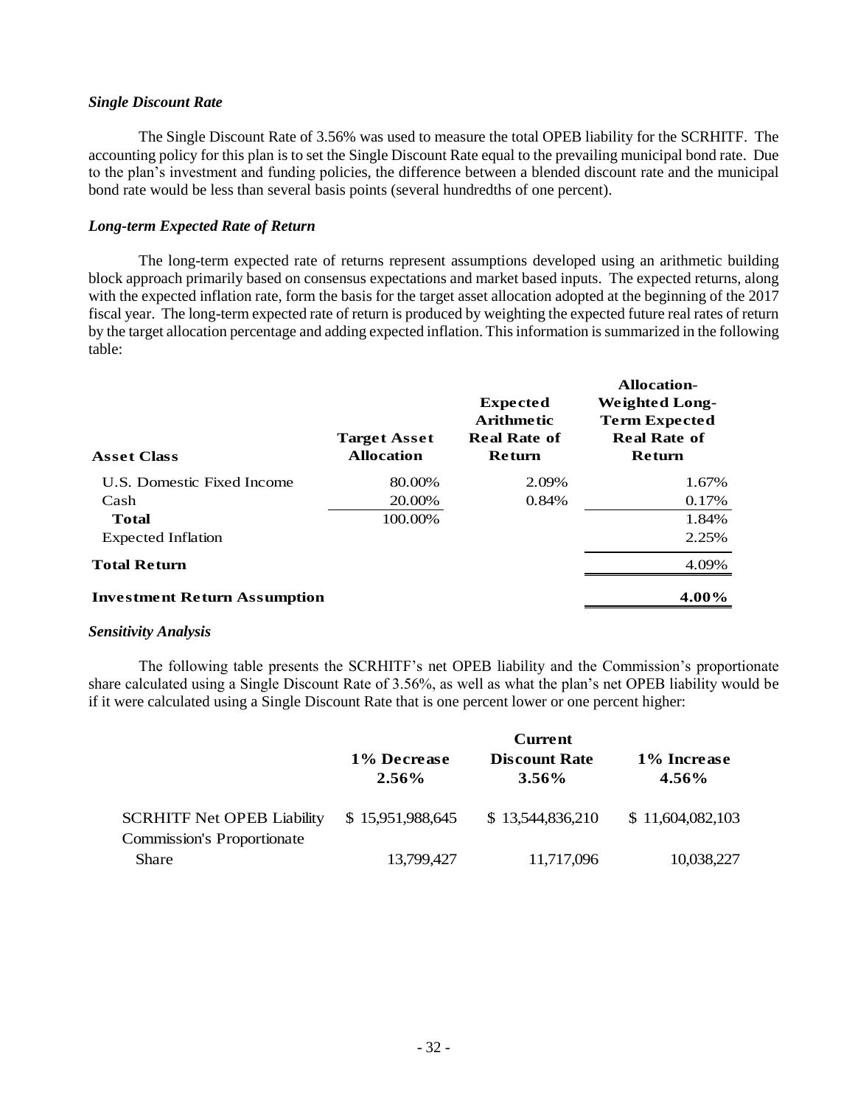#### *Single Discount Rate*

The Single Discount Rate of 3.56% was used to measure the total OPEB liability for the SCRHITF. The accounting policy for this plan is to set the Single Discount Rate equal to the prevailing municipal bond rate. Due to the plan's investment and funding policies, the difference between a blended discount rate and the municipal bond rate would be less than several basis points (several hundredths of one percent).

#### *Long-term Expected Rate of Return*

The long-term expected rate of returns represent assumptions developed using an arithmetic building block approach primarily based on consensus expectations and market based inputs. The expected returns, along with the expected inflation rate, form the basis for the target asset allocation adopted at the beginning of the 2017 fiscal year. The long-term expected rate of return is produced by weighting the expected future real rates of return by the target allocation percentage and adding expected inflation. This information is summarized in the following table:

| <b>Asset Class</b>                  | <b>Target Asset</b><br><b>Allocation</b> | <b>Expected</b><br><b>Arithmetic</b><br><b>Real Rate of</b><br><b>Return</b> | Allocation-<br><b>Weighted Long-</b><br><b>Term Expected</b><br><b>Real Rate of</b><br><b>Return</b> |
|-------------------------------------|------------------------------------------|------------------------------------------------------------------------------|------------------------------------------------------------------------------------------------------|
| U.S. Domestic Fixed Income          | 80.00%                                   | 2.09%                                                                        | 1.67%                                                                                                |
| Cash                                | 20.00%                                   | 0.84%                                                                        | 0.17%                                                                                                |
| <b>Total</b>                        | 100.00%                                  |                                                                              | 1.84%                                                                                                |
| <b>Expected Inflation</b>           |                                          |                                                                              | 2.25%                                                                                                |
| <b>Total Return</b>                 |                                          |                                                                              | 4.09%                                                                                                |
| <b>Investment Return Assumption</b> | 4.00%                                    |                                                                              |                                                                                                      |

#### *Sensitivity Analysis*

The following table presents the SCRHITF's net OPEB liability and the Commission's proportionate share calculated using a Single Discount Rate of 3.56%, as well as what the plan's net OPEB liability would be if it were calculated using a Single Discount Rate that is one percent lower or one percent higher:

|                                                   |                         | Current                          |                         |
|---------------------------------------------------|-------------------------|----------------------------------|-------------------------|
|                                                   | 1% Decrease<br>$2.56\%$ | <b>Discount Rate</b><br>$3.56\%$ | 1% Increase<br>$4.56\%$ |
| <b>SCRHITF Net OPEB Liability</b>                 | \$15,951,988,645        | \$13,544,836,210                 | \$11,604,082,103        |
| <b>Commission's Proportionate</b><br><b>Share</b> | 13,799,427              | 11,717,096                       | 10,038,227              |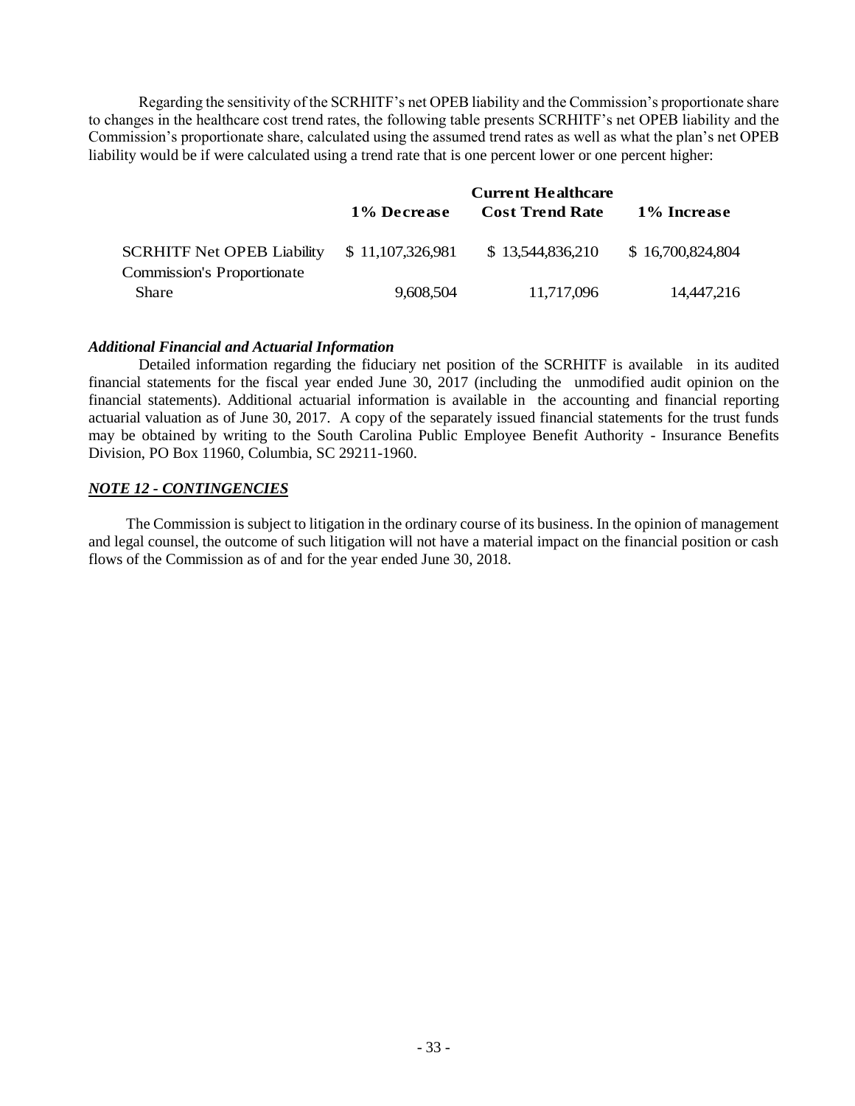Regarding the sensitivity of the SCRHITF's net OPEB liability and the Commission's proportionate share to changes in the healthcare cost trend rates, the following table presents SCRHITF's net OPEB liability and the Commission's proportionate share, calculated using the assumed trend rates as well as what the plan's net OPEB liability would be if were calculated using a trend rate that is one percent lower or one percent higher:

|                                                                        | <b>Current Healthcare</b> |                        |                    |  |  |  |  |  |
|------------------------------------------------------------------------|---------------------------|------------------------|--------------------|--|--|--|--|--|
|                                                                        | 1% Decrease               | <b>Cost Trend Rate</b> | <b>1% Increase</b> |  |  |  |  |  |
| <b>SCRHITF Net OPEB Liability</b><br><b>Commission's Proportionate</b> | \$11,107,326,981          | \$13,544,836,210       | \$16,700,824,804   |  |  |  |  |  |
| <b>Share</b>                                                           | 9,608,504                 | 11,717,096             | 14.447.216         |  |  |  |  |  |

#### *Additional Financial and Actuarial Information*

Detailed information regarding the fiduciary net position of the SCRHITF is available in its audited financial [statements](http://www.peba.sc.gov/assets/financialsretirement.pdf) for the fiscal year ended June 30, 2017 (including the unmodified audit opinion on the financial statements). Additional actuarial information is available in the [accounting and financial](http://www.peba.sc.gov/assets/06.30.2015-gasb-68_report_final-protected.pdf) reporting actuarial [valuation as](http://www.peba.sc.gov/assets/06.30.2015-gasb-68_report_final-protected.pdf) of June 30, 2017. A copy of the separately issued financial statements for the trust funds may be obtained by writing to the South Carolina Public Employee Benefit Authority - Insurance Benefits Division, PO Box 11960, Columbia, SC 29211-1960.

## *NOTE 12 - CONTINGENCIES*

The Commission is subject to litigation in the ordinary course of its business. In the opinion of management and legal counsel, the outcome of such litigation will not have a material impact on the financial position or cash flows of the Commission as of and for the year ended June 30, 2018.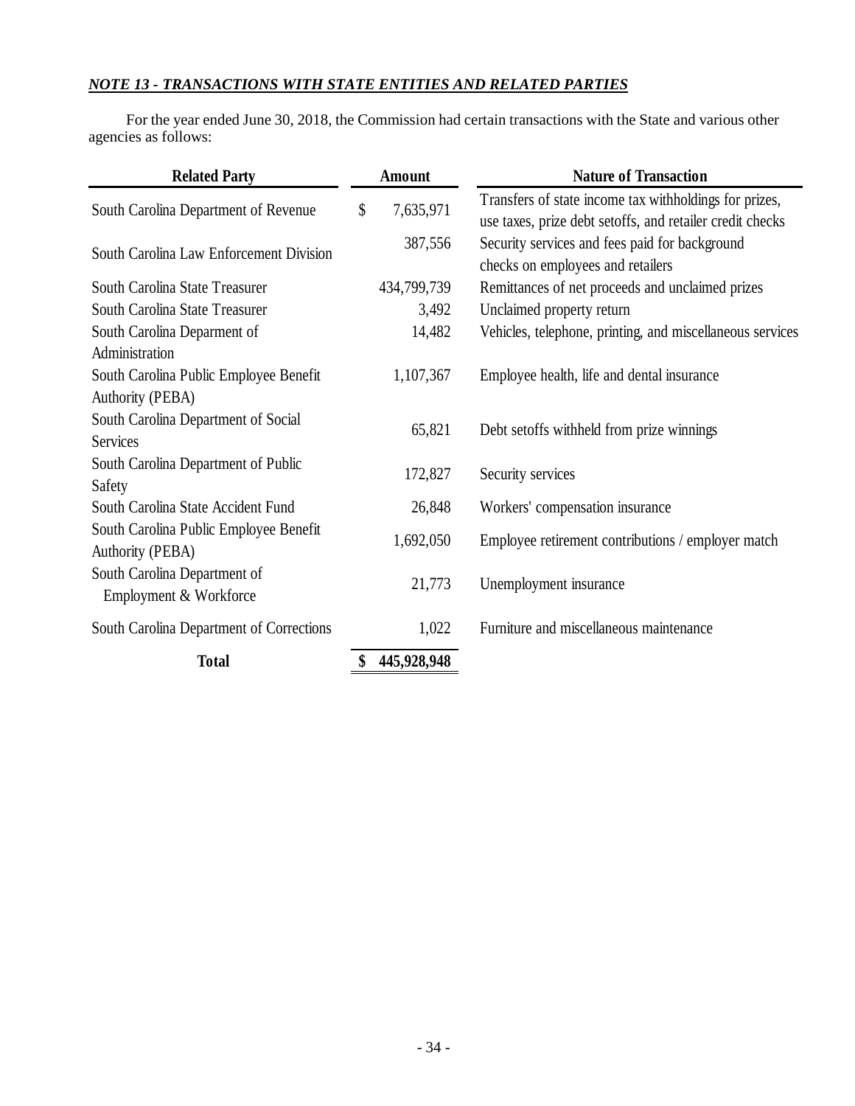# *NOTE 13 - TRANSACTIONS WITH STATE ENTITIES AND RELATED PARTIES*

For the year ended June 30, 2018, the Commission had certain transactions with the State and various other agencies as follows:

| <b>Related Party</b>                                       | Amount          | <b>Nature of Transaction</b>                                                                                        |  |  |  |  |  |  |  |
|------------------------------------------------------------|-----------------|---------------------------------------------------------------------------------------------------------------------|--|--|--|--|--|--|--|
| South Carolina Department of Revenue                       | \$<br>7,635,971 | Transfers of state income tax withholdings for prizes,<br>use taxes, prize debt setoffs, and retailer credit checks |  |  |  |  |  |  |  |
| South Carolina Law Enforcement Division                    | 387,556         | Security services and fees paid for background<br>checks on employees and retailers                                 |  |  |  |  |  |  |  |
| South Carolina State Treasurer                             | 434,799,739     | Remittances of net proceeds and unclaimed prizes                                                                    |  |  |  |  |  |  |  |
| South Carolina State Treasurer                             | 3,492           | Unclaimed property return                                                                                           |  |  |  |  |  |  |  |
| South Carolina Deparment of<br>Administration              | 14,482          | Vehicles, telephone, printing, and miscellaneous services                                                           |  |  |  |  |  |  |  |
| South Carolina Public Employee Benefit<br>Authority (PEBA) | 1,107,367       | Employee health, life and dental insurance                                                                          |  |  |  |  |  |  |  |
| South Carolina Department of Social<br><b>Services</b>     | 65,821          | Debt set offs withheld from prize winnings                                                                          |  |  |  |  |  |  |  |
| South Carolina Department of Public<br>Safety              | 172,827         | Security services                                                                                                   |  |  |  |  |  |  |  |
| South Carolina State Accident Fund                         | 26,848          | Workers' compensation insurance                                                                                     |  |  |  |  |  |  |  |
| South Carolina Public Employee Benefit<br>Authority (PEBA) | 1,692,050       | Employee retirement contributions / employer match                                                                  |  |  |  |  |  |  |  |
| South Carolina Department of<br>Employment & Workforce     | 21,773          | Unemployment insurance                                                                                              |  |  |  |  |  |  |  |
| South Carolina Department of Corrections                   | 1,022           | Furniture and miscellaneous maintenance                                                                             |  |  |  |  |  |  |  |
| <b>Total</b>                                               | 445,928,948     |                                                                                                                     |  |  |  |  |  |  |  |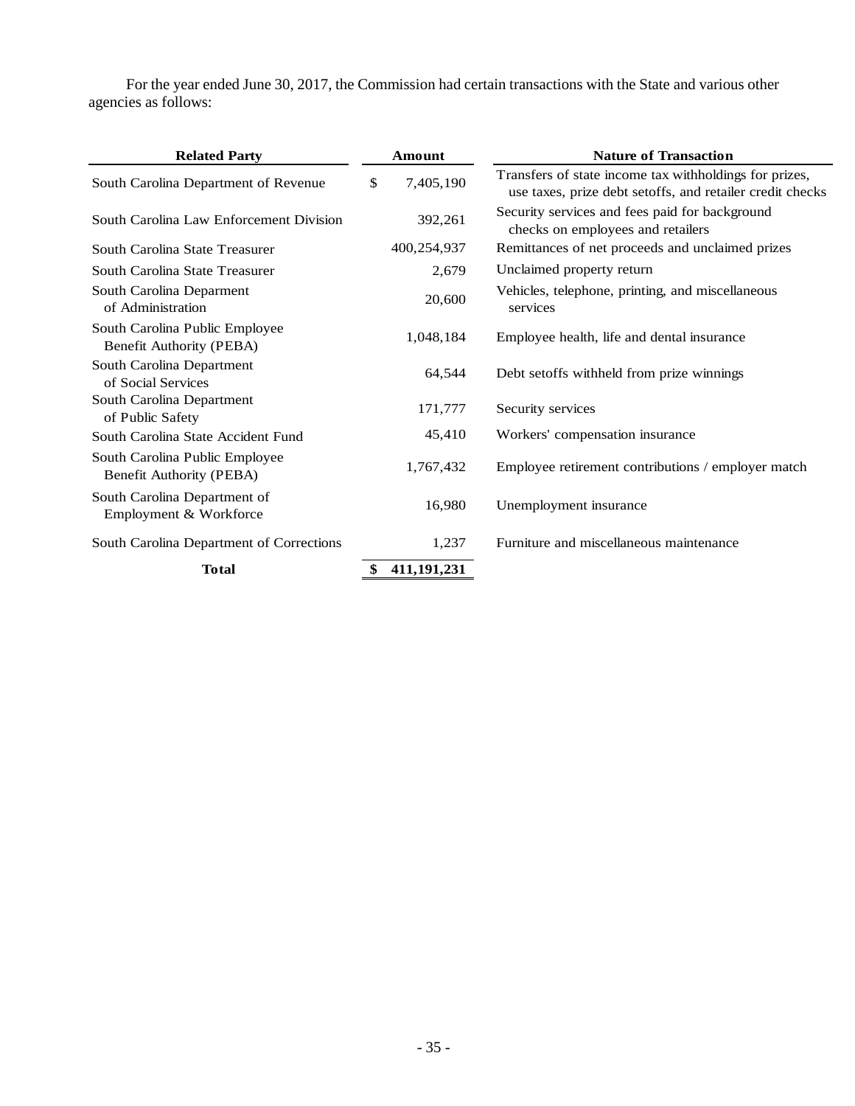For the year ended June 30, 2017, the Commission had certain transactions with the State and various other agencies as follows:

| <b>Related Party</b>                                       | Amount          | <b>Nature of Transaction</b>                                                                                        |  |  |  |  |  |  |
|------------------------------------------------------------|-----------------|---------------------------------------------------------------------------------------------------------------------|--|--|--|--|--|--|
| South Carolina Department of Revenue                       | \$<br>7,405,190 | Transfers of state income tax withholdings for prizes,<br>use taxes, prize debt setoffs, and retailer credit checks |  |  |  |  |  |  |
| South Carolina Law Enforcement Division                    | 392,261         | Security services and fees paid for background<br>checks on employees and retailers                                 |  |  |  |  |  |  |
| South Carolina State Treasurer                             | 400,254,937     | Remittances of net proceeds and unclaimed prizes                                                                    |  |  |  |  |  |  |
| South Carolina State Treasurer                             | 2,679           | Unclaimed property return                                                                                           |  |  |  |  |  |  |
| South Carolina Deparment<br>of Administration              | 20,600          | Vehicles, telephone, printing, and miscellaneous<br>services                                                        |  |  |  |  |  |  |
| South Carolina Public Employee<br>Benefit Authority (PEBA) | 1,048,184       | Employee health, life and dental insurance                                                                          |  |  |  |  |  |  |
| South Carolina Department<br>of Social Services            | 64,544          | Debt setoffs withheld from prize winnings                                                                           |  |  |  |  |  |  |
| South Carolina Department<br>of Public Safety              | 171,777         | Security services                                                                                                   |  |  |  |  |  |  |
| South Carolina State Accident Fund                         | 45,410          | Workers' compensation insurance                                                                                     |  |  |  |  |  |  |
| South Carolina Public Employee<br>Benefit Authority (PEBA) | 1,767,432       | Employee retirement contributions / employer match                                                                  |  |  |  |  |  |  |
| South Carolina Department of<br>Employment & Workforce     | 16,980          | Unemployment insurance                                                                                              |  |  |  |  |  |  |
| South Carolina Department of Corrections                   | 1,237           | Furniture and miscellaneous maintenance                                                                             |  |  |  |  |  |  |
| <b>Total</b>                                               | 411,191,231     |                                                                                                                     |  |  |  |  |  |  |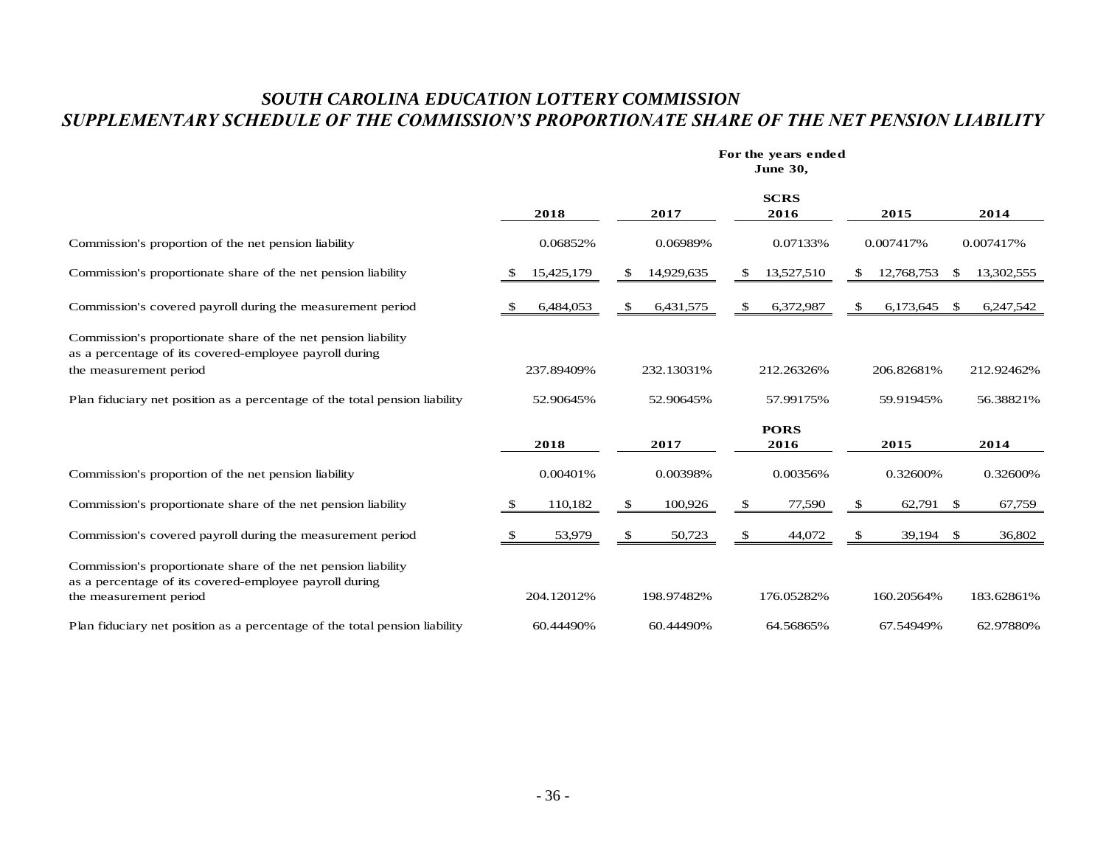## *SOUTH CAROLINA EDUCATION LOTTERY COMMISSION SUPPLEMENTARY SCHEDULE OF THE COMMISSION'S PROPORTIONATE SHARE OF THE NET PENSION LIABILITY*

|                                                                                                                                                   |                           |    |            |           | For the years ended<br><b>June 30,</b> |           |             |               |            |
|---------------------------------------------------------------------------------------------------------------------------------------------------|---------------------------|----|------------|-----------|----------------------------------------|-----------|-------------|---------------|------------|
|                                                                                                                                                   | 2018                      |    | 2017       |           | <b>SCRS</b><br>2016                    |           | 2015        |               | 2014       |
| Commission's proportion of the net pension liability                                                                                              | 0.06852%                  |    | 0.06989%   |           | 0.07133%                               |           | 0.007417%   |               | 0.007417%  |
| Commission's proportionate share of the net pension liability                                                                                     | 15,425,179                | S. | 14,929,635 | \$        | 13,527,510                             | \$        | 12,768,753  | <sup>\$</sup> | 13,302,555 |
| Commission's covered payroll during the measurement period                                                                                        | 6,484,053<br><sup>S</sup> | \$ | 6,431,575  | \$        | 6,372,987                              | \$        | 6,173,645   | - \$          | 6,247,542  |
| Commission's proportionate share of the net pension liability<br>as a percentage of its covered-employee payroll during                           |                           |    |            |           |                                        |           |             |               |            |
| the measurement period                                                                                                                            | 237.89409%                |    | 232.13031% |           | 212.26326%                             |           | 206.82681%  |               | 212.92462% |
| Plan fiduciary net position as a percentage of the total pension liability                                                                        | 52.90645%                 |    | 52.90645%  | 57.99175% |                                        | 59.91945% |             |               | 56.38821%  |
|                                                                                                                                                   | 2018                      |    | 2017       |           | <b>PORS</b><br>2016                    |           | 2015        |               | 2014       |
| Commission's proportion of the net pension liability                                                                                              | 0.00401%                  |    | 0.00398%   |           | 0.00356%                               |           | 0.32600%    |               | 0.32600%   |
| Commission's proportionate share of the net pension liability                                                                                     | 110,182<br>\$             | \$ | 100,926    | \$        | 77,590                                 | \$        | $62,791$ \$ |               | 67,759     |
| Commission's covered payroll during the measurement period                                                                                        | 53,979<br>\$              | \$ | 50,723     | \$        | 44,072                                 | \$        | 39,194 \$   |               | 36,802     |
| Commission's proportionate share of the net pension liability<br>as a percentage of its covered-employee payroll during<br>the measurement period | 204.12012%                |    | 198.97482% |           | 176.05282%                             |           | 160.20564%  |               | 183.62861% |
| Plan fiduciary net position as a percentage of the total pension liability                                                                        | 60.44490%                 |    | 60.44490%  |           | 64.56865%                              |           | 67.54949%   |               | 62.97880%  |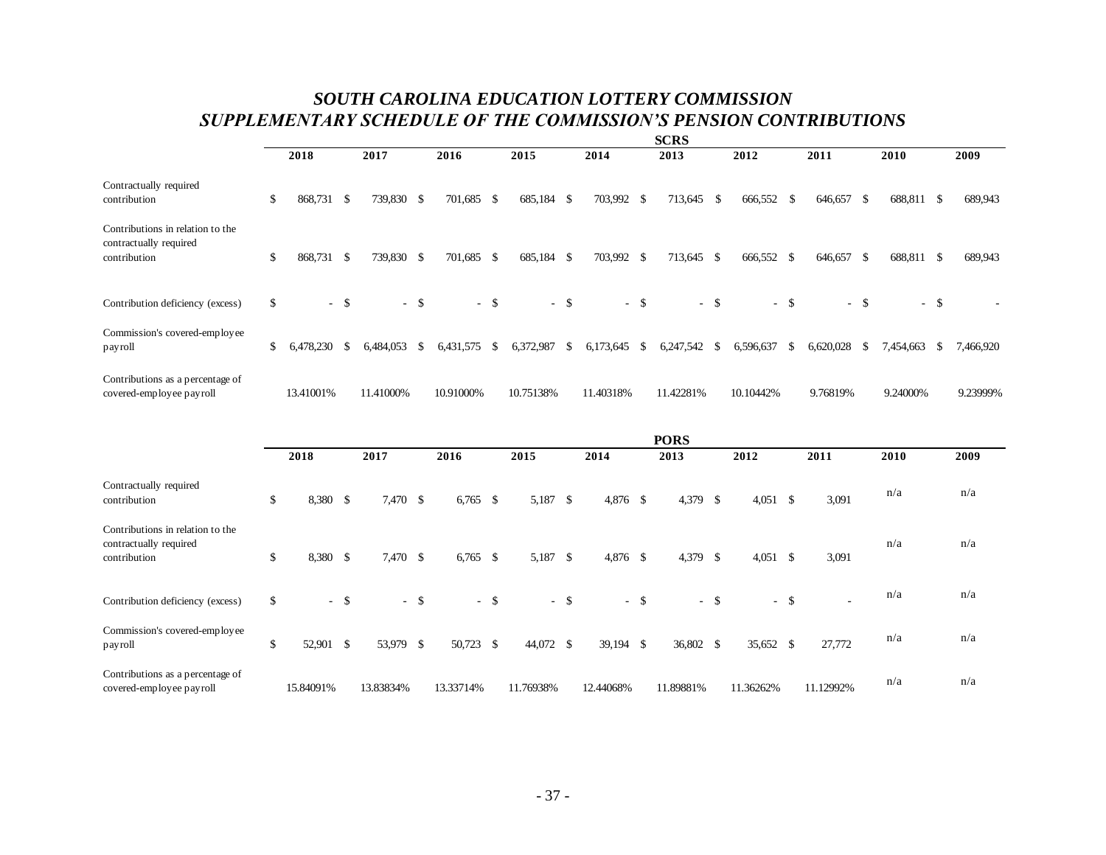### *SOUTH CAROLINA EDUCATION LOTTERY COMMISSION SUPPLEMENTARY SCHEDULE OF THE COMMISSION'S PENSION CONTRIBUTIONS* **SCRS**

|                                                                            |                 |        |                 |    |           |      |            |        | <b>JUND</b> |        |            |               |           |        |           |               |           |               |           |
|----------------------------------------------------------------------------|-----------------|--------|-----------------|----|-----------|------|------------|--------|-------------|--------|------------|---------------|-----------|--------|-----------|---------------|-----------|---------------|-----------|
|                                                                            | 2018            |        | 2017            |    | 2016      |      | 2015       |        | 2014        |        | 2013       |               | 2012      |        | 2011      |               | 2010      |               | 2009      |
| Contractually required<br>contribution                                     | \$<br>868,731   | \$     | 739,830 \$      |    | 701,685   | -\$  | 685,184 \$ |        | 703,992     | -S     | 713,645    | -S            | 666,552   | £.     | 646,657   | <sup>\$</sup> | 688,811   | \$            | 689,943   |
| Contributions in relation to the<br>contractually required<br>contribution | \$<br>868,731   | - \$   | 739,830 \$      |    | 701,685   | - \$ | 685,184 \$ |        | 703,992 \$  |        | 713,645 \$ |               | 666,552   | -S     | 646,657   | <sup>\$</sup> | 688,811   | <sup>\$</sup> | 689,943   |
| Contribution deficiency (excess)                                           | \$              | $-$ \$ | $\sim$ 10 $\pm$ | -S | $\sim$    | -\$  |            | $-$ \$ |             | $-$ \$ | $-$ \$     |               |           | $-$ \$ |           | $-$ \$        |           | $-$ \$        |           |
| Commission's covered-employee<br>payroll                                   | \$<br>6,478,230 | -S     | 6,484,053       | \$ | 6,431,575 | -S   | 6,372,987  | -S     | 6,173,645   | -S     | 6,247,542  | <sup>22</sup> | 6,596,637 | D.     | 6,620,028 | \$            | 7,454,663 | <sup>\$</sup> | 7,466,920 |
| Contributions as a percentage of<br>covered-employee payroll               | 13.41001%       |        | 11.41000%       |    | 10.91000% |      | 10.75138%  |        | 11.40318%   |        | 11.42281%  |               | 10.10442% |        | 9.76819%  |               | 9.24000%  |               | 9.23999%  |

|                                                                            | <b>PORS</b> |           |        |           |        |            |     |           |        |           |        |           |           |               |           |      |      |
|----------------------------------------------------------------------------|-------------|-----------|--------|-----------|--------|------------|-----|-----------|--------|-----------|--------|-----------|-----------|---------------|-----------|------|------|
|                                                                            |             | 2018      |        | 2017      |        | 2016       |     | 2015      |        | 2014      |        | 2013      | 2012      |               | 2011      | 2010 | 2009 |
| Contractually required<br>contribution                                     | \$          | 8,380 \$  |        | 7,470 \$  |        | $6,765$ \$ |     | 5,187 \$  |        | 4,876 \$  |        | 4,379 \$  | 4,051     | $\mathcal{S}$ | 3,091     | n/a  | n/a  |
| Contributions in relation to the<br>contractually required<br>contribution | \$          | 8,380 \$  |        | 7,470 \$  |        | $6,765$ \$ |     | 5,187 \$  |        | 4,876 $$$ |        | 4,379 \$  | 4,051     | <b>S</b>      | 3,091     | n/a  | n/a  |
| Contribution deficiency (excess)                                           | \$          |           | $-$ \$ |           | $-$ \$ | $\sim$     | -\$ |           | $-$ \$ |           | $-$ \$ | $-$ \$    |           | $-$ \$        |           | n/a  | n/a  |
| Commission's covered-employee<br>payroll                                   | \$          | 52,901 \$ |        | 53,979 \$ |        | 50,723 \$  |     | 44,072 \$ |        | 39,194 \$ |        | 36,802 \$ | 35,652 \$ |               | 27,772    | n/a  | n/a  |
| Contributions as a percentage of<br>covered-employee payroll               |             | 15.84091% |        | 13.83834% |        | 13.33714%  |     | 11.76938% |        | 12.44068% |        | 11.89881% | 11.36262% |               | 11.12992% | n/a  | n/a  |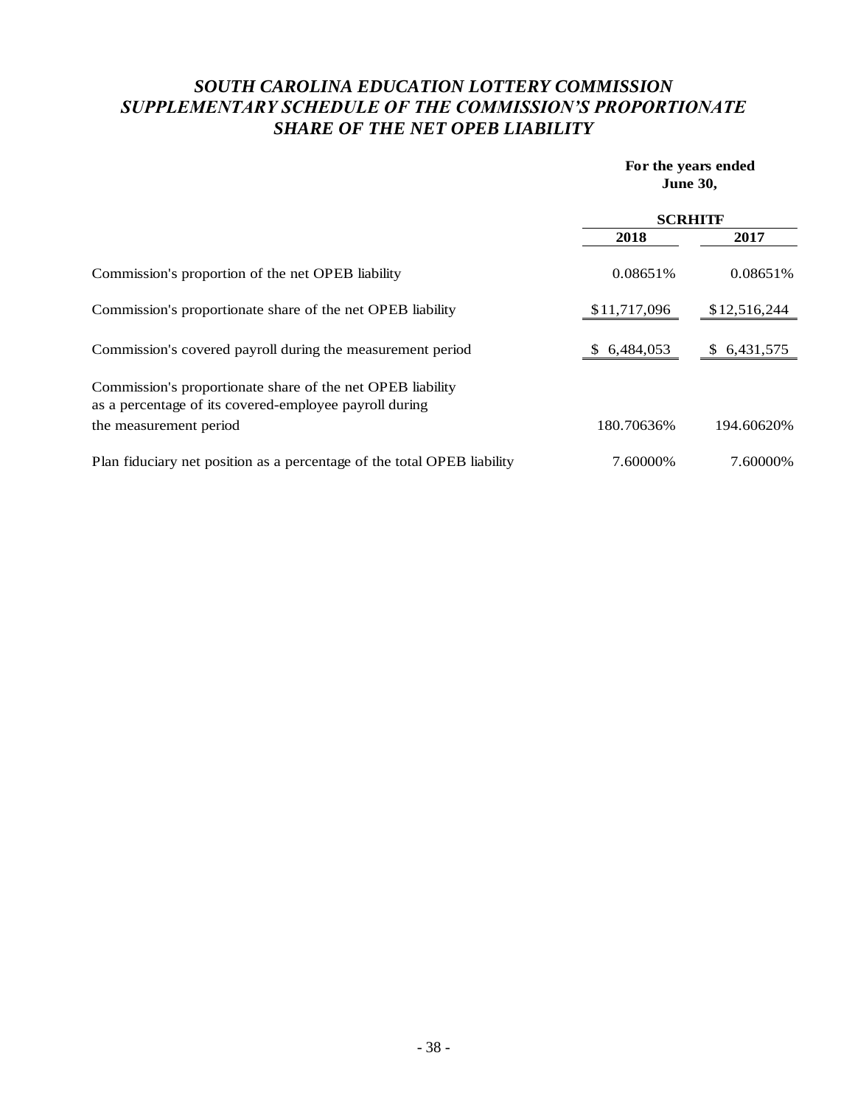## *SOUTH CAROLINA EDUCATION LOTTERY COMMISSION SUPPLEMENTARY SCHEDULE OF THE COMMISSION'S PROPORTIONATE SHARE OF THE NET OPEB LIABILITY*

**For the years ended June 30,**

|                                                                                                                      | <b>SCRHITF</b> |              |  |  |  |
|----------------------------------------------------------------------------------------------------------------------|----------------|--------------|--|--|--|
|                                                                                                                      | 2018           | 2017         |  |  |  |
| Commission's proportion of the net OPEB liability                                                                    | 0.08651%       | 0.08651%     |  |  |  |
| Commission's proportionate share of the net OPEB liability                                                           | \$11,717,096   | \$12,516,244 |  |  |  |
| Commission's covered payroll during the measurement period                                                           | 6,484,053      | \$6,431,575  |  |  |  |
| Commission's proportionate share of the net OPEB liability<br>as a percentage of its covered-employee payroll during |                |              |  |  |  |
| the measurement period                                                                                               | 180.70636%     | 194.60620%   |  |  |  |
| Plan fiduciary net position as a percentage of the total OPEB liability                                              | 7.60000%       | 7.60000%     |  |  |  |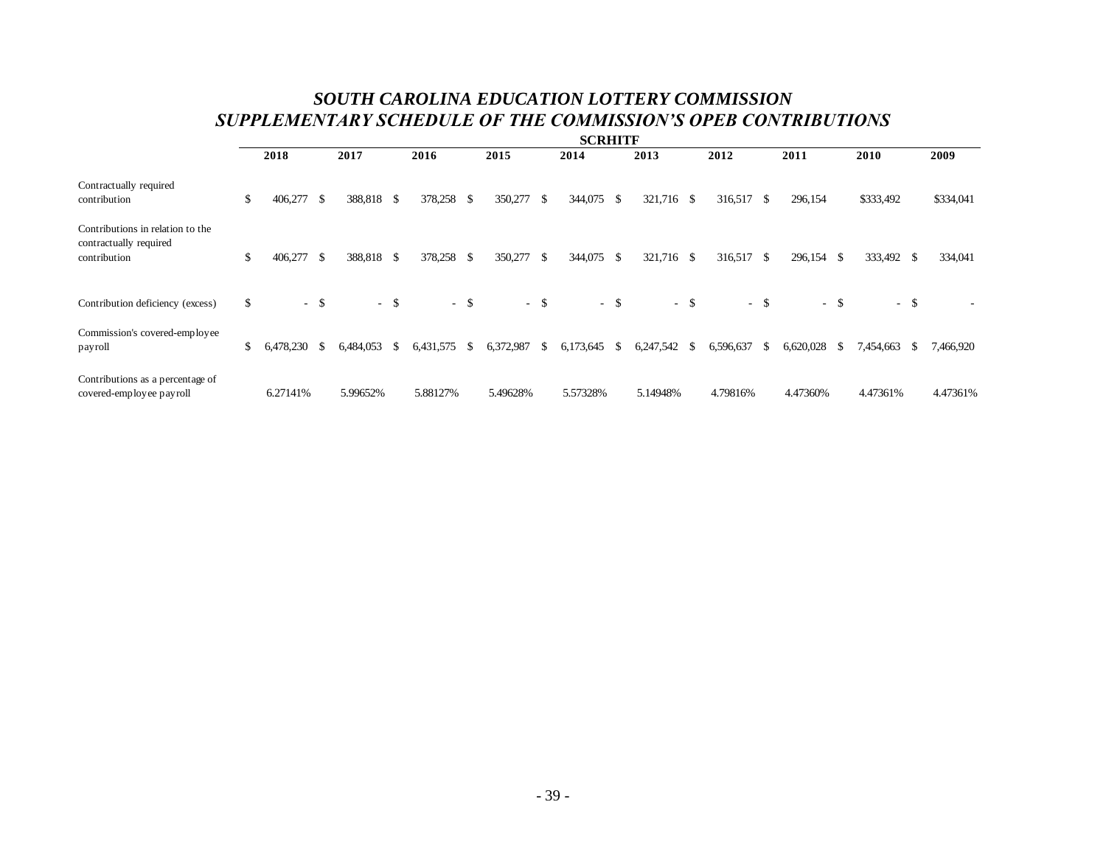| SOUTH CAROLINA EDUCATION LOTTERY COMMISSION                   |
|---------------------------------------------------------------|
| SUPPLEMENTARY SCHEDULE OF THE COMMISSION'S OPEB CONTRIBUTIONS |
| <b>ССРИТТЕ</b>                                                |

|                                                                            | permit |              |        |            |               |           |        |           |        |            |          |            |        |           |        |            |        |            |        |           |
|----------------------------------------------------------------------------|--------|--------------|--------|------------|---------------|-----------|--------|-----------|--------|------------|----------|------------|--------|-----------|--------|------------|--------|------------|--------|-----------|
|                                                                            |        | 2018         |        | 2017       |               | 2016      |        | 2015      |        | 2014       |          | 2013       |        | 2012      |        | 2011       |        | 2010       |        | 2009      |
| Contractually required<br>contribution                                     | \$     | 406,277      | - \$   | 388,818 \$ |               | 378,258   | - \$   | 350,277   | - \$   | 344,075 \$ |          | 321,716    | S.     | 316,517   | \$     | 296,154    |        | \$333,492  |        | \$334,041 |
| Contributions in relation to the<br>contractually required<br>contribution | \$     | 406,277      | - \$   | 388,818 \$ |               | 378,258   | - \$   | 350,277   | - \$   | 344,075 \$ |          | 321,716 \$ |        | 316,517   | -\$    | 296,154 \$ |        | 333,492 \$ |        | 334,041   |
| Contribution deficiency (excess)                                           | \$     |              | $-$ \$ |            | $-$ \$        |           | $-$ \$ |           | $-$ \$ |            | $-$ \$   |            | $-$ \$ |           | $-$ \$ |            | $-$ \$ |            | $-$ \$ |           |
| Commission's covered-employee<br>payroll                                   | \$     | 6,478,230 \$ |        | 6,484,053  | <sup>\$</sup> | 6,431,575 | -S     | 6,372,987 | -S     | 6,173,645  | <u>у</u> | 6,247,542  | S.     | 6,596,637 | S.     | 6,620,028  | S      | 7,454,663  | -S     | 7,466,920 |
| Contributions as a percentage of<br>covered-employee payroll               |        | 6.27141%     |        | 5.99652%   |               | 5.88127%  |        | 5.49628%  |        | 5.57328%   |          | 5.14948%   |        | 4.79816%  |        | 4.47360%   |        | 4.47361%   |        | 4.47361%  |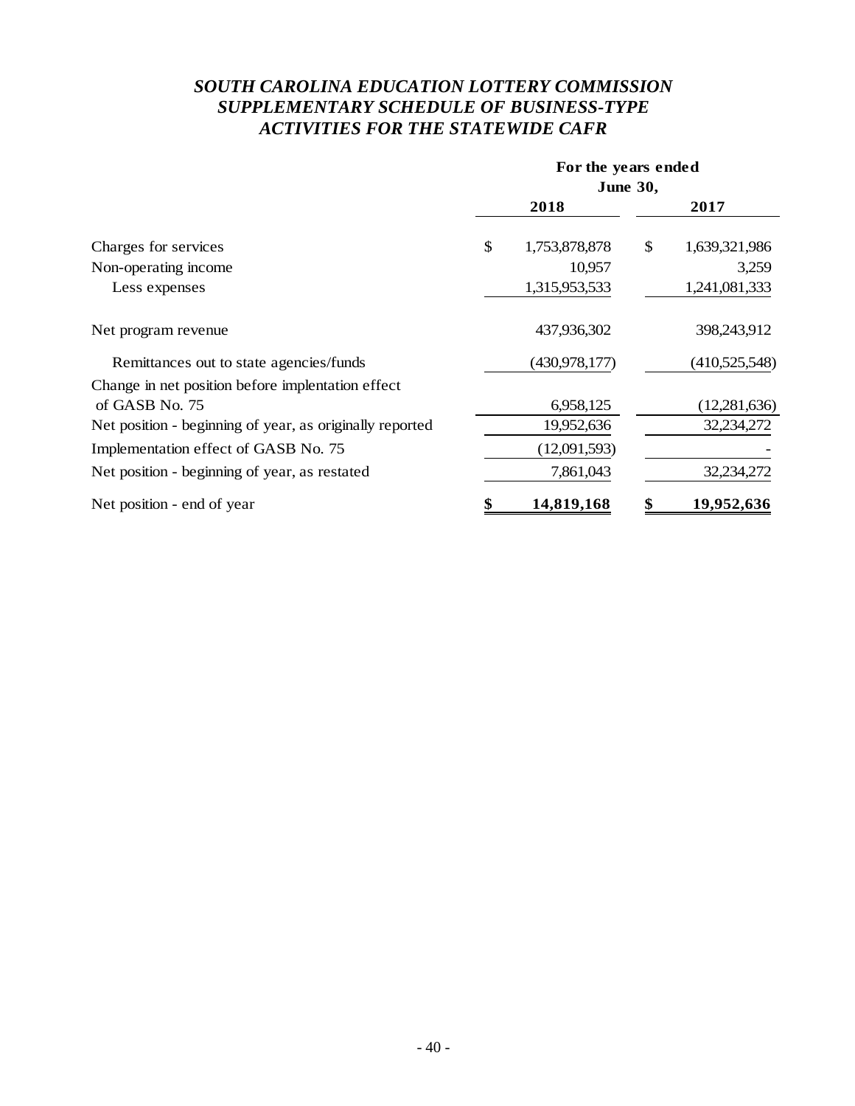# *SOUTH CAROLINA EDUCATION LOTTERY COMMISSION SUPPLEMENTARY SCHEDULE OF BUSINESS-TYPE ACTIVITIES FOR THE STATEWIDE CAFR*

|                                                          |    | For the years ended<br><b>June 30,</b> |                           |                 |  |  |  |  |
|----------------------------------------------------------|----|----------------------------------------|---------------------------|-----------------|--|--|--|--|
|                                                          |    |                                        |                           |                 |  |  |  |  |
|                                                          |    | 2018                                   | 2017                      |                 |  |  |  |  |
| Charges for services                                     | \$ | 1,753,878,878                          | $\boldsymbol{\mathsf{S}}$ | 1,639,321,986   |  |  |  |  |
| Non-operating income                                     |    | 10,957                                 |                           | 3,259           |  |  |  |  |
| Less expenses                                            |    | 1,315,953,533                          |                           | 1,241,081,333   |  |  |  |  |
| Net program revenue                                      |    | 437,936,302                            |                           | 398,243,912     |  |  |  |  |
| Remittances out to state agencies/funds                  |    | (430, 978, 177)                        |                           | (410, 525, 548) |  |  |  |  |
| Change in net position before implentation effect        |    |                                        |                           |                 |  |  |  |  |
| of GASB No. 75                                           |    | 6,958,125                              |                           | (12, 281, 636)  |  |  |  |  |
| Net position - beginning of year, as originally reported |    | 19,952,636                             |                           | 32,234,272      |  |  |  |  |
| Implementation effect of GASB No. 75                     |    | (12,091,593)                           |                           |                 |  |  |  |  |
| Net position - beginning of year, as restated            |    | 7,861,043                              |                           | 32,234,272      |  |  |  |  |
| Net position - end of year                               |    | 14,819,168                             |                           | 19,952,636      |  |  |  |  |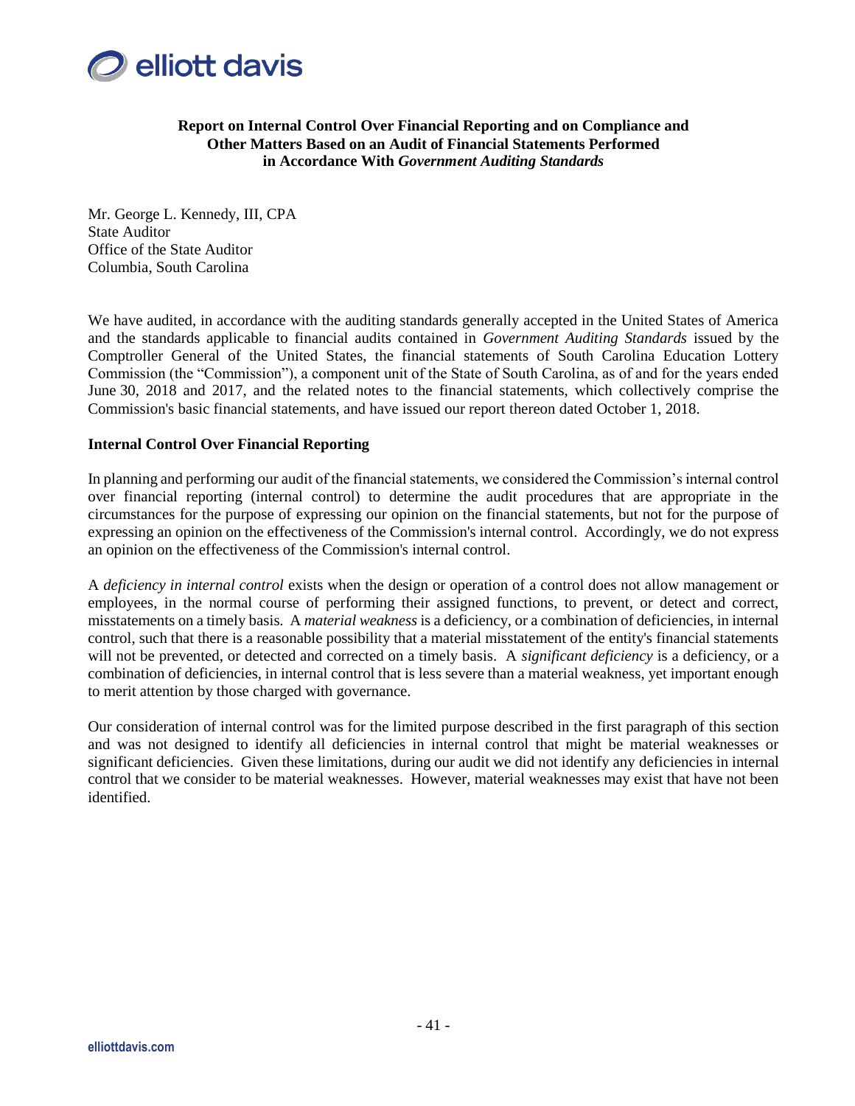

## **Report on Internal Control Over Financial Reporting and on Compliance and Other Matters Based on an Audit of Financial Statements Performed in Accordance With** *Government Auditing Standards*

Mr. George L. Kennedy, III, CPA State Auditor Office of the State Auditor Columbia, South Carolina

We have audited, in accordance with the auditing standards generally accepted in the United States of America and the standards applicable to financial audits contained in *Government Auditing Standards* issued by the Comptroller General of the United States, the financial statements of South Carolina Education Lottery Commission (the "Commission"), a component unit of the State of South Carolina, as of and for the years ended June 30, 2018 and 2017, and the related notes to the financial statements, which collectively comprise the Commission's basic financial statements, and have issued our report thereon dated October 1, 2018.

#### **Internal Control Over Financial Reporting**

In planning and performing our audit of the financial statements, we considered the Commission's internal control over financial reporting (internal control) to determine the audit procedures that are appropriate in the circumstances for the purpose of expressing our opinion on the financial statements, but not for the purpose of expressing an opinion on the effectiveness of the Commission's internal control. Accordingly, we do not express an opinion on the effectiveness of the Commission's internal control.

A *deficiency in internal control* exists when the design or operation of a control does not allow management or employees, in the normal course of performing their assigned functions, to prevent, or detect and correct, misstatements on a timely basis. A *material weakness* is a deficiency, or a combination of deficiencies, in internal control, such that there is a reasonable possibility that a material misstatement of the entity's financial statements will not be prevented, or detected and corrected on a timely basis. A *significant deficiency* is a deficiency, or a combination of deficiencies, in internal control that is less severe than a material weakness, yet important enough to merit attention by those charged with governance.

Our consideration of internal control was for the limited purpose described in the first paragraph of this section and was not designed to identify all deficiencies in internal control that might be material weaknesses or significant deficiencies. Given these limitations, during our audit we did not identify any deficiencies in internal control that we consider to be material weaknesses. However, material weaknesses may exist that have not been identified.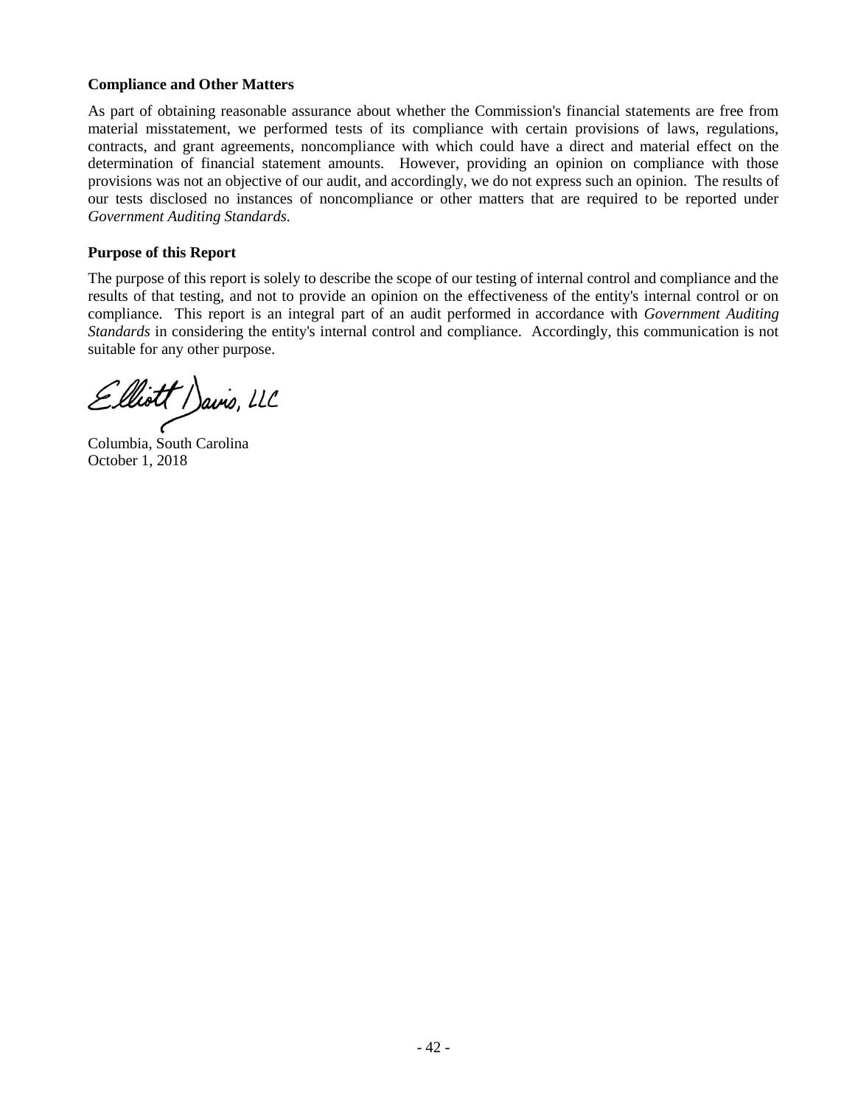## **Compliance and Other Matters**

As part of obtaining reasonable assurance about whether the Commission's financial statements are free from material misstatement, we performed tests of its compliance with certain provisions of laws, regulations, contracts, and grant agreements, noncompliance with which could have a direct and material effect on the determination of financial statement amounts. However, providing an opinion on compliance with those provisions was not an objective of our audit, and accordingly, we do not express such an opinion. The results of our tests disclosed no instances of noncompliance or other matters that are required to be reported under *Government Auditing Standards.*

## **Purpose of this Report**

The purpose of this report is solely to describe the scope of our testing of internal control and compliance and the results of that testing, and not to provide an opinion on the effectiveness of the entity's internal control or on compliance. This report is an integral part of an audit performed in accordance with *Government Auditing Standards* in considering the entity's internal control and compliance. Accordingly, this communication is not suitable for any other purpose.

Elliott Davis, LLC

Columbia, South Carolina October 1, 2018